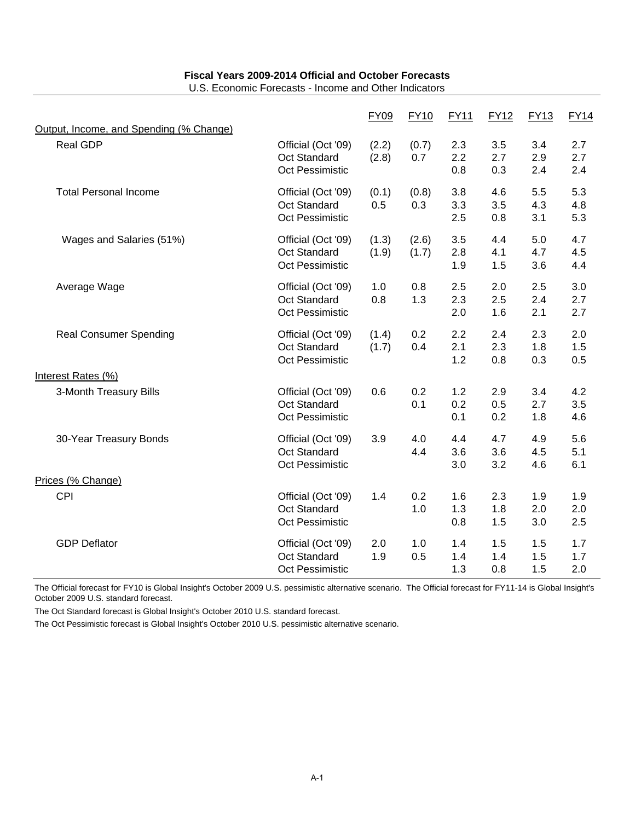U.S. Economic Forecasts - Income and Other Indicators

|                                         |                                                                     | <b>FY09</b>    | <b>FY10</b>    | <b>FY11</b>       | <b>FY12</b>       | <b>FY13</b>       | <b>FY14</b>       |
|-----------------------------------------|---------------------------------------------------------------------|----------------|----------------|-------------------|-------------------|-------------------|-------------------|
| Output, Income, and Spending (% Change) |                                                                     |                |                |                   |                   |                   |                   |
| <b>Real GDP</b>                         | Official (Oct '09)<br><b>Oct Standard</b><br><b>Oct Pessimistic</b> | (2.2)<br>(2.8) | (0.7)<br>0.7   | 2.3<br>2.2<br>0.8 | 3.5<br>2.7<br>0.3 | 3.4<br>2.9<br>2.4 | 2.7<br>2.7<br>2.4 |
| <b>Total Personal Income</b>            | Official (Oct '09)<br>Oct Standard<br><b>Oct Pessimistic</b>        | (0.1)<br>0.5   | (0.8)<br>0.3   | 3.8<br>3.3<br>2.5 | 4.6<br>3.5<br>0.8 | 5.5<br>4.3<br>3.1 | 5.3<br>4.8<br>5.3 |
| Wages and Salaries (51%)                | Official (Oct '09)<br>Oct Standard<br>Oct Pessimistic               | (1.3)<br>(1.9) | (2.6)<br>(1.7) | 3.5<br>2.8<br>1.9 | 4.4<br>4.1<br>1.5 | 5.0<br>4.7<br>3.6 | 4.7<br>4.5<br>4.4 |
| Average Wage                            | Official (Oct '09)<br>Oct Standard<br>Oct Pessimistic               | 1.0<br>0.8     | 0.8<br>1.3     | 2.5<br>2.3<br>2.0 | 2.0<br>2.5<br>1.6 | 2.5<br>2.4<br>2.1 | 3.0<br>2.7<br>2.7 |
| <b>Real Consumer Spending</b>           | Official (Oct '09)<br><b>Oct Standard</b><br>Oct Pessimistic        | (1.4)<br>(1.7) | 0.2<br>0.4     | 2.2<br>2.1<br>1.2 | 2.4<br>2.3<br>0.8 | 2.3<br>1.8<br>0.3 | 2.0<br>1.5<br>0.5 |
| Interest Rates (%)                      |                                                                     |                |                |                   |                   |                   |                   |
| 3-Month Treasury Bills                  | Official (Oct '09)<br><b>Oct Standard</b><br>Oct Pessimistic        | 0.6            | 0.2<br>0.1     | 1.2<br>0.2<br>0.1 | 2.9<br>0.5<br>0.2 | 3.4<br>2.7<br>1.8 | 4.2<br>3.5<br>4.6 |
| 30-Year Treasury Bonds                  | Official (Oct '09)<br>Oct Standard<br>Oct Pessimistic               | 3.9            | 4.0<br>4.4     | 4.4<br>3.6<br>3.0 | 4.7<br>3.6<br>3.2 | 4.9<br>4.5<br>4.6 | 5.6<br>5.1<br>6.1 |
| Prices (% Change)                       |                                                                     |                |                |                   |                   |                   |                   |
| CPI                                     | Official (Oct '09)<br><b>Oct Standard</b><br>Oct Pessimistic        | 1.4            | 0.2<br>1.0     | 1.6<br>1.3<br>0.8 | 2.3<br>1.8<br>1.5 | 1.9<br>2.0<br>3.0 | 1.9<br>2.0<br>2.5 |
| <b>GDP Deflator</b>                     | Official (Oct '09)<br>Oct Standard<br>Oct Pessimistic               | 2.0<br>1.9     | 1.0<br>0.5     | 1.4<br>1.4<br>1.3 | 1.5<br>1.4<br>0.8 | 1.5<br>1.5<br>1.5 | 1.7<br>1.7<br>2.0 |

The Official forecast for FY10 is Global Insight's October 2009 U.S. pessimistic alternative scenario. The Official forecast for FY11-14 is Global Insight's October 2009 U.S. standard forecast.

The Oct Standard forecast is Global Insight's October 2010 U.S. standard forecast.

The Oct Pessimistic forecast is Global Insight's October 2010 U.S. pessimistic alternative scenario.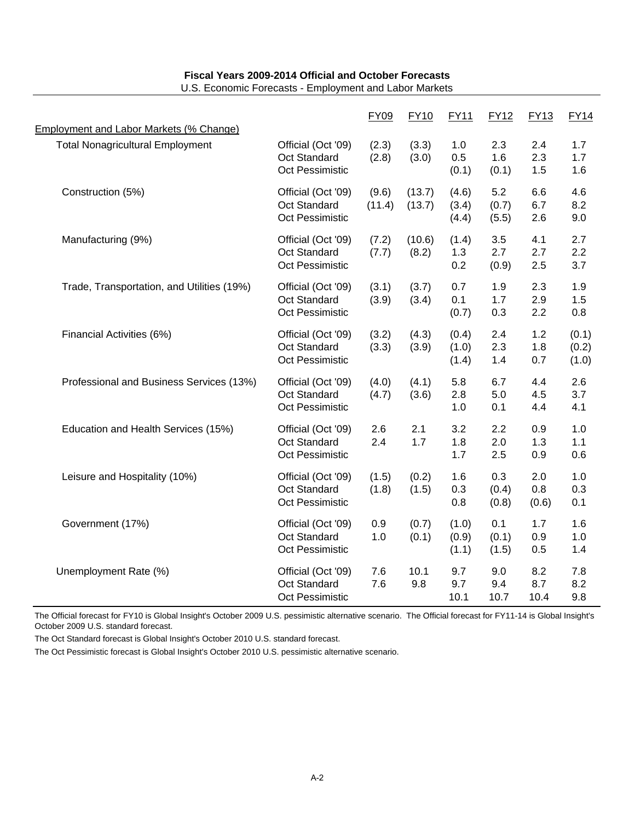|                                                                                           |                                                              | <b>FY09</b>     | <b>FY10</b>      | <b>FY11</b>             | <b>FY12</b>           | <b>FY13</b>         | <b>FY14</b>             |
|-------------------------------------------------------------------------------------------|--------------------------------------------------------------|-----------------|------------------|-------------------------|-----------------------|---------------------|-------------------------|
| <b>Employment and Labor Markets (% Change)</b><br><b>Total Nonagricultural Employment</b> | Official (Oct '09)<br>Oct Standard<br>Oct Pessimistic        | (2.3)<br>(2.8)  | (3.3)<br>(3.0)   | 1.0<br>0.5<br>(0.1)     | 2.3<br>1.6<br>(0.1)   | 2.4<br>2.3<br>1.5   | 1.7<br>1.7<br>1.6       |
| Construction (5%)                                                                         | Official (Oct '09)<br><b>Oct Standard</b><br>Oct Pessimistic | (9.6)<br>(11.4) | (13.7)<br>(13.7) | (4.6)<br>(3.4)<br>(4.4) | 5.2<br>(0.7)<br>(5.5) | 6.6<br>6.7<br>2.6   | 4.6<br>8.2<br>9.0       |
| Manufacturing (9%)                                                                        | Official (Oct '09)<br>Oct Standard<br>Oct Pessimistic        | (7.2)<br>(7.7)  | (10.6)<br>(8.2)  | (1.4)<br>1.3<br>0.2     | 3.5<br>2.7<br>(0.9)   | 4.1<br>2.7<br>2.5   | 2.7<br>2.2<br>3.7       |
| Trade, Transportation, and Utilities (19%)                                                | Official (Oct '09)<br>Oct Standard<br>Oct Pessimistic        | (3.1)<br>(3.9)  | (3.7)<br>(3.4)   | 0.7<br>0.1<br>(0.7)     | 1.9<br>1.7<br>0.3     | 2.3<br>2.9<br>2.2   | 1.9<br>1.5<br>0.8       |
| Financial Activities (6%)                                                                 | Official (Oct '09)<br>Oct Standard<br>Oct Pessimistic        | (3.2)<br>(3.3)  | (4.3)<br>(3.9)   | (0.4)<br>(1.0)<br>(1.4) | 2.4<br>2.3<br>1.4     | 1.2<br>1.8<br>0.7   | (0.1)<br>(0.2)<br>(1.0) |
| Professional and Business Services (13%)                                                  | Official (Oct '09)<br>Oct Standard<br>Oct Pessimistic        | (4.0)<br>(4.7)  | (4.1)<br>(3.6)   | 5.8<br>2.8<br>1.0       | 6.7<br>5.0<br>0.1     | 4.4<br>4.5<br>4.4   | 2.6<br>3.7<br>4.1       |
| Education and Health Services (15%)                                                       | Official (Oct '09)<br>Oct Standard<br>Oct Pessimistic        | 2.6<br>2.4      | 2.1<br>1.7       | 3.2<br>1.8<br>1.7       | 2.2<br>2.0<br>2.5     | 0.9<br>1.3<br>0.9   | 1.0<br>1.1<br>0.6       |
| Leisure and Hospitality (10%)                                                             | Official (Oct '09)<br>Oct Standard<br>Oct Pessimistic        | (1.5)<br>(1.8)  | (0.2)<br>(1.5)   | 1.6<br>0.3<br>0.8       | 0.3<br>(0.4)<br>(0.8) | 2.0<br>0.8<br>(0.6) | 1.0<br>0.3<br>0.1       |
| Government (17%)                                                                          | Official (Oct '09)<br>Oct Standard<br>Oct Pessimistic        | 0.9<br>1.0      | (0.7)<br>(0.1)   | (1.0)<br>(0.9)<br>(1.1) | 0.1<br>(0.1)<br>(1.5) | 1.7<br>0.9<br>0.5   | 1.6<br>1.0<br>1.4       |
| Unemployment Rate (%)                                                                     | Official (Oct '09)<br>Oct Standard<br><b>Oct Pessimistic</b> | 7.6<br>7.6      | 10.1<br>9.8      | 9.7<br>9.7<br>10.1      | 9.0<br>9.4<br>10.7    | 8.2<br>8.7<br>10.4  | 7.8<br>8.2<br>9.8       |

U.S. Economic Forecasts - Employment and Labor Markets

The Official forecast for FY10 is Global Insight's October 2009 U.S. pessimistic alternative scenario. The Official forecast for FY11-14 is Global Insight's October 2009 U.S. standard forecast.

The Oct Standard forecast is Global Insight's October 2010 U.S. standard forecast.

The Oct Pessimistic forecast is Global Insight's October 2010 U.S. pessimistic alternative scenario.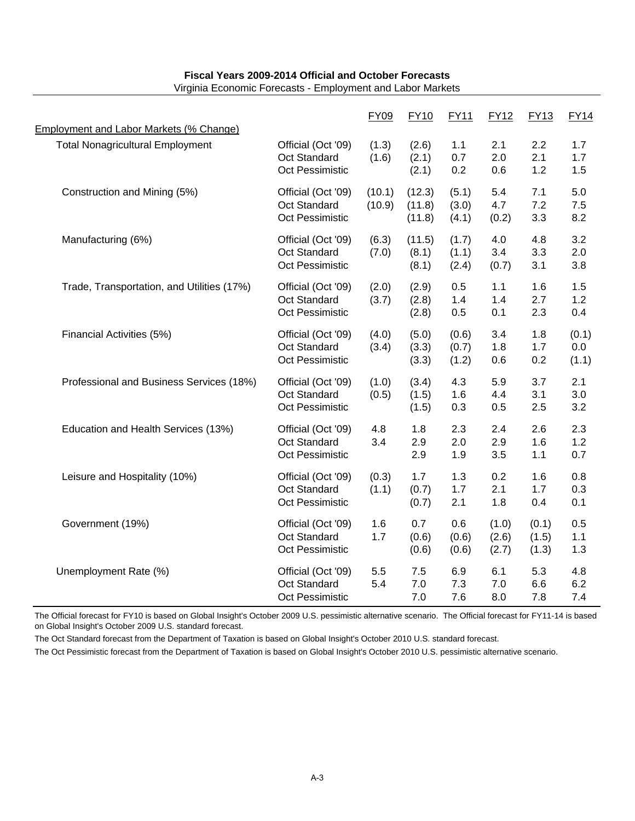| Employment and Labor Markets (% Change)    |                                                              | <b>FY09</b>      | <b>FY10</b>                | <b>FY11</b>             | <b>FY12</b>             | <b>FY13</b>             | <b>FY14</b>           |
|--------------------------------------------|--------------------------------------------------------------|------------------|----------------------------|-------------------------|-------------------------|-------------------------|-----------------------|
| <b>Total Nonagricultural Employment</b>    | Official (Oct '09)<br>Oct Standard<br>Oct Pessimistic        | (1.3)<br>(1.6)   | (2.6)<br>(2.1)<br>(2.1)    | 1.1<br>0.7<br>0.2       | 2.1<br>2.0<br>0.6       | 2.2<br>2.1<br>1.2       | 1.7<br>1.7<br>1.5     |
| Construction and Mining (5%)               | Official (Oct '09)<br>Oct Standard<br>Oct Pessimistic        | (10.1)<br>(10.9) | (12.3)<br>(11.8)<br>(11.8) | (5.1)<br>(3.0)<br>(4.1) | 5.4<br>4.7<br>(0.2)     | 7.1<br>7.2<br>3.3       | 5.0<br>7.5<br>8.2     |
| Manufacturing (6%)                         | Official (Oct '09)<br>Oct Standard<br>Oct Pessimistic        | (6.3)<br>(7.0)   | (11.5)<br>(8.1)<br>(8.1)   | (1.7)<br>(1.1)<br>(2.4) | 4.0<br>3.4<br>(0.7)     | 4.8<br>3.3<br>3.1       | 3.2<br>2.0<br>3.8     |
| Trade, Transportation, and Utilities (17%) | Official (Oct '09)<br><b>Oct Standard</b><br>Oct Pessimistic | (2.0)<br>(3.7)   | (2.9)<br>(2.8)<br>(2.8)    | 0.5<br>1.4<br>0.5       | 1.1<br>1.4<br>0.1       | 1.6<br>2.7<br>2.3       | 1.5<br>1.2<br>0.4     |
| Financial Activities (5%)                  | Official (Oct '09)<br>Oct Standard<br>Oct Pessimistic        | (4.0)<br>(3.4)   | (5.0)<br>(3.3)<br>(3.3)    | (0.6)<br>(0.7)<br>(1.2) | 3.4<br>1.8<br>0.6       | 1.8<br>1.7<br>0.2       | (0.1)<br>0.0<br>(1.1) |
| Professional and Business Services (18%)   | Official (Oct '09)<br>Oct Standard<br>Oct Pessimistic        | (1.0)<br>(0.5)   | (3.4)<br>(1.5)<br>(1.5)    | 4.3<br>1.6<br>0.3       | 5.9<br>4.4<br>0.5       | 3.7<br>3.1<br>2.5       | 2.1<br>3.0<br>3.2     |
| Education and Health Services (13%)        | Official (Oct '09)<br>Oct Standard<br>Oct Pessimistic        | 4.8<br>3.4       | 1.8<br>2.9<br>2.9          | 2.3<br>2.0<br>1.9       | 2.4<br>2.9<br>3.5       | 2.6<br>1.6<br>1.1       | 2.3<br>1.2<br>0.7     |
| Leisure and Hospitality (10%)              | Official (Oct '09)<br>Oct Standard<br>Oct Pessimistic        | (0.3)<br>(1.1)   | 1.7<br>(0.7)<br>(0.7)      | 1.3<br>1.7<br>2.1       | 0.2<br>2.1<br>1.8       | 1.6<br>1.7<br>0.4       | 0.8<br>0.3<br>0.1     |
| Government (19%)                           | Official (Oct '09)<br>Oct Standard<br>Oct Pessimistic        | 1.6<br>1.7       | 0.7<br>(0.6)<br>(0.6)      | 0.6<br>(0.6)<br>(0.6)   | (1.0)<br>(2.6)<br>(2.7) | (0.1)<br>(1.5)<br>(1.3) | 0.5<br>1.1<br>1.3     |
| Unemployment Rate (%)                      | Official (Oct '09)<br><b>Oct Standard</b><br>Oct Pessimistic | 5.5<br>5.4       | 7.5<br>7.0<br>7.0          | 6.9<br>7.3<br>7.6       | 6.1<br>7.0<br>8.0       | 5.3<br>6.6<br>7.8       | 4.8<br>6.2<br>7.4     |

Virginia Economic Forecasts - Employment and Labor Markets

The Official forecast for FY10 is based on Global Insight's October 2009 U.S. pessimistic alternative scenario. The Official forecast for FY11-14 is based on Global Insight's October 2009 U.S. standard forecast.

The Oct Standard forecast from the Department of Taxation is based on Global Insight's October 2010 U.S. standard forecast.

The Oct Pessimistic forecast from the Department of Taxation is based on Global Insight's October 2010 U.S. pessimistic alternative scenario.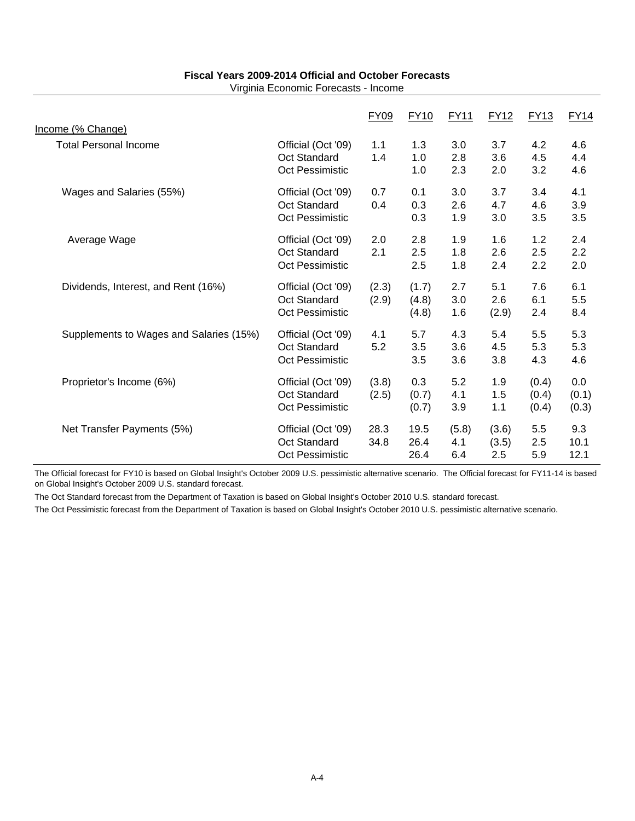Virginia Economic Forecasts - Income

|                                                   |                                                              | <b>FY09</b>    | <b>FY10</b>             | FY11                | <b>FY12</b>           | <b>FY13</b>             | <b>FY14</b>           |
|---------------------------------------------------|--------------------------------------------------------------|----------------|-------------------------|---------------------|-----------------------|-------------------------|-----------------------|
| Income (% Change)<br><b>Total Personal Income</b> | Official (Oct '09)<br>Oct Standard<br>Oct Pessimistic        | 1.1<br>1.4     | 1.3<br>1.0<br>1.0       | 3.0<br>2.8<br>2.3   | 3.7<br>3.6<br>2.0     | 4.2<br>4.5<br>3.2       | 4.6<br>4.4<br>4.6     |
| Wages and Salaries (55%)                          | Official (Oct '09)<br><b>Oct Standard</b><br>Oct Pessimistic | 0.7<br>0.4     | 0.1<br>0.3<br>0.3       | 3.0<br>2.6<br>1.9   | 3.7<br>4.7<br>3.0     | 3.4<br>4.6<br>3.5       | 4.1<br>3.9<br>3.5     |
| Average Wage                                      | Official (Oct '09)<br><b>Oct Standard</b><br>Oct Pessimistic | 2.0<br>2.1     | 2.8<br>2.5<br>2.5       | 1.9<br>1.8<br>1.8   | 1.6<br>2.6<br>2.4     | 1.2<br>2.5<br>2.2       | 2.4<br>2.2<br>2.0     |
| Dividends, Interest, and Rent (16%)               | Official (Oct '09)<br>Oct Standard<br>Oct Pessimistic        | (2.3)<br>(2.9) | (1.7)<br>(4.8)<br>(4.8) | 2.7<br>3.0<br>1.6   | 5.1<br>2.6<br>(2.9)   | 7.6<br>6.1<br>2.4       | 6.1<br>5.5<br>8.4     |
| Supplements to Wages and Salaries (15%)           | Official (Oct '09)<br><b>Oct Standard</b><br>Oct Pessimistic | 4.1<br>5.2     | 5.7<br>3.5<br>3.5       | 4.3<br>3.6<br>3.6   | 5.4<br>4.5<br>3.8     | 5.5<br>5.3<br>4.3       | 5.3<br>5.3<br>4.6     |
| Proprietor's Income (6%)                          | Official (Oct '09)<br><b>Oct Standard</b><br>Oct Pessimistic | (3.8)<br>(2.5) | 0.3<br>(0.7)<br>(0.7)   | 5.2<br>4.1<br>3.9   | 1.9<br>1.5<br>1.1     | (0.4)<br>(0.4)<br>(0.4) | 0.0<br>(0.1)<br>(0.3) |
| Net Transfer Payments (5%)                        | Official (Oct '09)<br><b>Oct Standard</b><br>Oct Pessimistic | 28.3<br>34.8   | 19.5<br>26.4<br>26.4    | (5.8)<br>4.1<br>6.4 | (3.6)<br>(3.5)<br>2.5 | 5.5<br>2.5<br>5.9       | 9.3<br>10.1<br>12.1   |

The Official forecast for FY10 is based on Global Insight's October 2009 U.S. pessimistic alternative scenario. The Official forecast for FY11-14 is based on Global Insight's October 2009 U.S. standard forecast.

The Oct Standard forecast from the Department of Taxation is based on Global Insight's October 2010 U.S. standard forecast.

The Oct Pessimistic forecast from the Department of Taxation is based on Global Insight's October 2010 U.S. pessimistic alternative scenario.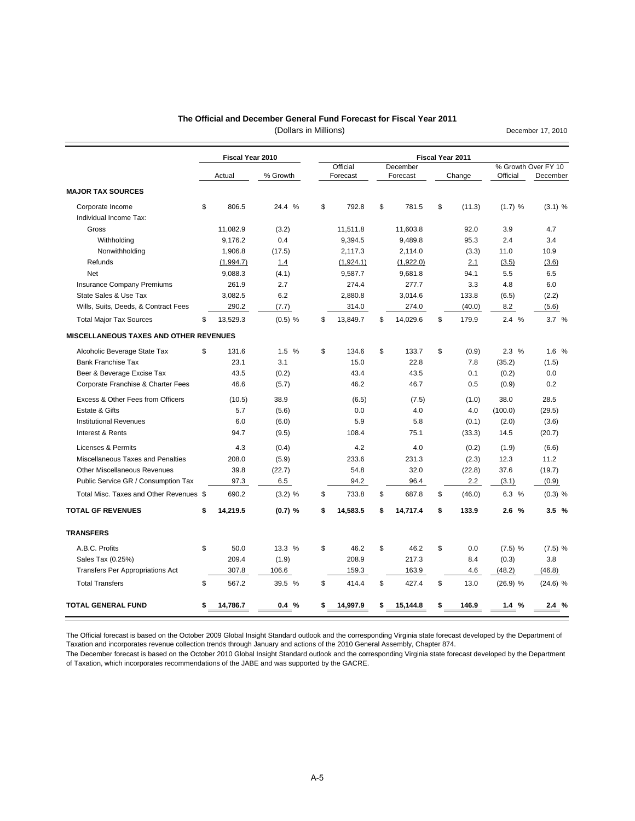#### **The Official and December General Fund Forecast for Fiscal Year 2011**

(Dollars in Millions)

December 17, 2010

|                                         | Fiscal Year 2010 |           |    | Fiscal Year 2011 |    |           |    |        |            |                     |  |
|-----------------------------------------|------------------|-----------|----|------------------|----|-----------|----|--------|------------|---------------------|--|
|                                         |                  |           |    | Official         |    | December  |    |        |            | % Growth Over FY 10 |  |
|                                         | Actual           | % Growth  |    | Forecast         |    | Forecast  |    | Change | Official   | December            |  |
| <b>MAJOR TAX SOURCES</b>                |                  |           |    |                  |    |           |    |        |            |                     |  |
| Corporate Income                        | \$<br>806.5      | 24.4 %    | \$ | 792.8            | \$ | 781.5     | \$ | (11.3) | (1.7) %    | $(3.1)$ %           |  |
| Individual Income Tax:                  |                  |           |    |                  |    |           |    |        |            |                     |  |
| Gross                                   | 11,082.9         | (3.2)     |    | 11,511.8         |    | 11,603.8  |    | 92.0   | 3.9        | 4.7                 |  |
| Withholding                             | 9,176.2          | 0.4       |    | 9,394.5          |    | 9,489.8   |    | 95.3   | 2.4        | 3.4                 |  |
| Nonwithholding                          | 1,906.8          | (17.5)    |    | 2,117.3          |    | 2,114.0   |    | (3.3)  | 11.0       | 10.9                |  |
| Refunds                                 | (1,994.7)        | 1.4       |    | (1,924.1)        |    | (1,922.0) |    | 2.1    | (3.5)      | (3.6)               |  |
| Net                                     | 9,088.3          | (4.1)     |    | 9,587.7          |    | 9,681.8   |    | 94.1   | 5.5        | 6.5                 |  |
| Insurance Company Premiums              | 261.9            | 2.7       |    | 274.4            |    | 277.7     |    | 3.3    | 4.8        | 6.0                 |  |
| State Sales & Use Tax                   | 3,082.5          | 6.2       |    | 2,880.8          |    | 3,014.6   |    | 133.8  | (6.5)      | (2.2)               |  |
| Wills, Suits, Deeds, & Contract Fees    | 290.2            | (7.7)     |    | 314.0            |    | 274.0     |    | (40.0) | 8.2        | (5.6)               |  |
| <b>Total Major Tax Sources</b>          | \$<br>13,529.3   | $(0.5)$ % | \$ | 13,849.7         | \$ | 14,029.6  | \$ | 179.9  | 2.4%       | 3.7%                |  |
| MISCELLANEOUS TAXES AND OTHER REVENUES  |                  |           |    |                  |    |           |    |        |            |                     |  |
| Alcoholic Beverage State Tax            | \$<br>131.6      | 1.5 %     | \$ | 134.6            | \$ | 133.7     | \$ | (0.9)  | 2.3%       | 1.6 %               |  |
| <b>Bank Franchise Tax</b>               | 23.1             | 3.1       |    | 15.0             |    | 22.8      |    | 7.8    | (35.2)     | (1.5)               |  |
| Beer & Beverage Excise Tax              | 43.5             | (0.2)     |    | 43.4             |    | 43.5      |    | 0.1    | (0.2)      | 0.0                 |  |
| Corporate Franchise & Charter Fees      | 46.6             | (5.7)     |    | 46.2             |    | 46.7      |    | 0.5    | (0.9)      | 0.2                 |  |
| Excess & Other Fees from Officers       | (10.5)           | 38.9      |    | (6.5)            |    | (7.5)     |    | (1.0)  | 38.0       | 28.5                |  |
| Estate & Gifts                          | 5.7              | (5.6)     |    | 0.0              |    | 4.0       |    | 4.0    | (100.0)    | (29.5)              |  |
| <b>Institutional Revenues</b>           | 6.0              | (6.0)     |    | 5.9              |    | 5.8       |    | (0.1)  | (2.0)      | (3.6)               |  |
| Interest & Rents                        | 94.7             | (9.5)     |    | 108.4            |    | 75.1      |    | (33.3) | 14.5       | (20.7)              |  |
| Licenses & Permits                      | 4.3              | (0.4)     |    | 4.2              |    | 4.0       |    | (0.2)  | (1.9)      | (6.6)               |  |
| Miscellaneous Taxes and Penalties       | 208.0            | (5.9)     |    | 233.6            |    | 231.3     |    | (2.3)  | 12.3       | 11.2                |  |
| <b>Other Miscellaneous Revenues</b>     | 39.8             | (22.7)    |    | 54.8             |    | 32.0      |    | (22.8) | 37.6       | (19.7)              |  |
| Public Service GR / Consumption Tax     | 97.3             | 6.5       |    | 94.2             |    | 96.4      |    | 2.2    | (3.1)      | (0.9)               |  |
| Total Misc. Taxes and Other Revenues \$ | 690.2            | $(3.2)$ % | \$ | 733.8            | \$ | 687.8     | \$ | (46.0) | 6.3 %      | $(0.3)$ %           |  |
| <b>TOTAL GF REVENUES</b>                | \$<br>14,219.5   | $(0.7)$ % | \$ | 14,583.5         | \$ | 14,717.4  | \$ | 133.9  | 2.6%       | 3.5%                |  |
| <b>TRANSFERS</b>                        |                  |           |    |                  |    |           |    |        |            |                     |  |
| A.B.C. Profits                          | \$<br>50.0       | 13.3 %    | \$ | 46.2             | \$ | 46.2      | \$ | 0.0    | $(7.5)$ %  | $(7.5)$ %           |  |
| Sales Tax (0.25%)                       | 209.4            | (1.9)     |    | 208.9            |    | 217.3     |    | 8.4    | (0.3)      | 3.8                 |  |
| <b>Transfers Per Appropriations Act</b> | 307.8            | 106.6     |    | 159.3            |    | 163.9     |    | 4.6    | (48.2)     | (46.8)              |  |
| <b>Total Transfers</b>                  | \$<br>567.2      | 39.5 %    | \$ | 414.4            | \$ | 427.4     | \$ | 13.0   | $(26.9)$ % | $(24.6)$ %          |  |
| <b>TOTAL GENERAL FUND</b>               | \$<br>14,786.7   | 0.4%      | \$ | 14,997.9         | \$ | 15,144.8  | \$ | 146.9  | 1.4%       | 2.4%                |  |

The Official forecast is based on the October 2009 Global Insight Standard outlook and the corresponding Virginia state forecast developed by the Department of Taxation and incorporates revenue collection trends through January and actions of the 2010 General Assembly, Chapter 874.

The December forecast is based on the October 2010 Global Insight Standard outlook and the corresponding Virginia state forecast developed by the Department of Taxation, which incorporates recommendations of the JABE and was supported by the GACRE.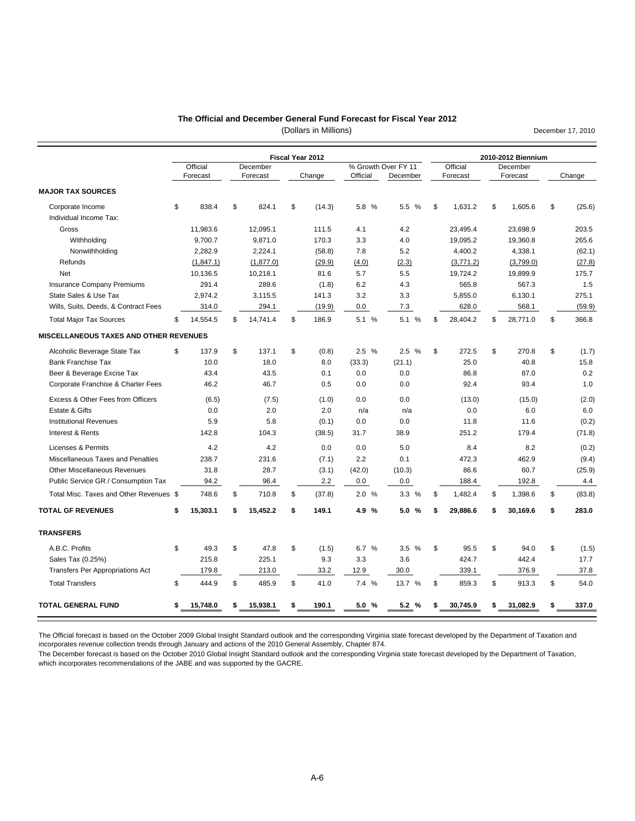#### **The Official and December General Fund Forecast for Fiscal Year 2012**

(Dollars in Millions)

|                                         |                      |                      | Fiscal Year 2012 |                                 |          |                      | 2010-2012 Biennium |                      |    |        |  |  |
|-----------------------------------------|----------------------|----------------------|------------------|---------------------------------|----------|----------------------|--------------------|----------------------|----|--------|--|--|
|                                         | Official<br>Forecast | December<br>Forecast | Change           | % Growth Over FY 11<br>Official | December | Official<br>Forecast |                    | December<br>Forecast |    | Change |  |  |
|                                         |                      |                      |                  |                                 |          |                      |                    |                      |    |        |  |  |
| <b>MAJOR TAX SOURCES</b>                |                      |                      |                  |                                 |          |                      |                    |                      |    |        |  |  |
| Corporate Income                        | \$<br>838.4          | \$<br>824.1          | \$<br>(14.3)     | 5.8 %                           | 5.5 %    | \$<br>1,631.2        | \$                 | 1,605.6              | \$ | (25.6) |  |  |
| Individual Income Tax:                  |                      |                      |                  |                                 |          |                      |                    |                      |    |        |  |  |
| Gross                                   | 11,983.6             | 12,095.1             | 111.5            | 4.1                             | 4.2      | 23,495.4             |                    | 23,698.9             |    | 203.5  |  |  |
| Withholding                             | 9.700.7              | 9,871.0              | 170.3            | 3.3                             | 4.0      | 19,095.2             |                    | 19,360.8             |    | 265.6  |  |  |
| Nonwithholding                          | 2.282.9              | 2,224.1              | (58.8)           | 7.8                             | 5.2      | 4,400.2              |                    | 4,338.1              |    | (62.1) |  |  |
| Refunds                                 | (1,847.1)            | (1, 877.0)           | (29.9)           | (4.0)                           | (2.3)    | (3,771.2)            |                    | (3,799.0)            |    | (27.8) |  |  |
| Net                                     | 10,136.5             | 10,218.1             | 81.6             | 5.7                             | 5.5      | 19,724.2             |                    | 19,899.9             |    | 175.7  |  |  |
| <b>Insurance Company Premiums</b>       | 291.4                | 289.6                | (1.8)            | 6.2                             | 4.3      | 565.8                |                    | 567.3                |    | 1.5    |  |  |
| State Sales & Use Tax                   | 2,974.2              | 3,115.5              | 141.3            | 3.2                             | 3.3      | 5,855.0              |                    | 6,130.1              |    | 275.1  |  |  |
| Wills, Suits, Deeds, & Contract Fees    | 314.0                | 294.1                | (19.9)           | 0.0                             | 7.3      | 628.0                |                    | 568.1                |    | (59.9) |  |  |
| <b>Total Major Tax Sources</b>          | \$<br>14,554.5       | \$<br>14,741.4       | \$<br>186.9      | 5.1 %                           | 5.1 %    | \$<br>28,404.2       | \$                 | 28,771.0             | \$ | 366.8  |  |  |
| MISCELLANEOUS TAXES AND OTHER REVENUES  |                      |                      |                  |                                 |          |                      |                    |                      |    |        |  |  |
| Alcoholic Beverage State Tax            | \$<br>137.9          | \$<br>137.1          | \$<br>(0.8)      | 2.5%                            | 2.5%     | \$<br>272.5          | \$                 | 270.8                | \$ | (1.7)  |  |  |
| <b>Bank Franchise Tax</b>               | 10.0                 | 18.0                 | 8.0              | (33.3)                          | (21.1)   | 25.0                 |                    | 40.8                 |    | 15.8   |  |  |
| Beer & Beverage Excise Tax              | 43.4                 | 43.5                 | 0.1              | 0.0                             | 0.0      | 86.8                 |                    | 87.0                 |    | 0.2    |  |  |
| Corporate Franchise & Charter Fees      | 46.2                 | 46.7                 | 0.5              | 0.0                             | 0.0      | 92.4                 |                    | 93.4                 |    | 1.0    |  |  |
| Excess & Other Fees from Officers       | (6.5)                | (7.5)                | (1.0)            | 0.0                             | 0.0      | (13.0)               |                    | (15.0)               |    | (2.0)  |  |  |
| Estate & Gifts                          | 0.0                  | 2.0                  | 2.0              | n/a                             | n/a      | 0.0                  |                    | 6.0                  |    | 6.0    |  |  |
| <b>Institutional Revenues</b>           | 5.9                  | 5.8                  | (0.1)            | 0.0                             | 0.0      | 11.8                 |                    | 11.6                 |    | (0.2)  |  |  |
| Interest & Rents                        | 142.8                | 104.3                | (38.5)           | 31.7                            | 38.9     | 251.2                |                    | 179.4                |    | (71.8) |  |  |
| Licenses & Permits                      | 4.2                  | 4.2                  | 0.0              | 0.0                             | 5.0      | 8.4                  |                    | 8.2                  |    | (0.2)  |  |  |
| Miscellaneous Taxes and Penalties       | 238.7                | 231.6                | (7.1)            | 2.2                             | 0.1      | 472.3                |                    | 462.9                |    | (9.4)  |  |  |
| <b>Other Miscellaneous Revenues</b>     | 31.8                 | 28.7                 | (3.1)            | (42.0)                          | (10.3)   | 86.6                 |                    | 60.7                 |    | (25.9) |  |  |
| Public Service GR / Consumption Tax     | 94.2                 | 96.4                 | 2.2              | 0.0                             | 0.0      | 188.4                |                    | 192.8                |    | 4.4    |  |  |
| Total Misc. Taxes and Other Revenues \$ | 748.6                | \$<br>710.8          | \$<br>(37.8)     | 2.0%                            | 3.3%     | \$<br>1,482.4        | \$                 | 1,398.6              | \$ | (83.8) |  |  |
| <b>TOTAL GF REVENUES</b>                | \$<br>15,303.1       | \$<br>15,452.2       | \$<br>149.1      | 4.9 %                           | 5.0%     | \$<br>29,886.6       | \$                 | 30,169.6             | \$ | 283.0  |  |  |
| <b>TRANSFERS</b>                        |                      |                      |                  |                                 |          |                      |                    |                      |    |        |  |  |
| A.B.C. Profits                          | \$<br>49.3           | \$<br>47.8           | \$<br>(1.5)      | 6.7 %                           | 3.5 %    | \$<br>95.5           | \$                 | 94.0                 | \$ | (1.5)  |  |  |
| Sales Tax (0.25%)                       | 215.8                | 225.1                | 9.3              | 3.3                             | 3.6      | 424.7                |                    | 442.4                |    | 17.7   |  |  |
| <b>Transfers Per Appropriations Act</b> | 179.8                | 213.0                | 33.2             | 12.9                            | 30.0     | 339.1                |                    | 376.9                |    | 37.8   |  |  |
| <b>Total Transfers</b>                  | \$<br>444.9          | \$<br>485.9          | \$<br>41.0       | 7.4 %                           | 13.7 %   | \$<br>859.3          | \$                 | 913.3                | \$ | 54.0   |  |  |
|                                         |                      |                      |                  |                                 |          |                      |                    |                      |    |        |  |  |

The Official forecast is based on the October 2009 Global Insight Standard outlook and the corresponding Virginia state forecast developed by the Department of Taxation and incorporates revenue collection trends through January and actions of the 2010 General Assembly, Chapter 874.

The December forecast is based on the October 2010 Global Insight Standard outlook and the corresponding Virginia state forecast developed by the Department of Taxation, which incorporates recommendations of the JABE and was supported by the GACRE.

December 17, 2010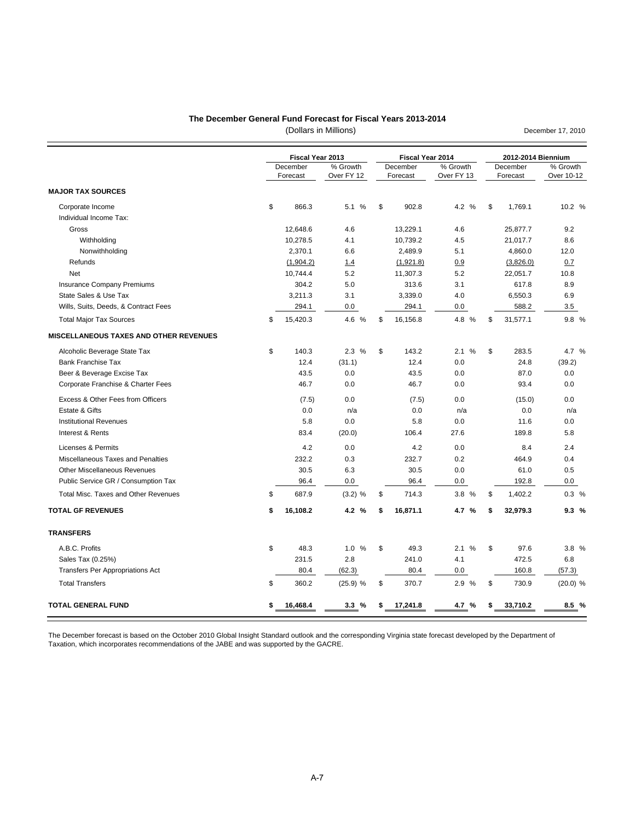#### **The December General Fund Forecast for Fiscal Years 2013-2014**

(Dollars in Millions)

December 17, 2010

|                                            | Fiscal Year 2013     |                        | Fiscal Year 2014     |                        |                      | 2012-2014 Biennium |                        |  |
|--------------------------------------------|----------------------|------------------------|----------------------|------------------------|----------------------|--------------------|------------------------|--|
|                                            | December<br>Forecast | % Growth<br>Over FY 12 | December<br>Forecast | % Growth<br>Over FY 13 | December<br>Forecast |                    | % Growth<br>Over 10-12 |  |
| <b>MAJOR TAX SOURCES</b>                   |                      |                        |                      |                        |                      |                    |                        |  |
| Corporate Income<br>Individual Income Tax: | \$<br>866.3          | 5.1 %                  | \$<br>902.8          | 4.2 %                  | \$                   | 1.769.1            | 10.2 %                 |  |
| Gross                                      | 12,648.6             | 4.6                    | 13,229.1             | 4.6                    |                      | 25,877.7           | 9.2                    |  |
| Withholding                                | 10,278.5             | 4.1                    | 10,739.2             | 4.5                    |                      | 21,017.7           | 8.6                    |  |
| Nonwithholding                             | 2,370.1              | 6.6                    | 2,489.9              | 5.1                    |                      | 4,860.0            | 12.0                   |  |
| Refunds                                    | (1,904.2)            | 1.4                    | (1,921.8)            | 0.9                    |                      | (3,826.0)          | 0.7                    |  |
| Net                                        | 10,744.4             | 5.2                    | 11,307.3             | 5.2                    |                      | 22,051.7           | 10.8                   |  |
| <b>Insurance Company Premiums</b>          | 304.2                | 5.0                    | 313.6                | 3.1                    |                      | 617.8              | 8.9                    |  |
| State Sales & Use Tax                      | 3,211.3              | 3.1                    | 3,339.0              | 4.0                    |                      | 6,550.3            | 6.9                    |  |
| Wills, Suits, Deeds, & Contract Fees       | 294.1                | 0.0                    | 294.1                | 0.0                    |                      | 588.2              | 3.5                    |  |
| <b>Total Major Tax Sources</b>             | \$<br>15,420.3       | 4.6 %                  | \$<br>16,156.8       | 4.8 %                  | \$                   | 31,577.1           | 9.8 %                  |  |
| MISCELLANEOUS TAXES AND OTHER REVENUES     |                      |                        |                      |                        |                      |                    |                        |  |
| Alcoholic Beverage State Tax               | \$<br>140.3          | 2.3%                   | \$<br>143.2          | %<br>2.1               | \$                   | 283.5              | 4.7 %                  |  |
| <b>Bank Franchise Tax</b>                  | 12.4                 | (31.1)                 | 12.4                 | 0.0                    |                      | 24.8               | (39.2)                 |  |
| Beer & Beverage Excise Tax                 | 43.5                 | 0.0                    | 43.5                 | 0.0                    |                      | 87.0               | 0.0                    |  |
| Corporate Franchise & Charter Fees         | 46.7                 | 0.0                    | 46.7                 | 0.0                    |                      | 93.4               | 0.0                    |  |
| Excess & Other Fees from Officers          | (7.5)                | 0.0                    | (7.5)                | 0.0                    |                      | (15.0)             | 0.0                    |  |
| Estate & Gifts                             | 0.0                  | n/a                    | 0.0                  | n/a                    |                      | 0.0                | n/a                    |  |
| <b>Institutional Revenues</b>              | 5.8                  | 0.0                    | 5.8                  | 0.0                    |                      | 11.6               | 0.0                    |  |
| Interest & Rents                           | 83.4                 | (20.0)                 | 106.4                | 27.6                   |                      | 189.8              | 5.8                    |  |
| Licenses & Permits                         | 4.2                  | 0.0                    | 4.2                  | 0.0                    |                      | 8.4                | 2.4                    |  |
| Miscellaneous Taxes and Penalties          | 232.2                | 0.3                    | 232.7                | 0.2                    |                      | 464.9              | 0.4                    |  |
| <b>Other Miscellaneous Revenues</b>        | 30.5                 | 6.3                    | 30.5                 | 0.0                    |                      | 61.0               | 0.5                    |  |
| Public Service GR / Consumption Tax        | 96.4                 | 0.0                    | 96.4                 | 0.0                    |                      | 192.8              | 0.0                    |  |
| Total Misc. Taxes and Other Revenues       | \$<br>687.9          | $(3.2)$ %              | \$<br>714.3          | 3.8 %                  | \$                   | 1,402.2            | 0.3%                   |  |
| <b>TOTAL GF REVENUES</b>                   | \$<br>16,108.2       | 4.2 %                  | \$<br>16,871.1       | 4.7 %                  | \$                   | 32,979.3           | 9.3%                   |  |
| <b>TRANSFERS</b>                           |                      |                        |                      |                        |                      |                    |                        |  |
| A.B.C. Profits                             | \$<br>48.3           | 1.0%                   | \$<br>49.3           | 2.1%                   | \$                   | 97.6               | 3.8%                   |  |
| Sales Tax (0.25%)                          | 231.5                | 2.8                    | 241.0                | 4.1                    |                      | 472.5              | 6.8                    |  |
| Transfers Per Appropriations Act           | 80.4                 | (62.3)                 | 80.4                 | 0.0                    |                      | 160.8              | (57.3)                 |  |
| <b>Total Transfers</b>                     | \$<br>360.2          | (25.9) %               | \$<br>370.7          | 2.9 %                  | \$                   | 730.9              | (20.0) %               |  |
| <b>TOTAL GENERAL FUND</b>                  | \$<br>16,468.4       | 3.3%                   | \$<br>17,241.8       | 4.7 %                  | \$                   | 33,710.2           | 8.5%                   |  |

The December forecast is based on the October 2010 Global Insight Standard outlook and the corresponding Virginia state forecast developed by the Department of Taxation, which incorporates recommendations of the JABE and was supported by the GACRE.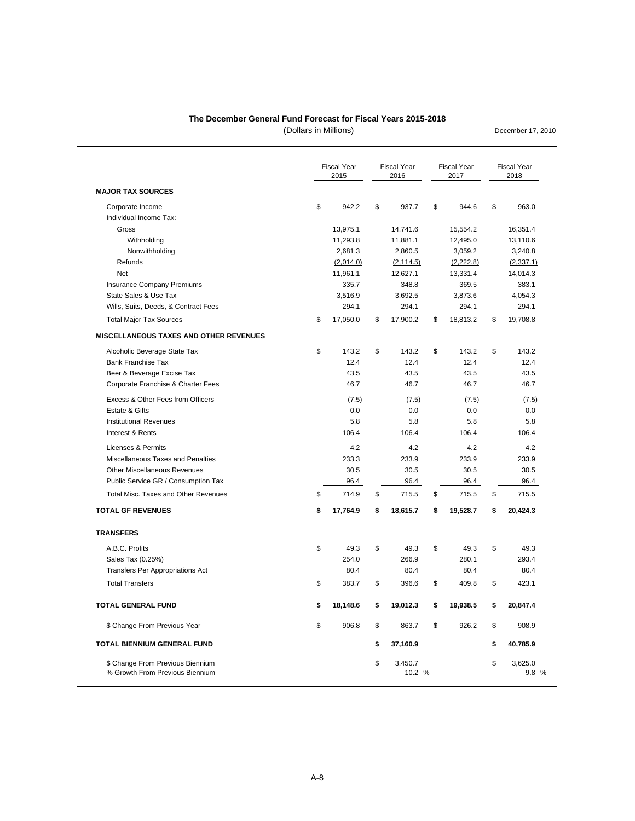#### **The December General Fund Forecast for Fiscal Years 2015-2018**

(Dollars in Millions)

December 17, 2010

÷,

| <b>MAJOR TAX SOURCES</b>                                            | <b>Fiscal Year</b><br>2015 | <b>Fiscal Year</b><br>2016 | <b>Fiscal Year</b><br>2017 | <b>Fiscal Year</b><br>2018 |
|---------------------------------------------------------------------|----------------------------|----------------------------|----------------------------|----------------------------|
| Corporate Income                                                    | \$<br>942.2                | \$<br>937.7                | \$<br>944.6                | \$<br>963.0                |
| Individual Income Tax:                                              |                            |                            |                            |                            |
| Gross                                                               | 13,975.1                   | 14,741.6                   | 15,554.2                   | 16,351.4                   |
| Withholding                                                         | 11,293.8                   | 11,881.1                   | 12,495.0                   | 13,110.6                   |
| Nonwithholding                                                      | 2,681.3                    | 2,860.5                    | 3,059.2                    | 3,240.8                    |
| Refunds                                                             | (2,014.0)                  | (2, 114.5)                 | (2,222.8)                  | (2, 337.1)                 |
| Net                                                                 | 11,961.1                   | 12,627.1                   | 13,331.4                   | 14,014.3                   |
| <b>Insurance Company Premiums</b>                                   | 335.7                      | 348.8                      | 369.5                      | 383.1                      |
| State Sales & Use Tax                                               | 3,516.9                    | 3,692.5                    | 3,873.6                    | 4,054.3                    |
| Wills, Suits, Deeds, & Contract Fees                                | 294.1                      | 294.1                      | 294.1                      | 294.1                      |
| <b>Total Major Tax Sources</b>                                      | \$<br>17,050.0             | \$<br>17,900.2             | \$<br>18,813.2             | \$<br>19,708.8             |
| <b>MISCELLANEOUS TAXES AND OTHER REVENUES</b>                       |                            |                            |                            |                            |
| Alcoholic Beverage State Tax                                        | \$<br>143.2                | \$<br>143.2                | \$<br>143.2                | \$<br>143.2                |
| <b>Bank Franchise Tax</b>                                           | 12.4                       | 12.4                       | 12.4                       | 12.4                       |
| Beer & Beverage Excise Tax                                          | 43.5                       | 43.5                       | 43.5                       | 43.5                       |
| Corporate Franchise & Charter Fees                                  | 46.7                       | 46.7                       | 46.7                       | 46.7                       |
| Excess & Other Fees from Officers                                   | (7.5)                      | (7.5)                      | (7.5)                      | (7.5)                      |
| Estate & Gifts                                                      | 0.0                        | 0.0                        | 0.0                        | 0.0                        |
| <b>Institutional Revenues</b>                                       | 5.8                        | 5.8                        | 5.8                        | 5.8                        |
| Interest & Rents                                                    | 106.4                      | 106.4                      | 106.4                      | 106.4                      |
| Licenses & Permits                                                  | 4.2                        | 4.2                        | 4.2                        | 4.2                        |
| Miscellaneous Taxes and Penalties                                   | 233.3                      | 233.9                      | 233.9                      | 233.9                      |
| <b>Other Miscellaneous Revenues</b>                                 | 30.5                       | 30.5                       | 30.5                       | 30.5                       |
| Public Service GR / Consumption Tax                                 | 96.4                       | 96.4                       | 96.4                       | 96.4                       |
| Total Misc. Taxes and Other Revenues                                | \$<br>714.9                | \$<br>715.5                | \$<br>715.5                | \$<br>715.5                |
| <b>TOTAL GF REVENUES</b>                                            | \$<br>17,764.9             | \$<br>18,615.7             | \$<br>19,528.7             | \$<br>20,424.3             |
| <b>TRANSFERS</b>                                                    |                            |                            |                            |                            |
| A.B.C. Profits                                                      | \$<br>49.3                 | \$<br>49.3                 | \$<br>49.3                 | \$<br>49.3                 |
| Sales Tax (0.25%)                                                   | 254.0                      | 266.9                      | 280.1                      | 293.4                      |
| <b>Transfers Per Appropriations Act</b>                             | 80.4                       | 80.4                       | 80.4                       | 80.4                       |
| <b>Total Transfers</b>                                              | \$<br>383.7                | \$<br>396.6                | \$<br>409.8                | \$<br>423.1                |
| <b>TOTAL GENERAL FUND</b>                                           | \$<br>18,148.6             | \$<br>19,012.3             | \$<br>19,938.5             | \$<br>20,847.4             |
| \$ Change From Previous Year                                        | \$<br>906.8                | \$<br>863.7                | \$<br>926.2                | \$<br>908.9                |
| TOTAL BIENNIUM GENERAL FUND                                         |                            | \$<br>37,160.9             |                            | \$<br>40,785.9             |
|                                                                     |                            |                            |                            |                            |
| \$ Change From Previous Biennium<br>% Growth From Previous Biennium |                            | \$<br>3,450.7<br>10.2 %    |                            | \$<br>3,625.0<br>9.8 %     |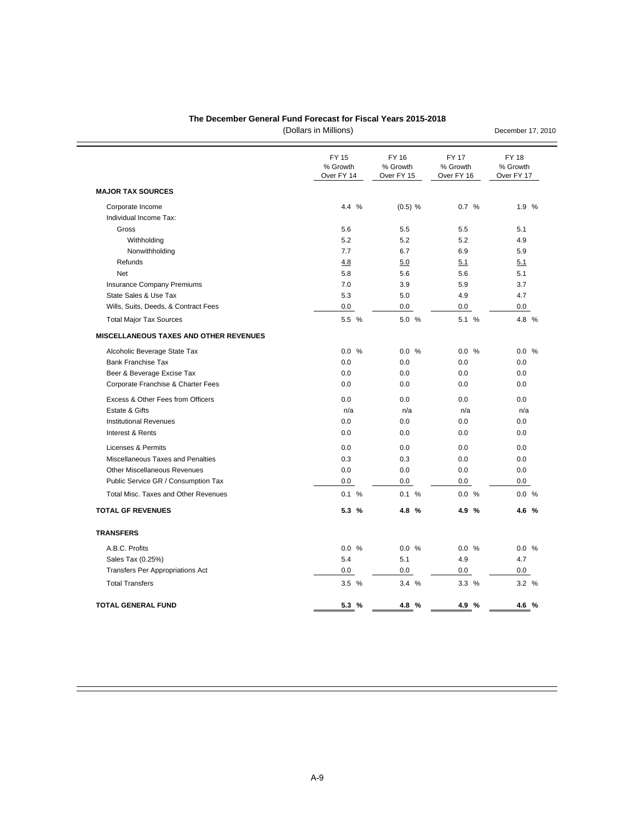#### **The December General Fund Forecast for Fiscal Years 2015-2018**

(Dollars in Millions)

**MAJOR TAX SOURCES** Corporate Income 6 1.9 % 0.7 % 1.9 % 0.7 % 1.9 % 0.7 % 1.9 % 0.7 % 1.9 % 0.7 % 1.9 % 0.7 % 1.9 % 0.7 % 1.9 % 0.7 % 1.9 % 0.7 % 1.9 % 0.7 % 1.9 % 0.7 % 0.7 % 1.9 % 0.7 % 0.7 % 0.7 % 0.7 % 0.7 % 0.7 % 0.7 % 0.7 % 0.7 % 0.7 % Individual Income Tax: Gross 5.6 5.5 5.5 5.1 Withholding 5.2 5.2 5.2 4.9 Nonwithholding 7.7 6.7 6.9 5.9 Refunds  $\begin{array}{cccc} 5.1 & 5.1 \end{array}$ Net 5.8 5.6 5.6 5.1 Insurance Company Premiums **7.0** 3.9 5.9 3.7 State Sales & Use Tax 5.3 5.0 4.9 4.7 Wills, Suits, Deeds, & Contract Fees 0.0 0.0 0.0 0.0 Total Major Tax Sources 5.5 % 5.0 % 5.1 % 4.8 % **MISCELLANEOUS TAXES AND OTHER REVENUES** Alcoholic Beverage State Tax  $0.0 \frac{96}{1000}$  0.0 % 0.0 % 0.0 % 0.0 % 0.0 % Bank Franchise Tax 0.0 0.0 0.0 0.0 Beer & Beverage Excise Tax 0.0 0.0 0.0 0.0 Corporate Franchise & Charter Fees 0.0 0.0 0.0 0.0 Excess & Other Fees from Officers 0.0 0.0 0.0 0.0 Estate & Gifts n/a n/a n/a n/a Institutional Revenues 0.0 0.0 0.0 0.0 Interest & Rents 0.0 0.0 0.0 0.0 Licenses & Permits **Calculation Contract Contract Contract Contract Contract Contract Contract Contract Contract Contract Contract Contract Contract Contract Contract Contract Contract Contract Contract Contract Contract C** Miscellaneous Taxes and Penalties 0.3 0.3 0.0 0.0 Other Miscellaneous Revenues 0.0 0.0 0.0 0.0 Public Service GR / Consumption Tax 0.0 0.0 0.0 0.0 Total Misc. Taxes and Other Revenues 10.1 % 0.1 % 0.1 % 0.0 % 0.0 % 0.0 % 0.0 % 0.0 % 0.0 % 0.0 % 0.0 % 0.0 % 0.0 % 0.0 % 0.0 % 0.0 % 0.0 % 0.0 % 0.0 % 0.0 % 0.0 % 0.0 % 0.0 % 0.0 % 0.0 % 0.0 % 0.0 % 0.0 % 0.0 % 0.0 % 0.0 **TOTAL GF REVENUES 5.3 % 4.8 % 4.9 % 4.6 % TRANSFERS** A.B.C. Profits 0.0 % 0.0 % 0.0 % 0.0 % Sales Tax (0.25%) 5.4 5.1 4.9 4.7 Transfers Per Appropriations Act  $\begin{array}{cccc} 0.0 & 0.0 & 0.0 & 0.0 & 0.0 \end{array}$  0.0 0.0 0.0 Total Transfers 3.5 % 3.4 % 3.3 % 3.2 % **TOTAL GENERAL FUND 5.3 % 4.8 % 4.9 % 4.6 %** FY 17 FY 18 FY 15 FY 16 % Growth % Growth % Growth % Growth % Growth % Growth % Growth % Growth % Growth % Growth % Growth % Growth % G Over FY 16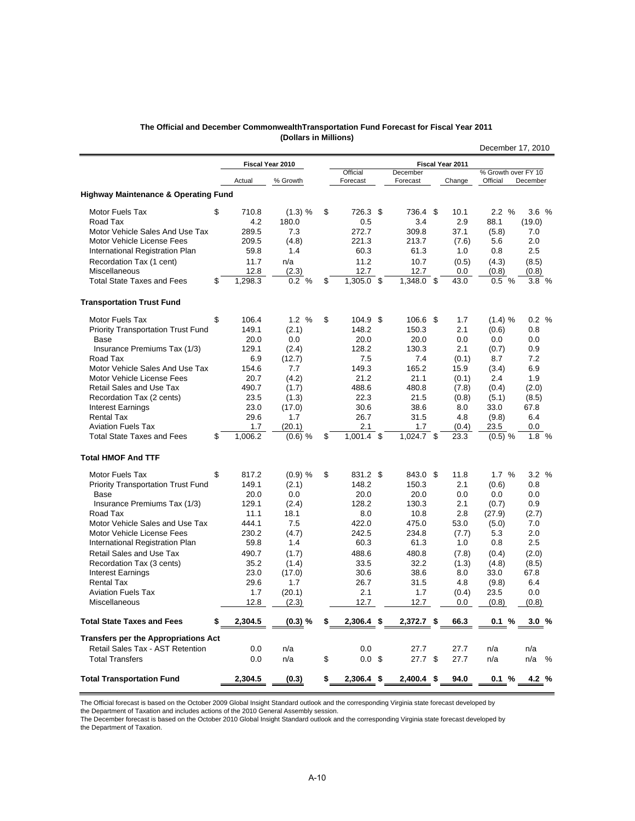|                                                 | Actual        | % Growth  | Forecast           | Forecast         | Change  | Official  | December             |
|-------------------------------------------------|---------------|-----------|--------------------|------------------|---------|-----------|----------------------|
| <b>Highway Maintenance &amp; Operating Fund</b> |               |           |                    |                  |         |           |                      |
| Motor Fuels Tax                                 | \$<br>710.8   | (1.3) %   | \$<br>726.3 \$     | 736.4 \$         | 10.1    | 2.2%      | 3.6%                 |
| Road Tax                                        | 4.2           | 180.0     | 0.5                | 3.4              | 2.9     | 88.1      | (19.0)               |
| Motor Vehicle Sales And Use Tax                 | 289.5         | 7.3       | 272.7              | 309.8            | 37.1    | (5.8)     | 7.0                  |
| Motor Vehicle License Fees                      | 209.5         | (4.8)     | 221.3              | 213.7            | (7.6)   | 5.6       | 2.0                  |
| International Registration Plan                 | 59.8          | 1.4       | 60.3               | 61.3             | 1.0     | 0.8       | 2.5                  |
| Recordation Tax (1 cent)                        | 11.7          | n/a       | 11.2               | 10.7             | (0.5)   | (4.3)     | (8.5)                |
| Miscellaneous                                   | 12.8          | (2.3)     | 12.7               | 12.7             | 0.0     | (0.8)     | (0.8)                |
| <b>Total State Taxes and Fees</b>               | \$<br>1,298.3 | 0.2 %     | \$<br>$1,305.0$ \$ | 1,348.0 \$       | 43.0    | 0.5%      | 3.8%                 |
| <b>Transportation Trust Fund</b>                |               |           |                    |                  |         |           |                      |
| <b>Motor Fuels Tax</b>                          | \$<br>106.4   | 1.2%      | \$<br>$104.9$ \$   | 106.6 \$         | 1.7     | (1.4) %   | 0.2 %                |
| Priority Transportation Trust Fund              | 149.1         | (2.1)     | 148.2              | 150.3            | 2.1     | (0.6)     | 0.8                  |
| Base                                            | 20.0          | 0.0       | 20.0               | 20.0             | 0.0     | 0.0       | 0.0                  |
| Insurance Premiums Tax (1/3)                    | 129.1         | (2.4)     | 128.2              | 130.3            | 2.1     | (0.7)     | 0.9                  |
| Road Tax                                        | 6.9           | (12.7)    | 7.5                | 7.4              | (0.1)   | 8.7       | 7.2                  |
| Motor Vehicle Sales And Use Tax                 | 154.6         | 7.7       | 149.3              | 165.2            | 15.9    | (3.4)     | 6.9                  |
| Motor Vehicle License Fees                      | 20.7          | (4.2)     | 21.2               | 21.1             | (0.1)   | 2.4       | 1.9                  |
| Retail Sales and Use Tax                        | 490.7         | (1.7)     | 488.6              | 480.8            | (7.8)   | (0.4)     | (2.0)                |
| Recordation Tax (2 cents)                       | 23.5          | (1.3)     | 22.3               | 21.5             | (0.8)   | (5.1)     | (8.5)                |
| <b>Interest Earnings</b>                        | 23.0          | (17.0)    | 30.6               | 38.6             | 8.0     | 33.0      | 67.8                 |
| <b>Rental Tax</b>                               | 29.6          | 1.7       | 26.7               | 31.5             | 4.8     | (9.8)     | 6.4                  |
| <b>Aviation Fuels Tax</b>                       | 1.7           | (20.1)    | 2.1                | 1.7              | (0.4)   | 23.5      | 0.0                  |
| <b>Total State Taxes and Fees</b>               | \$<br>1.006.2 | $(0.6)$ % | \$<br>1.001.4      | \$<br>1,024.7 \$ | 23.3    | $(0.5)$ % | 1.8<br>$\frac{0}{6}$ |
| <b>Total HMOF And TTF</b>                       |               |           |                    |                  |         |           |                      |
| <b>Motor Fuels Tax</b>                          | \$<br>817.2   | (0.9) %   | \$<br>831.2 \$     | 843.0 \$         | 11.8    | 1.7%      | 3.2%                 |
| <b>Priority Transportation Trust Fund</b>       | 149.1         | (2.1)     | 148.2              | 150.3            | 2.1     | (0.6)     | 0.8                  |
| Base                                            | 20.0          | 0.0       | 20.0               | 20.0             | 0.0     | 0.0       | 0.0                  |
| Insurance Premiums Tax (1/3)                    | 129.1         | (2.4)     | 128.2              | 130.3            | 2.1     | (0.7)     | 0.9                  |
| Road Tax                                        | 11.1          | 18.1      | 8.0                | 10.8             | 2.8     | (27.9)    | (2.7)                |
| Motor Vehicle Sales and Use Tax                 | 444.1         | 7.5       | 422.0              | 475.0            | 53.0    | (5.0)     | 7.0                  |
| Motor Vehicle License Fees                      | 230.2         | (4.7)     | 242.5              | 234.8            | (7.7)   | 5.3       | 2.0                  |
| International Registration Plan                 | 59.8          | 1.4       | 60.3               | 61.3             | 1.0     | 0.8       | 2.5                  |
| <b>Retail Sales and Use Tax</b>                 | 490.7         | (1.7)     | 488.6              | 480.8            | (7.8)   | (0.4)     | (2.0)                |
| Recordation Tax (3 cents)                       | 35.2          | (1.4)     | 33.5               | 32.2             | (1.3)   | (4.8)     | (8.5)                |
| <b>Interest Earnings</b>                        | 23.0          | (17.0)    | 30.6               | 38.6             | 8.0     | 33.0      | 67.8                 |
| <b>Rental Tax</b>                               | 29.6          | 1.7       | 26.7               | 31.5             | 4.8     | (9.8)     | 6.4                  |
| <b>Aviation Fuels Tax</b>                       | 1.7           | (20.1)    | 2.1                | 1.7              | (0.4)   | 23.5      | 0.0                  |
| Miscellaneous                                   | 12.8          | (2.3)     | 12.7               | 12.7             | $0.0\,$ | (0.8)     | (0.8)                |
| <b>Total State Taxes and Fees</b>               | 2,304.5       | (0.3) %   | $2,306.4$ \$       | $2,372.7$ \$     | 66.3    | 0.1%      | 3.0%                 |
| <b>Transfers per the Appropriations Act</b>     |               |           |                    |                  |         |           |                      |
| Retail Sales Tax - AST Retention                | 0.0           | n/a       | 0.0                | 27.7             | 27.7    | n/a       | n/a                  |

#### **The Official and December CommonwealthTransportation Fund Forecast for Fiscal Year 2011 (Dollars in Millions)** December 17, 2010

**Fiscal Year 2010 Fiscal Year 2011 Fiscal Year 2011** 

% Growth over FY 10

The Official forecast is based on the October 2009 Global Insight Standard outlook and the corresponding Virginia state forecast developed by

the Department of Taxation and includes actions of the 2010 General Assembly session.

The December forecast is based on the October 2010 Global Insight Standard outlook and the corresponding Virginia state forecast developed by the Department of Taxation.

Total Transfers 0.0 n/a \$ 0.0 \$ 27.7 \$ 27.7 n/a n/a %

**Total Transportation Fund 2,304.5 (0.3) \$ 2,306.4 \$ 2,400.4 \$ 94.0 0.1 % 4.2 %**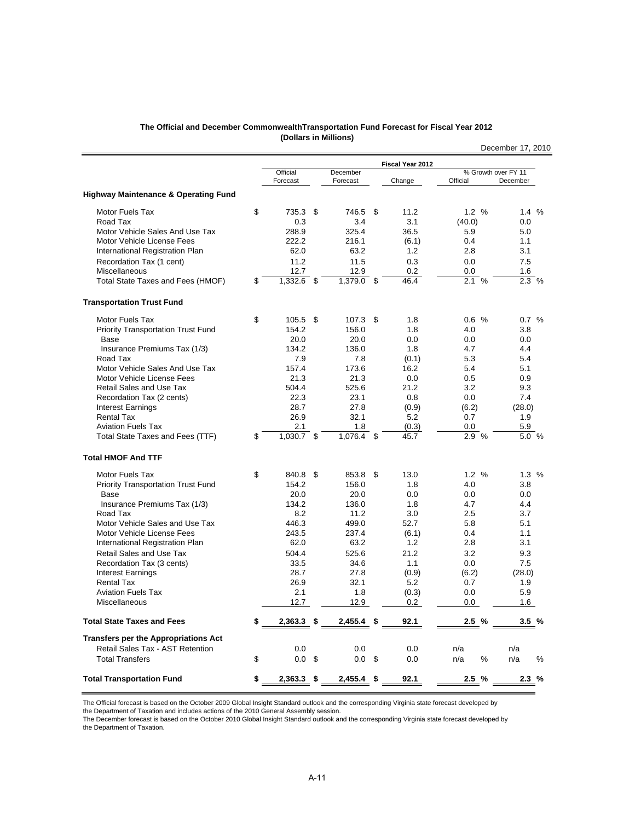| The Official and December Commonwealth Transportation Fund Forecast for Fiscal Year 2012 |  |
|------------------------------------------------------------------------------------------|--|
| (Dollars in Millions)                                                                    |  |

|                                                 |                      |     |                      |      |                  |          | December 17, 2010               |
|-------------------------------------------------|----------------------|-----|----------------------|------|------------------|----------|---------------------------------|
|                                                 |                      |     |                      |      | Fiscal Year 2012 |          |                                 |
|                                                 | Official<br>Forecast |     | December<br>Forecast |      | Change           | Official | % Growth over FY 11<br>December |
| <b>Highway Maintenance &amp; Operating Fund</b> |                      |     |                      |      |                  |          |                                 |
| Motor Fuels Tax                                 | \$<br>735.3          | \$  | 746.5                | \$   | 11.2             | 1.2 %    | 1.4%                            |
| Road Tax                                        | 0.3                  |     | 3.4                  |      | 3.1              | (40.0)   | 0.0                             |
| Motor Vehicle Sales And Use Tax                 | 288.9                |     | 325.4                |      | 36.5             | 5.9      | 5.0                             |
| Motor Vehicle License Fees                      | 222.2                |     | 216.1                |      | (6.1)            | 0.4      | 1.1                             |
| International Registration Plan                 | 62.0                 |     | 63.2                 |      | 1.2              | 2.8      | 3.1                             |
| Recordation Tax (1 cent)                        | 11.2                 |     | 11.5                 |      | 0.3              | 0.0      | 7.5                             |
| Miscellaneous                                   | 12.7                 |     | 12.9                 |      | 0.2              | 0.0      | 1.6                             |
| Total State Taxes and Fees (HMOF)               | \$<br>1,332.6 \$     |     | 1,379.0 \$           |      | 46.4             | 2.1%     | 2.3 %                           |
| <b>Transportation Trust Fund</b>                |                      |     |                      |      |                  |          |                                 |
| Motor Fuels Tax                                 | \$<br>105.5          | \$  | 107.3                | \$   | 1.8              | 0.6%     | 0.7 %                           |
| <b>Priority Transportation Trust Fund</b>       | 154.2                |     | 156.0                |      | 1.8              | 4.0      | 3.8                             |
| Base                                            | 20.0                 |     | 20.0                 |      | 0.0              | 0.0      | 0.0                             |
| Insurance Premiums Tax (1/3)                    | 134.2                |     | 136.0                |      | 1.8              | 4.7      | 4.4                             |
| Road Tax                                        | 7.9                  |     | 7.8                  |      | (0.1)            | 5.3      | 5.4                             |
| Motor Vehicle Sales And Use Tax                 | 157.4                |     | 173.6                |      | 16.2             | 5.4      | 5.1                             |
| Motor Vehicle License Fees                      | 21.3                 |     | 21.3                 |      | 0.0              | 0.5      | 0.9                             |
| Retail Sales and Use Tax                        | 504.4                |     | 525.6                |      | 21.2             | 3.2      | 9.3                             |
| Recordation Tax (2 cents)                       | 22.3                 |     | 23.1                 |      | 0.8              | 0.0      | 7.4                             |
| <b>Interest Earnings</b>                        | 28.7                 |     | 27.8                 |      | (0.9)            | (6.2)    | (28.0)                          |
| <b>Rental Tax</b>                               | 26.9                 |     | 32.1                 |      | 5.2              | 0.7      | 1.9                             |
| <b>Aviation Fuels Tax</b>                       | 2.1                  |     | 1.8                  |      | (0.3)            | 0.0      | 5.9                             |
| Total State Taxes and Fees (TTF)                | \$<br>1,030.7 \$     |     | 1,076.4 \$           |      | 45.7             | $2.9\%$  | 5.0 %                           |
| <b>Total HMOF And TTF</b>                       |                      |     |                      |      |                  |          |                                 |
| Motor Fuels Tax                                 | \$<br>840.8          | -\$ | 853.8                | \$   | 13.0             | 1.2%     | 1.3%                            |
| <b>Priority Transportation Trust Fund</b>       | 154.2                |     | 156.0                |      | 1.8              | 4.0      | 3.8                             |
| Base                                            | 20.0                 |     | 20.0                 |      | 0.0              | 0.0      | 0.0                             |
| Insurance Premiums Tax (1/3)                    | 134.2                |     | 136.0                |      | 1.8              | 4.7      | 4.4                             |
| Road Tax                                        | 8.2                  |     | 11.2                 |      | 3.0              | 2.5      | 3.7                             |
| Motor Vehicle Sales and Use Tax                 | 446.3                |     | 499.0                |      | 52.7             | 5.8      | 5.1                             |
| Motor Vehicle License Fees                      | 243.5                |     | 237.4                |      | (6.1)            | 0.4      | 1.1                             |
| International Registration Plan                 | 62.0                 |     | 63.2                 |      | 1.2              | 2.8      | 3.1                             |
| Retail Sales and Use Tax                        | 504.4                |     | 525.6                |      | 21.2             | 3.2      | 9.3                             |
| Recordation Tax (3 cents)                       | 33.5                 |     | 34.6                 |      | 1.1              | 0.0      | 7.5                             |
| <b>Interest Earnings</b>                        | 28.7                 |     | 27.8                 |      | (0.9)            | (6.2)    | (28.0)                          |
| <b>Rental Tax</b>                               | 26.9                 |     | 32.1                 |      | 5.2              | 0.7      | 1.9                             |
| <b>Aviation Fuels Tax</b>                       | 2.1                  |     | 1.8                  |      | (0.3)            | 0.0      | 5.9                             |
| Miscellaneous                                   | 12.7                 |     | 12.9                 |      | 0.2              | 0.0      | 1.6                             |
| <b>Total State Taxes and Fees</b>               | \$<br>$2,363.3$ \$   |     | 2,455.4              | - \$ | 92.1             | 2.5%     | 3.5%                            |
| <b>Transfers per the Appropriations Act</b>     |                      |     |                      |      |                  |          |                                 |
| Retail Sales Tax - AST Retention                | 0.0                  |     | 0.0                  |      | 0.0              | n/a      | n/a                             |
| <b>Total Transfers</b>                          | \$<br>$0.0 \,$ \$    |     | 0.0                  | \$   | 0.0              | n/a<br>% | n/a<br>%                        |
| <b>Total Transportation Fund</b>                | \$<br>2,363.3 \$     |     | 2,455.4              | \$   | 92.1             | 2.5%     | 2.3%                            |

the Department of Taxation and includes actions of the 2010 General Assembly session.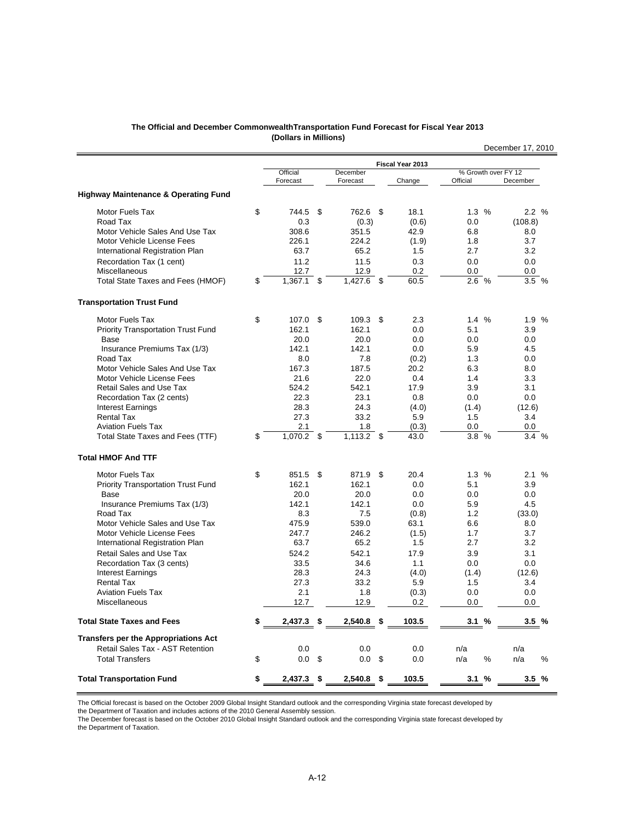| The Official and December CommonwealthTransportation Fund Forecast for Fiscal Year 2013 |  |
|-----------------------------------------------------------------------------------------|--|
| (Dollars in Millions)                                                                   |  |

|                                                 |                      |      |                      |             |                  |                                 | December 17, 2010 |
|-------------------------------------------------|----------------------|------|----------------------|-------------|------------------|---------------------------------|-------------------|
|                                                 |                      |      |                      |             | Fiscal Year 2013 |                                 |                   |
|                                                 | Official<br>Forecast |      | December<br>Forecast |             | Change           | % Growth over FY 12<br>Official | December          |
| <b>Highway Maintenance &amp; Operating Fund</b> |                      |      |                      |             |                  |                                 |                   |
| <b>Motor Fuels Tax</b>                          | \$<br>744.5          | \$   | 762.6 \$             |             | 18.1             | 1.3 %                           | 2.2%              |
| Road Tax                                        | 0.3                  |      | (0.3)                |             | (0.6)            | 0.0                             | (108.8)           |
| Motor Vehicle Sales And Use Tax                 | 308.6                |      | 351.5                |             | 42.9             | 6.8                             | 8.0               |
| Motor Vehicle License Fees                      | 226.1                |      | 224.2                |             | (1.9)            | 1.8                             | 3.7               |
| International Registration Plan                 | 63.7                 |      | 65.2                 |             | 1.5              | 2.7                             | 3.2               |
| Recordation Tax (1 cent)                        | 11.2                 |      | 11.5                 |             | 0.3              | 0.0                             | 0.0               |
| Miscellaneous                                   | 12.7                 |      | 12.9                 |             | 0.2              | 0.0                             | 0.0               |
| Total State Taxes and Fees (HMOF)               | \$<br>$1,367.1$ \$   |      | 1,427.6              | $\mathbf s$ | 60.5             | 2.6 %                           | 3.5 %             |
| <b>Transportation Trust Fund</b>                |                      |      |                      |             |                  |                                 |                   |
| Motor Fuels Tax                                 | \$<br>107.0          | -\$  | 109.3                | \$          | 2.3              | 1.4%                            | 1.9 %             |
| <b>Priority Transportation Trust Fund</b>       | 162.1                |      | 162.1                |             | 0.0              | 5.1                             | 3.9               |
| Base                                            | 20.0                 |      | 20.0                 |             | 0.0              | 0.0                             | 0.0               |
| Insurance Premiums Tax (1/3)                    | 142.1                |      | 142.1                |             | 0.0              | 5.9                             | 4.5               |
| Road Tax                                        | 8.0                  |      | 7.8                  |             | (0.2)            | 1.3                             | 0.0               |
| Motor Vehicle Sales And Use Tax                 | 167.3                |      | 187.5                |             | 20.2             | 6.3                             | 8.0               |
| Motor Vehicle License Fees                      | 21.6                 |      | 22.0                 |             | 0.4              | 1.4                             | 3.3               |
| Retail Sales and Use Tax                        | 524.2                |      | 542.1                |             | 17.9             | 3.9                             | 3.1               |
| Recordation Tax (2 cents)                       | 22.3                 |      | 23.1                 |             | 0.8              | 0.0                             | 0.0               |
| <b>Interest Earnings</b>                        | 28.3                 |      | 24.3                 |             | (4.0)            | (1.4)                           | (12.6)            |
| <b>Rental Tax</b>                               | 27.3                 |      | 33.2                 |             | 5.9              | 1.5                             | 3.4               |
| <b>Aviation Fuels Tax</b>                       | 2.1                  |      | 1.8                  |             | (0.3)            | 0.0                             | 0.0               |
| Total State Taxes and Fees (TTF)                | \$<br>1,070.2 \$     |      | $1,113.2$ \$         |             | 43.0             | $3.8\%$                         | 3.4 %             |
| <b>Total HMOF And TTF</b>                       |                      |      |                      |             |                  |                                 |                   |
| Motor Fuels Tax                                 | \$<br>851.5 \$       |      | 871.9                | \$          | 20.4             | 1.3%                            | 2.1%              |
| <b>Priority Transportation Trust Fund</b>       | 162.1                |      | 162.1                |             | 0.0              | 5.1                             | 3.9               |
| Base                                            | 20.0                 |      | 20.0                 |             | 0.0              | 0.0                             | 0.0               |
| Insurance Premiums Tax (1/3)                    | 142.1                |      | 142.1                |             | 0.0              | 5.9                             | 4.5               |
| Road Tax                                        | 8.3                  |      | 7.5                  |             | (0.8)            | 1.2                             | (33.0)            |
| Motor Vehicle Sales and Use Tax                 | 475.9                |      | 539.0                |             | 63.1             | 6.6                             | 8.0               |
| Motor Vehicle License Fees                      | 247.7                |      | 246.2                |             | (1.5)            | 1.7                             | 3.7               |
| International Registration Plan                 | 63.7                 |      | 65.2                 |             | 1.5              | 2.7                             | 3.2               |
| Retail Sales and Use Tax                        | 524.2                |      | 542.1                |             | 17.9             | 3.9                             | 3.1               |
| Recordation Tax (3 cents)                       | 33.5                 |      | 34.6                 |             | 1.1              | 0.0                             | 0.0               |
| <b>Interest Earnings</b>                        | 28.3                 |      | 24.3                 |             | (4.0)            | (1.4)                           | (12.6)            |
| <b>Rental Tax</b>                               | 27.3                 |      | 33.2                 |             | 5.9              | 1.5                             | 3.4               |
| <b>Aviation Fuels Tax</b>                       | 2.1                  |      | 1.8                  |             | (0.3)            | 0.0                             | 0.0               |
| <b>Miscellaneous</b>                            | 12.7                 |      | 12.9                 |             | 0.2              | 0.0                             | 0.0               |
| <b>Total State Taxes and Fees</b>               | \$<br>$2.437.3$ \$   |      | $2,540.8$ \$         |             | 103.5            | 3.1%                            | 3.5%              |
| <b>Transfers per the Appropriations Act</b>     |                      |      |                      |             |                  |                                 |                   |
| Retail Sales Tax - AST Retention                | 0.0                  |      | 0.0                  |             | 0.0              | n/a                             | n/a               |
| <b>Total Transfers</b>                          | \$<br>0.0            | - \$ | $0.0\,$ \$           |             | 0.0              | n/a<br>%                        | n/a<br>%          |
| <b>Total Transportation Fund</b>                | \$<br>$2,437.3$ \$   |      | $2,540.8$ \$         |             | 103.5            | 3.1%                            | 3.5%              |

the Department of Taxation and includes actions of the 2010 General Assembly session.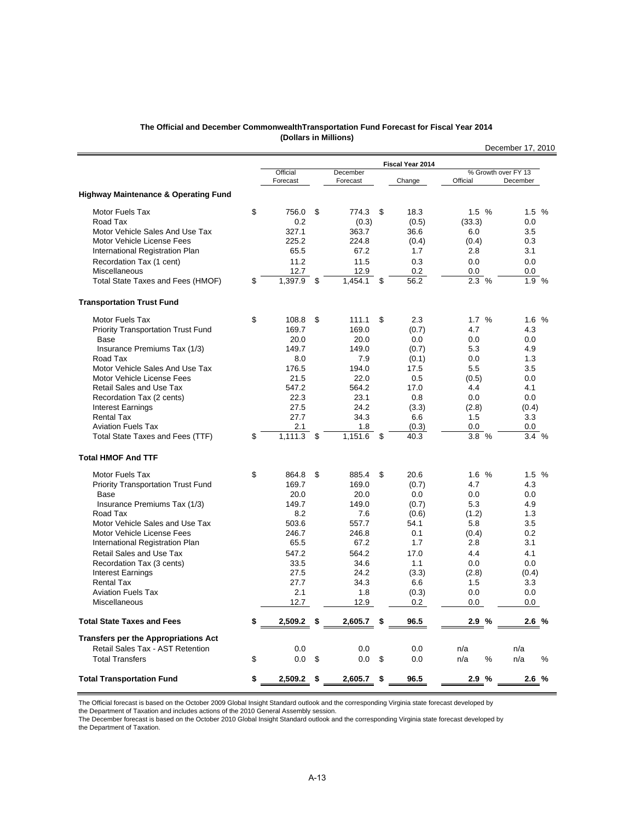| The Official and December Commonwealth Transportation Fund Forecast for Fiscal Year 2014 |  |
|------------------------------------------------------------------------------------------|--|
| (Dollars in Millions)                                                                    |  |

|                                                 |                      |                |                      |                  |                                 | December 17, 2010 |
|-------------------------------------------------|----------------------|----------------|----------------------|------------------|---------------------------------|-------------------|
|                                                 |                      |                |                      | Fiscal Year 2014 |                                 |                   |
|                                                 | Official<br>Forecast |                | December<br>Forecast | Change           | % Growth over FY 13<br>Official | December          |
| <b>Highway Maintenance &amp; Operating Fund</b> |                      |                |                      |                  |                                 |                   |
| Motor Fuels Tax                                 | \$<br>756.0          | \$             | 774.3                | \$<br>18.3       | 1.5%                            | 1.5%              |
| Road Tax                                        | 0.2                  |                | (0.3)                | (0.5)            | (33.3)                          | 0.0               |
| Motor Vehicle Sales And Use Tax                 | 327.1                |                | 363.7                | 36.6             | 6.0                             | 3.5               |
| Motor Vehicle License Fees                      | 225.2                |                | 224.8                | (0.4)            | (0.4)                           | 0.3               |
| International Registration Plan                 | 65.5                 |                | 67.2                 | 1.7              | 2.8                             | 3.1               |
| Recordation Tax (1 cent)                        | 11.2                 |                | 11.5                 | 0.3              | 0.0                             | 0.0               |
| Miscellaneous                                   | 12.7                 |                | 12.9                 | 0.2              | 0.0                             | 0.0               |
| Total State Taxes and Fees (HMOF)               | \$<br>1,397.9        | $\mathfrak{S}$ | 1.454.1              | \$<br>56.2       | 2.3%                            | 1.9 %             |
| <b>Transportation Trust Fund</b>                |                      |                |                      |                  |                                 |                   |
| <b>Motor Fuels Tax</b>                          | \$<br>108.8          | \$             | 111.1                | \$<br>2.3        | 1.7%                            | 1.6%              |
| <b>Priority Transportation Trust Fund</b>       | 169.7                |                | 169.0                | (0.7)            | 4.7                             | 4.3               |
| Base                                            | 20.0                 |                | 20.0                 | 0.0              | 0.0                             | 0.0               |
| Insurance Premiums Tax (1/3)                    | 149.7                |                | 149.0                | (0.7)            | 5.3                             | 4.9               |
| Road Tax                                        | 8.0                  |                | 7.9                  | (0.1)            | 0.0                             | 1.3               |
| Motor Vehicle Sales And Use Tax                 | 176.5                |                | 194.0                | 17.5             | 5.5                             | 3.5               |
| Motor Vehicle License Fees                      | 21.5                 |                | 22.0                 | 0.5              | (0.5)                           | 0.0               |
| Retail Sales and Use Tax                        | 547.2                |                | 564.2                | 17.0             | 4.4                             | 4.1               |
| Recordation Tax (2 cents)                       | 22.3                 |                | 23.1                 | 0.8              | 0.0                             | 0.0               |
| Interest Earnings                               | 27.5                 |                | 24.2                 | (3.3)            | (2.8)                           | (0.4)             |
| <b>Rental Tax</b>                               | 27.7                 |                | 34.3                 | 6.6              | 1.5                             | 3.3               |
| <b>Aviation Fuels Tax</b>                       | 2.1                  |                | 1.8                  | (0.3)            | 0.0                             | 0.0               |
| Total State Taxes and Fees (TTF)                | \$<br>1.111.3        | \$             | 1,151.6              | \$<br>40.3       | 3.8 %                           | 3.4%              |
| <b>Total HMOF And TTF</b>                       |                      |                |                      |                  |                                 |                   |
| <b>Motor Fuels Tax</b>                          | \$<br>864.8          | \$             | 885.4                | \$<br>20.6       | 1.6%                            | 1.5%              |
| <b>Priority Transportation Trust Fund</b>       | 169.7                |                | 169.0                | (0.7)            | 4.7                             | 4.3               |
| Base                                            | 20.0                 |                | 20.0                 | 0.0              | 0.0                             | 0.0               |
| Insurance Premiums Tax (1/3)                    | 149.7                |                | 149.0                | (0.7)            | 5.3                             | 4.9               |
| Road Tax                                        | 8.2                  |                | 7.6                  | (0.6)            | (1.2)                           | 1.3               |
| Motor Vehicle Sales and Use Tax                 | 503.6                |                | 557.7                | 54.1             | 5.8                             | 3.5               |
| Motor Vehicle License Fees                      | 246.7                |                | 246.8                | 0.1              | (0.4)                           | 0.2               |
| International Registration Plan                 | 65.5                 |                | 67.2                 | 1.7              | 2.8                             | 3.1               |
| <b>Retail Sales and Use Tax</b>                 | 547.2                |                | 564.2                | 17.0             | 4.4                             | 4.1               |
| Recordation Tax (3 cents)                       | 33.5                 |                | 34.6                 | 1.1              | 0.0                             | 0.0               |
| <b>Interest Earnings</b>                        | 27.5                 |                | 24.2                 | (3.3)            | (2.8)                           | (0.4)             |
| <b>Rental Tax</b>                               | 27.7                 |                | 34.3                 | 6.6              | 1.5                             | 3.3               |
| <b>Aviation Fuels Tax</b>                       | 2.1                  |                | 1.8                  | (0.3)            | 0.0                             | 0.0               |
| Miscellaneous                                   | 12.7                 |                | 12.9                 | 0.2              | 0.0                             | $0.0\,$           |
| <b>Total State Taxes and Fees</b>               | \$<br>2,509.2        | \$             | 2,605.7              | \$<br>96.5       | 2.9%                            | 2.6%              |
| <b>Transfers per the Appropriations Act</b>     |                      |                |                      |                  |                                 |                   |
| Retail Sales Tax - AST Retention                | 0.0                  |                | 0.0                  | 0.0              | n/a                             | n/a               |
| <b>Total Transfers</b>                          | \$<br>0.0            | \$             | 0.0                  | \$<br>0.0        | n/a<br>℅                        | n/a<br>$\%$       |
| <b>Total Transportation Fund</b>                | \$<br>2,509.2        | \$             | 2,605.7              | \$<br>96.5       | 2.9%                            | 2.6%              |

the Department of Taxation and includes actions of the 2010 General Assembly session.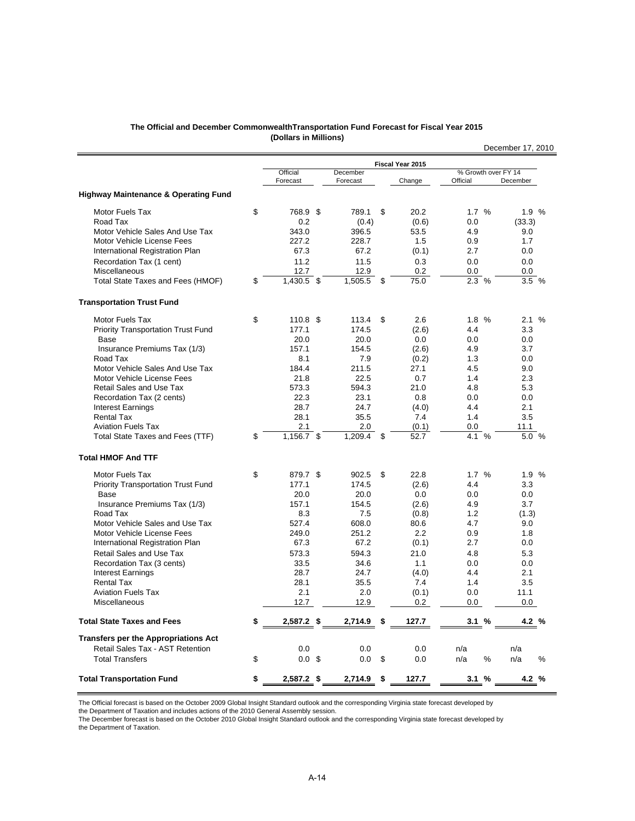| The Official and December CommonwealthTransportation Fund Forecast for Fiscal Year 2015 |  |
|-----------------------------------------------------------------------------------------|--|
| (Dollars in Millions)                                                                   |  |

|                                                 |                          |                      |    |                  |                                 | December 17, 2010 |
|-------------------------------------------------|--------------------------|----------------------|----|------------------|---------------------------------|-------------------|
|                                                 |                          |                      |    | Fiscal Year 2015 |                                 |                   |
|                                                 | Official<br>Forecast     | December<br>Forecast |    | Change           | % Growth over FY 14<br>Official | December          |
| <b>Highway Maintenance &amp; Operating Fund</b> |                          |                      |    |                  |                                 |                   |
| <b>Motor Fuels Tax</b>                          | \$<br>768.9 \$           | 789.1                | \$ | 20.2             | 1.7 %                           | 1.9%              |
| Road Tax                                        | 0.2                      | (0.4)                |    | (0.6)            | 0.0                             | (33.3)            |
| Motor Vehicle Sales And Use Tax                 | 343.0                    | 396.5                |    | 53.5             | 4.9                             | 9.0               |
| Motor Vehicle License Fees                      | 227.2                    | 228.7                |    | 1.5              | 0.9                             | 1.7               |
| International Registration Plan                 | 67.3                     | 67.2                 |    | (0.1)            | 2.7                             | 0.0               |
| Recordation Tax (1 cent)                        | 11.2                     | 11.5                 |    | 0.3              | 0.0                             | 0.0               |
| Miscellaneous                                   | 12.7                     | 12.9                 |    | 0.2              | 0.0                             | 0.0               |
| Total State Taxes and Fees (HMOF)               | \$<br>1,430.5 \$         | 1,505.5              | \$ | 75.0             | 2.3 %                           | 3.5%              |
| <b>Transportation Trust Fund</b>                |                          |                      |    |                  |                                 |                   |
| <b>Motor Fuels Tax</b>                          | \$<br>110.8 <sup>5</sup> | 113.4                | \$ | 2.6              | 1.8 %                           | 2.1%              |
| <b>Priority Transportation Trust Fund</b>       | 177.1                    | 174.5                |    | (2.6)            | 4.4                             | 3.3               |
| Base                                            | 20.0                     | 20.0                 |    | 0.0              | 0.0                             | 0.0               |
| Insurance Premiums Tax (1/3)                    | 157.1                    | 154.5                |    | (2.6)            | 4.9                             | 3.7               |
| Road Tax                                        | 8.1                      | 7.9                  |    | (0.2)            | 1.3                             | 0.0               |
| Motor Vehicle Sales And Use Tax                 | 184.4                    | 211.5                |    | 27.1             | 4.5                             | 9.0               |
| Motor Vehicle License Fees                      | 21.8                     | 22.5                 |    | 0.7              | 1.4                             | 2.3               |
| Retail Sales and Use Tax                        | 573.3                    | 594.3                |    | 21.0             | 4.8                             | 5.3               |
| Recordation Tax (2 cents)                       | 22.3<br>28.7             | 23.1<br>24.7         |    | 0.8              | 0.0<br>4.4                      | 0.0<br>2.1        |
| <b>Interest Earnings</b><br><b>Rental Tax</b>   | 28.1                     | 35.5                 |    | (4.0)<br>7.4     | 1.4                             | 3.5               |
| <b>Aviation Fuels Tax</b>                       | 2.1                      | 2.0                  |    | (0.1)            | 0.0                             | 11.1              |
| Total State Taxes and Fees (TTF)                | \$<br>1,156.7 \$         | 1,209.4              | \$ | 52.7             | 4.1 %                           | 5.0 %             |
| <b>Total HMOF And TTF</b>                       |                          |                      |    |                  |                                 |                   |
| Motor Fuels Tax                                 | \$<br>879.7 \$           | 902.5                | \$ | 22.8             | 1.7%                            | 1.9%              |
| <b>Priority Transportation Trust Fund</b>       | 177.1                    | 174.5                |    | (2.6)            | 4.4                             | 3.3               |
| Base                                            | 20.0                     | 20.0                 |    | 0.0              | 0.0                             | 0.0               |
| Insurance Premiums Tax (1/3)                    | 157.1                    | 154.5                |    | (2.6)            | 4.9                             | 3.7               |
| Road Tax                                        | 8.3                      | 7.5                  |    | (0.8)            | 1.2                             | (1.3)             |
| Motor Vehicle Sales and Use Tax                 | 527.4                    | 608.0                |    | 80.6             | 4.7                             | 9.0               |
| Motor Vehicle License Fees                      | 249.0                    | 251.2                |    | 2.2              | 0.9                             | 1.8               |
| International Registration Plan                 | 67.3                     | 67.2                 |    | (0.1)            | 2.7                             | 0.0               |
| Retail Sales and Use Tax                        | 573.3                    | 594.3                |    | 21.0             | 4.8                             | 5.3               |
| Recordation Tax (3 cents)                       | 33.5                     | 34.6                 |    | 1.1              | 0.0                             | 0.0               |
| <b>Interest Earnings</b>                        | 28.7                     | 24.7                 |    | (4.0)            | 4.4                             | 2.1               |
| <b>Rental Tax</b>                               | 28.1                     | 35.5                 |    | 7.4              | 1.4                             | 3.5<br>11.1       |
| <b>Aviation Fuels Tax</b><br>Miscellaneous      | 2.1<br>12.7              | 2.0<br>12.9          |    | (0.1)<br>0.2     | 0.0<br>0.0                      | 0.0               |
| <b>Total State Taxes and Fees</b>               | \$<br>2,587.2 \$         | 2,714.9              | S  | 127.7            | 3.1%                            | 4.2 %             |
| <b>Transfers per the Appropriations Act</b>     |                          |                      |    |                  |                                 |                   |
| Retail Sales Tax - AST Retention                | 0.0                      | 0.0                  |    | 0.0              | n/a                             | n/a               |
| <b>Total Transfers</b>                          | \$<br>$0.0 \,$ \$        | 0.0                  | \$ | 0.0              | $\%$<br>n/a                     | n/a<br>%          |
| <b>Total Transportation Fund</b>                | \$<br>2,587.2 \$         | 2,714.9              | \$ | 127.7            | 3.1%                            | 4.2 %             |

the Department of Taxation and includes actions of the 2010 General Assembly session.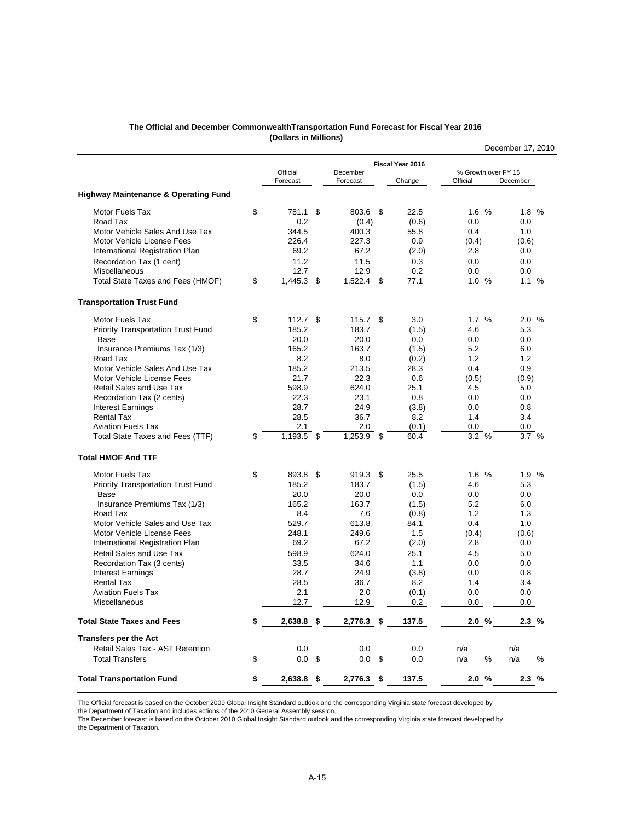#### **The Official and December CommonwealthTransportation Fund Forecast for Fiscal Year 2016 (Dollars in Millions)**

|                                                 |                      |     |                      |    |                  |                                 | December 17, 2010 |
|-------------------------------------------------|----------------------|-----|----------------------|----|------------------|---------------------------------|-------------------|
|                                                 |                      |     |                      |    | Fiscal Year 2016 |                                 |                   |
|                                                 | Official<br>Forecast |     | December<br>Forecast |    | Change           | % Growth over FY 15<br>Official | December          |
| <b>Highway Maintenance &amp; Operating Fund</b> |                      |     |                      |    |                  |                                 |                   |
| Motor Fuels Tax                                 | \$<br>781.1          | -\$ | 803.6 \$             |    | 22.5             | 1.6%                            | 1.8%              |
| Road Tax                                        | 0.2                  |     | (0.4)                |    | (0.6)            | 0.0                             | 0.0               |
| Motor Vehicle Sales And Use Tax                 | 344.5                |     | 400.3                |    | 55.8             | 0.4                             | 1.0               |
| Motor Vehicle License Fees                      | 226.4                |     | 227.3                |    | 0.9              | (0.4)                           | (0.6)             |
| International Registration Plan                 | 69.2                 |     | 67.2                 |    | (2.0)            | 2.8                             | 0.0               |
| Recordation Tax (1 cent)                        | 11.2                 |     | 11.5                 |    | 0.3              | 0.0                             | 0.0               |
| Miscellaneous                                   | 12.7                 |     | 12.9                 |    | 0.2              | 0.0                             | 0.0               |
| Total State Taxes and Fees (HMOF)               | \$<br>1,445.3        | \$  | $1,522.4$ \$         |    | 77.1             | 1.0%                            | 1.1%              |
| <b>Transportation Trust Fund</b>                |                      |     |                      |    |                  |                                 |                   |
| Motor Fuels Tax                                 | \$<br>$112.7$ \$     |     | 115.7                | \$ | 3.0              | 1.7%                            | 2.0%              |
| Priority Transportation Trust Fund              | 185.2                |     | 183.7                |    | (1.5)            | 4.6                             | 5.3               |
| Base                                            | 20.0                 |     | 20.0                 |    | 0.0              | 0.0                             | 0.0               |
| Insurance Premiums Tax (1/3)                    | 165.2                |     | 163.7                |    | (1.5)            | 5.2                             | 6.0               |
| Road Tax                                        | 8.2                  |     | 8.0                  |    | (0.2)            | 1.2                             | 1.2               |
| Motor Vehicle Sales And Use Tax                 | 185.2                |     | 213.5                |    | 28.3             | 0.4                             | 0.9               |
| Motor Vehicle License Fees                      | 21.7                 |     | 22.3                 |    | 0.6              | (0.5)                           | (0.9)             |
| <b>Retail Sales and Use Tax</b>                 | 598.9                |     | 624.0                |    | 25.1             | 4.5                             | 5.0               |
| Recordation Tax (2 cents)                       | 22.3                 |     | 23.1                 |    | 0.8              | 0.0                             | 0.0               |
| <b>Interest Earnings</b>                        | 28.7                 |     | 24.9                 |    | (3.8)            | 0.0                             | 0.8               |
| <b>Rental Tax</b>                               | 28.5                 |     | 36.7                 |    | 8.2              | 1.4                             | 3.4               |
| <b>Aviation Fuels Tax</b>                       | 2.1                  |     | 2.0                  |    | (0.1)            | 0.0                             | 0.0               |
| Total State Taxes and Fees (TTF)                | \$<br>1,193.5        | -\$ | $1,253.9$ \$         |    | 60.4             | 3.2%                            | 3.7%              |
| <b>Total HMOF And TTF</b>                       |                      |     |                      |    |                  |                                 |                   |
| Motor Fuels Tax                                 | \$<br>893.8 \$       |     | 919.3                | \$ | 25.5             | 1.6%                            | 1.9%              |
| <b>Priority Transportation Trust Fund</b>       | 185.2                |     | 183.7                |    | (1.5)            | 4.6                             | 5.3               |
| Base                                            | 20.0                 |     | 20.0                 |    | 0.0              | 0.0                             | 0.0               |
| Insurance Premiums Tax (1/3)                    | 165.2                |     | 163.7                |    | (1.5)            | 5.2                             | 6.0               |
| Road Tax                                        | 8.4                  |     | 7.6                  |    | (0.8)            | 1.2                             | 1.3               |
| Motor Vehicle Sales and Use Tax                 | 529.7                |     | 613.8                |    | 84.1             | 0.4                             | 1.0               |
| Motor Vehicle License Fees                      | 248.1                |     | 249.6                |    | 1.5              | (0.4)                           | (0.6)             |
| International Registration Plan                 | 69.2                 |     | 67.2                 |    | (2.0)            | 2.8                             | 0.0               |
| Retail Sales and Use Tax                        | 598.9                |     | 624.0                |    | 25.1             | 4.5                             | 5.0               |
| Recordation Tax (3 cents)                       | 33.5                 |     | 34.6                 |    | 1.1              | 0.0                             | 0.0               |
| <b>Interest Earnings</b>                        | 28.7                 |     | 24.9                 |    | (3.8)            | 0.0                             | 0.8               |
| <b>Rental Tax</b>                               | 28.5                 |     | 36.7                 |    | 8.2              | 1.4                             | 3.4               |
| <b>Aviation Fuels Tax</b>                       | 2.1                  |     | 2.0                  |    | (0.1)            | 0.0                             | 0.0               |
| Miscellaneous                                   | 12.7                 |     | 12.9                 |    | 0.2              | 0.0                             | 0.0               |
| <b>Total State Taxes and Fees</b>               | \$<br>2,638.8        | \$  | 2,776.3              | S  | 137.5            | 2.0%                            | 2.3%              |
| <b>Transfers per the Act</b>                    |                      |     |                      |    |                  |                                 |                   |
| Retail Sales Tax - AST Retention                | 0.0                  |     | 0.0                  |    | 0.0              | n/a                             | n/a               |
| <b>Total Transfers</b>                          | \$<br>$0.0\,$        | \$  | $0.0\,$ \$           |    | 0.0              | $\%$<br>n/a                     | n/a<br>%          |
| <b>Total Transportation Fund</b>                | \$<br>2,638.8        | \$  | 2,776.3              | \$ | 137.5            | 2.0 %                           | 2.3%              |

The Official forecast is based on the October 2009 Global Insight Standard outlook and the corresponding Virginia state forecast developed by

the Department of Taxation and includes actions of the 2010 General Assembly session.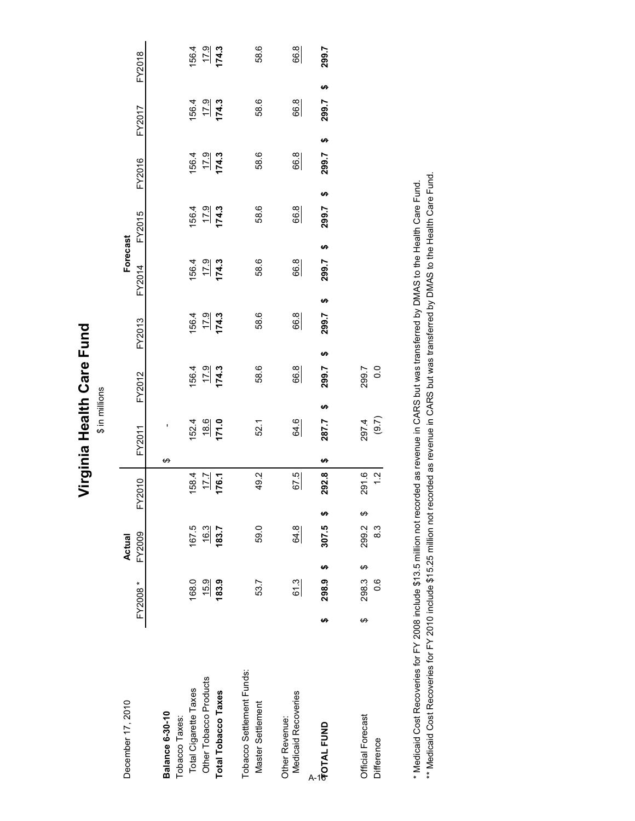Virginia Health Care Fund **Virginia Health Care Fund**

 $$$  in millions \$ in millions

| December 17, 2010                              |    |                   | Actual               |                      |        |                     |                      |                       | Forecast             |                       |                       |                       |                             |
|------------------------------------------------|----|-------------------|----------------------|----------------------|--------|---------------------|----------------------|-----------------------|----------------------|-----------------------|-----------------------|-----------------------|-----------------------------|
|                                                |    | FY2008*           | FY2009               | Y2010<br>Ĺ           | FY2011 |                     | FY2012               | FY2013                | FY2014               | FY2015                | FY2016                | <b>FY2017</b>         | FY2018                      |
| <b>Balance 6-30-10</b>                         |    |                   |                      |                      | ക      |                     |                      |                       |                      |                       |                       |                       |                             |
| Total Cigarette Taxes<br>Tobacco Taxes:        |    | 168.0             | 167.5                | 158.4                |        |                     |                      |                       |                      |                       |                       |                       |                             |
| Other Tobacco Products                         |    | 15.9              | $\frac{16.3}{183.7}$ | $\frac{17.7}{176.1}$ |        | $\frac{1524}{18.6}$ | $\frac{156.4}{17.9}$ | $\frac{156.4}{174.3}$ | $\frac{17.9}{174.3}$ | $\frac{156.4}{179.3}$ | $\frac{156.4}{174.3}$ | $\frac{156.4}{174.3}$ | $\frac{1564}{179}$<br>174.3 |
| <b>Total Tobacco Taxes</b>                     |    | 183.9             |                      |                      |        |                     |                      |                       |                      |                       |                       |                       |                             |
| Tobacco Settlement Funds:<br>Master Settlement |    | 53.7              | 59.0                 | 49.2                 |        | 52.1                | 58.6                 | 58.6                  | 58.6                 | 58.6                  | 58.6                  | 58.6                  | 58.6                        |
| Medicaid Recoveries<br>Other Revenue:          |    | 61.3              | $rac{64.8}{5}$       | 67.5                 |        | 64.6                | 66.8                 | 66.8                  | 66.8                 | 66.8                  | 66.8                  | 66.8                  | 66.8                        |
| <b>TOTAL FUND</b><br>A-                        | မာ | မာ<br>298.9       | မာ<br>307.5          | 292.8                | ↮      | မာ<br>287.7         | ↮<br>299.7           | 299.7                 | 299.7<br>မာ          | 299.7<br>မာ           | 299.7<br>မာ           | 299.7<br>မာ           | 299.7<br>မာ                 |
| Official Forecast<br>Difference                | ↔  | ↔<br>298.3<br>0.6 | ക<br>299.2<br>8.3    | 291.6<br>1.2         |        | $297.4$<br>(9.7)    | 299.7<br>0.0         |                       |                      |                       |                       |                       |                             |

\* Medicaid Cost Recoveries for FY 2008 include \$13.5 million not recorded as revenue in CARS but was transferred by DMAS to the Health Care Fund.<br>\*\* Medicaid Cost Recoveries for FY 2010 include \$15.25 million not recorded \*\* Medicaid Cost Recoveries for FY 2010 include \$15.25 million not recorded as revenue in CARS but was transferred by DMAS to the Health Care Fund. \* Medicaid Cost Recoveries for FY 2008 include \$13.5 million not recorded as revenue in CARS but was transferred by DMAS to the Health Care Fund.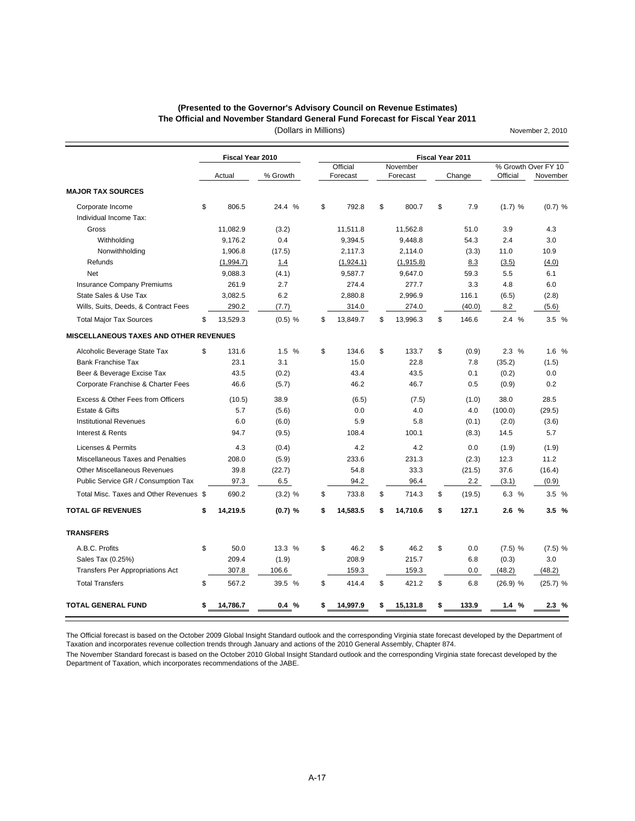#### **The Official and November Standard General Fund Forecast for Fiscal Year 2011 (Presented to the Governor's Advisory Council on Revenue Estimates)**

(Dollars in Millions)

November 2, 2010

|                                               | Fiscal Year 2010 |           |                |                | Fiscal Year 2011 |            |                     |
|-----------------------------------------------|------------------|-----------|----------------|----------------|------------------|------------|---------------------|
|                                               |                  |           | Official       | November       |                  |            | % Growth Over FY 10 |
|                                               | Actual           | % Growth  | Forecast       | Forecast       | Change           | Official   | November            |
| <b>MAJOR TAX SOURCES</b>                      |                  |           |                |                |                  |            |                     |
| Corporate Income                              | \$<br>806.5      | 24.4 %    | \$<br>792.8    | \$<br>800.7    | \$<br>7.9        | (1.7) %    | $(0.7)$ %           |
| Individual Income Tax:                        |                  |           |                |                |                  |            |                     |
| Gross                                         | 11,082.9         | (3.2)     | 11,511.8       | 11,562.8       | 51.0             | 3.9        | 4.3                 |
| Withholding                                   | 9,176.2          | 0.4       | 9,394.5        | 9,448.8        | 54.3             | 2.4        | 3.0                 |
| Nonwithholding                                | 1,906.8          | (17.5)    | 2,117.3        | 2,114.0        | (3.3)            | 11.0       | 10.9                |
| Refunds                                       | (1,994.7)        | 1.4       | (1,924.1)      | (1,915.8)      | 8.3              | (3.5)      | (4.0)               |
| <b>Net</b>                                    | 9,088.3          | (4.1)     | 9,587.7        | 9,647.0        | 59.3             | 5.5        | 6.1                 |
| <b>Insurance Company Premiums</b>             | 261.9            | 2.7       | 274.4          | 277.7          | 3.3              | 4.8        | 6.0                 |
| State Sales & Use Tax                         | 3,082.5          | 6.2       | 2,880.8        | 2,996.9        | 116.1            | (6.5)      | (2.8)               |
| Wills, Suits, Deeds, & Contract Fees          | 290.2            | (7.7)     | 314.0          | 274.0          | (40.0)           | 8.2        | (5.6)               |
| <b>Total Major Tax Sources</b>                | \$<br>13,529.3   | $(0.5)$ % | \$<br>13,849.7 | \$<br>13,996.3 | \$<br>146.6      | 2.4%       | 3.5%                |
| <b>MISCELLANEOUS TAXES AND OTHER REVENUES</b> |                  |           |                |                |                  |            |                     |
| Alcoholic Beverage State Tax                  | \$<br>131.6      | 1.5%      | \$<br>134.6    | \$<br>133.7    | \$<br>(0.9)      | 2.3%       | 1.6 %               |
| <b>Bank Franchise Tax</b>                     | 23.1             | 3.1       | 15.0           | 22.8           | 7.8              | (35.2)     | (1.5)               |
| Beer & Beverage Excise Tax                    | 43.5             | (0.2)     | 43.4           | 43.5           | 0.1              | (0.2)      | 0.0                 |
| Corporate Franchise & Charter Fees            | 46.6             | (5.7)     | 46.2           | 46.7           | 0.5              | (0.9)      | 0.2                 |
| Excess & Other Fees from Officers             | (10.5)           | 38.9      | (6.5)          | (7.5)          | (1.0)            | 38.0       | 28.5                |
| Estate & Gifts                                | 5.7              | (5.6)     | 0.0            | 4.0            | 4.0              | (100.0)    | (29.5)              |
| <b>Institutional Revenues</b>                 | 6.0              | (6.0)     | 5.9            | 5.8            | (0.1)            | (2.0)      | (3.6)               |
| Interest & Rents                              | 94.7             | (9.5)     | 108.4          | 100.1          | (8.3)            | 14.5       | 5.7                 |
| Licenses & Permits                            | 4.3              | (0.4)     | 4.2            | 4.2            | 0.0              | (1.9)      | (1.9)               |
| Miscellaneous Taxes and Penalties             | 208.0            | (5.9)     | 233.6          | 231.3          | (2.3)            | 12.3       | 11.2                |
| <b>Other Miscellaneous Revenues</b>           | 39.8             | (22.7)    | 54.8           | 33.3           | (21.5)           | 37.6       | (16.4)              |
| Public Service GR / Consumption Tax           | 97.3             | 6.5       | 94.2           | 96.4           | 2.2              | (3.1)      | (0.9)               |
| Total Misc. Taxes and Other Revenues \$       | 690.2            | $(3.2)$ % | \$<br>733.8    | \$<br>714.3    | \$<br>(19.5)     | 6.3 %      | 3.5 %               |
| <b>TOTAL GF REVENUES</b>                      | \$<br>14,219.5   | $(0.7)$ % | \$<br>14,583.5 | \$<br>14,710.6 | \$<br>127.1      | 2.6%       | 3.5%                |
| <b>TRANSFERS</b>                              |                  |           |                |                |                  |            |                     |
| A.B.C. Profits                                | \$<br>50.0       | 13.3 %    | \$<br>46.2     | \$<br>46.2     | \$<br>0.0        | $(7.5)$ %  | $(7.5)$ %           |
| Sales Tax (0.25%)                             | 209.4            | (1.9)     | 208.9          | 215.7          | 6.8              | (0.3)      | 3.0                 |
| <b>Transfers Per Appropriations Act</b>       | 307.8            | 106.6     | 159.3          | 159.3          | 0.0              | (48.2)     | (48.2)              |
| <b>Total Transfers</b>                        | \$<br>567.2      | 39.5 %    | \$<br>414.4    | \$<br>421.2    | \$<br>6.8        | $(26.9)$ % | (25.7) %            |
| <b>TOTAL GENERAL FUND</b>                     | \$<br>14,786.7   | 0.4%      | \$<br>14,997.9 | \$<br>15,131.8 | \$<br>133.9      | 1.4%       | 2.3%                |

The Official forecast is based on the October 2009 Global Insight Standard outlook and the corresponding Virginia state forecast developed by the Department of

Taxation and incorporates revenue collection trends through January and actions of the 2010 General Assembly, Chapter 874. The November Standard forecast is based on the October 2010 Global Insight Standard outlook and the corresponding Virginia state forecast developed by the Department of Taxation, which incorporates recommendations of the JABE.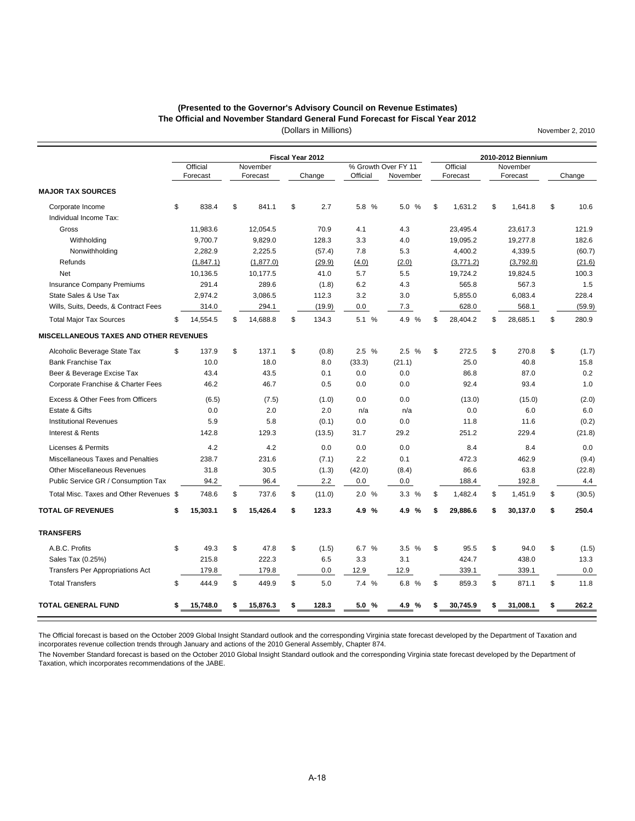#### (Dollars in Millions) **The Official and November Standard General Fund Forecast for Fiscal Year 2012 (Presented to the Governor's Advisory Council on Revenue Estimates)**

November 2, 2010

|                                               |                |                | Fiscal Year 2012 |                      |          |                | 2010-2012 Biennium |              |
|-----------------------------------------------|----------------|----------------|------------------|----------------------|----------|----------------|--------------------|--------------|
|                                               | Official       | November       |                  | % Growth Over FY 11  |          | Official       | November           |              |
|                                               | Forecast       | Forecast       | Change           | Official             | November | Forecast       | Forecast           | Change       |
| <b>MAJOR TAX SOURCES</b>                      |                |                |                  |                      |          |                |                    |              |
| Corporate Income<br>Individual Income Tax:    | \$<br>838.4    | \$<br>841.1    | \$<br>2.7        | 5.8 %                | 5.0 %    | \$<br>1,631.2  | \$<br>1,641.8      | \$<br>10.6   |
| Gross                                         | 11,983.6       | 12,054.5       | 70.9             | 4.1                  | 4.3      | 23,495.4       | 23,617.3           | 121.9        |
| Withholding                                   | 9,700.7        | 9,829.0        | 128.3            | 3.3                  | 4.0      | 19,095.2       | 19,277.8           | 182.6        |
| Nonwithholding                                | 2,282.9        | 2,225.5        | (57.4)           | 7.8                  | 5.3      | 4,400.2        | 4,339.5            | (60.7)       |
| Refunds                                       | (1,847.1)      | (1, 877.0)     | (29.9)           | (4.0)                | (2.0)    | (3,771.2)      | (3,792.8)          | (21.6)       |
| <b>Net</b>                                    | 10,136.5       | 10,177.5       | 41.0             | 5.7                  | 5.5      | 19,724.2       | 19,824.5           | 100.3        |
| <b>Insurance Company Premiums</b>             | 291.4          | 289.6          | (1.8)            | 6.2                  | 4.3      | 565.8          | 567.3              | 1.5          |
| State Sales & Use Tax                         | 2,974.2        | 3,086.5        | 112.3            | 3.2                  | 3.0      | 5,855.0        | 6,083.4            | 228.4        |
| Wills, Suits, Deeds, & Contract Fees          | 314.0          | 294.1          | (19.9)           | 0.0                  | 7.3      | 628.0          | 568.1              | (59.9)       |
| <b>Total Major Tax Sources</b>                | \$<br>14,554.5 | \$<br>14,688.8 | \$<br>134.3      | 5.1 %                | 4.9 %    | \$<br>28,404.2 | \$<br>28,685.1     | \$<br>280.9  |
| <b>MISCELLANEOUS TAXES AND OTHER REVENUES</b> |                |                |                  |                      |          |                |                    |              |
| Alcoholic Beverage State Tax                  | \$<br>137.9    | \$<br>137.1    | \$<br>(0.8)      | 2.5%                 | 2.5%     | \$<br>272.5    | \$<br>270.8        | \$<br>(1.7)  |
| <b>Bank Franchise Tax</b>                     | 10.0           | 18.0           | 8.0              | (33.3)               | (21.1)   | 25.0           | 40.8               | 15.8         |
| Beer & Beverage Excise Tax                    | 43.4           | 43.5           | 0.1              | 0.0                  | 0.0      | 86.8           | 87.0               | 0.2          |
| Corporate Franchise & Charter Fees            | 46.2           | 46.7           | 0.5              | 0.0                  | 0.0      | 92.4           | 93.4               | 1.0          |
| Excess & Other Fees from Officers             | (6.5)          | (7.5)          | (1.0)            | 0.0                  | 0.0      | (13.0)         | (15.0)             | (2.0)        |
| Estate & Gifts                                | 0.0            | 2.0            | 2.0              | n/a                  | n/a      | 0.0            | 6.0                | 6.0          |
| <b>Institutional Revenues</b>                 | 5.9            | 5.8            | (0.1)            | 0.0                  | 0.0      | 11.8           | 11.6               | (0.2)        |
| Interest & Rents                              | 142.8          | 129.3          | (13.5)           | 31.7                 | 29.2     | 251.2          | 229.4              | (21.8)       |
| Licenses & Permits                            | 4.2            | 4.2            | 0.0              | 0.0                  | 0.0      | 8.4            | 8.4                | 0.0          |
| Miscellaneous Taxes and Penalties             | 238.7          | 231.6          | (7.1)            | 2.2                  | 0.1      | 472.3          | 462.9              | (9.4)        |
| <b>Other Miscellaneous Revenues</b>           | 31.8           | 30.5           | (1.3)            | (42.0)               | (8.4)    | 86.6           | 63.8               | (22.8)       |
| Public Service GR / Consumption Tax           | 94.2           | 96.4           | 2.2              | 0.0                  | 0.0      | 188.4          | 192.8              | 4.4          |
| Total Misc. Taxes and Other Revenues \$       | 748.6          | \$<br>737.6    | \$<br>(11.0)     | 2.0%                 | 3.3%     | \$<br>1,482.4  | \$<br>1,451.9      | \$<br>(30.5) |
| <b>TOTAL GF REVENUES</b>                      | \$<br>15,303.1 | \$<br>15.426.4 | \$<br>123.3      | $\frac{9}{6}$<br>4.9 | 4.9 %    | \$<br>29,886.6 | \$<br>30,137.0     | \$<br>250.4  |
| <b>TRANSFERS</b>                              |                |                |                  |                      |          |                |                    |              |
| A.B.C. Profits                                | \$<br>49.3     | \$<br>47.8     | \$<br>(1.5)      | 6.7 %                | 3.5 %    | \$<br>95.5     | \$<br>94.0         | \$<br>(1.5)  |
| Sales Tax (0.25%)                             | 215.8          | 222.3          | 6.5              | 3.3                  | 3.1      | 424.7          | 438.0              | 13.3         |
| <b>Transfers Per Appropriations Act</b>       | 179.8          | 179.8          | 0.0              | 12.9                 | 12.9     | 339.1          | 339.1              | 0.0          |
| <b>Total Transfers</b>                        | \$<br>444.9    | \$<br>449.9    | \$<br>5.0        | 7.4 %                | 6.8 %    | \$<br>859.3    | \$<br>871.1        | \$<br>11.8   |
| <b>TOTAL GENERAL FUND</b>                     | \$<br>15,748.0 | \$<br>15,876.3 | \$<br>128.3      | 5.0%                 | 4.9 %    | \$<br>30,745.9 | \$<br>31,008.1     | \$<br>262.2  |
|                                               |                |                |                  |                      |          |                |                    |              |

The Official forecast is based on the October 2009 Global Insight Standard outlook and the corresponding Virginia state forecast developed by the Department of Taxation and incorporates revenue collection trends through January and actions of the 2010 General Assembly, Chapter 874.

The November Standard forecast is based on the October 2010 Global Insight Standard outlook and the corresponding Virginia state forecast developed by the Department of Taxation, which incorporates recommendations of the JABE.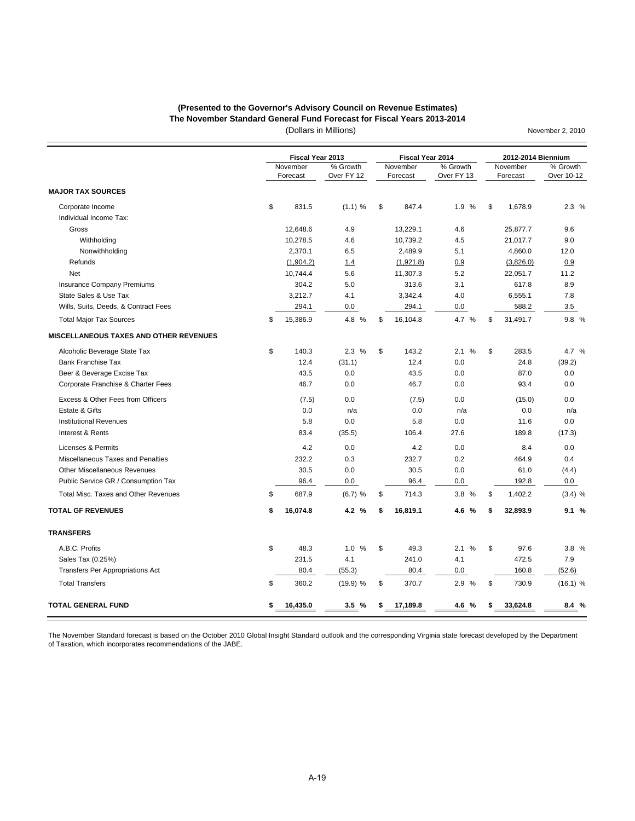#### **(Presented to the Governor's Advisory Council on Revenue Estimates) The November Standard General Fund Forecast for Fiscal Years 2013-2014**

(Dollars in Millions)

November 2, 2010

|                                             | Fiscal Year 2013     |                        | Fiscal Year 2014     |                        | 2012-2014 Biennium   |                        |
|---------------------------------------------|----------------------|------------------------|----------------------|------------------------|----------------------|------------------------|
|                                             | November<br>Forecast | % Growth<br>Over FY 12 | November<br>Forecast | % Growth<br>Over FY 13 | November<br>Forecast | % Growth<br>Over 10-12 |
| <b>MAJOR TAX SOURCES</b>                    |                      |                        |                      |                        |                      |                        |
| Corporate Income<br>Individual Income Tax:  | \$<br>831.5          | (1.1) %                | \$<br>847.4          | 1.9 %                  | \$<br>1,678.9        | 2.3%                   |
| Gross                                       | 12,648.6             | 4.9                    | 13,229.1             | 4.6                    | 25,877.7             | 9.6                    |
| Withholding                                 | 10,278.5             | 4.6                    | 10,739.2             | 4.5                    | 21,017.7             | 9.0                    |
| Nonwithholding                              | 2,370.1              | 6.5                    | 2,489.9              | 5.1                    | 4,860.0              | 12.0                   |
| Refunds                                     | (1,904.2)            | 1.4                    | (1,921.8)            | 0.9                    | (3,826.0)            | 0.9                    |
| <b>Net</b>                                  | 10,744.4             | 5.6                    | 11,307.3             | 5.2                    | 22.051.7             | 11.2                   |
| <b>Insurance Company Premiums</b>           | 304.2                | 5.0                    | 313.6                | 3.1                    | 617.8                | 8.9                    |
| State Sales & Use Tax                       | 3,212.7              | 4.1                    | 3,342.4              | 4.0                    | 6,555.1              | 7.8                    |
| Wills, Suits, Deeds, & Contract Fees        | 294.1                | 0.0                    | 294.1                | 0.0                    | 588.2                | 3.5                    |
| <b>Total Major Tax Sources</b>              | \$<br>15,386.9       | 4.8 %                  | \$<br>16,104.8       | 4.7 %                  | \$<br>31,491.7       | 9.8%                   |
| MISCELLANEOUS TAXES AND OTHER REVENUES      |                      |                        |                      |                        |                      |                        |
| Alcoholic Beverage State Tax                | \$<br>140.3          | 2.3%                   | \$<br>143.2          | %<br>2.1               | \$<br>283.5          | 4.7 %                  |
| <b>Bank Franchise Tax</b>                   | 12.4                 | (31.1)                 | 12.4                 | 0.0                    | 24.8                 | (39.2)                 |
| Beer & Beverage Excise Tax                  | 43.5                 | 0.0                    | 43.5                 | 0.0                    | 87.0                 | 0.0                    |
| Corporate Franchise & Charter Fees          | 46.7                 | 0.0                    | 46.7                 | 0.0                    | 93.4                 | 0.0                    |
| Excess & Other Fees from Officers           | (7.5)                | 0.0                    | (7.5)                | 0.0                    | (15.0)               | 0.0                    |
| Estate & Gifts                              | 0.0                  | n/a                    | 0.0                  | n/a                    | 0.0                  | n/a                    |
| <b>Institutional Revenues</b>               | 5.8                  | 0.0                    | 5.8                  | 0.0                    | 11.6                 | 0.0                    |
| Interest & Rents                            | 83.4                 | (35.5)                 | 106.4                | 27.6                   | 189.8                | (17.3)                 |
| <b>Licenses &amp; Permits</b>               | 4.2                  | 0.0                    | 4.2                  | 0.0                    | 8.4                  | 0.0                    |
| Miscellaneous Taxes and Penalties           | 232.2                | 0.3                    | 232.7                | 0.2                    | 464.9                | 0.4                    |
| <b>Other Miscellaneous Revenues</b>         | 30.5                 | 0.0                    | 30.5                 | 0.0                    | 61.0                 | (4.4)                  |
| Public Service GR / Consumption Tax         | 96.4                 | 0.0                    | 96.4                 | 0.0                    | 192.8                | 0.0                    |
| <b>Total Misc. Taxes and Other Revenues</b> | \$<br>687.9          | $(6.7)$ %              | \$<br>714.3          | 3.8%                   | \$<br>1,402.2        | $(3.4)$ %              |
| <b>TOTAL GF REVENUES</b>                    | \$<br>16,074.8       | 4.2 %                  | \$<br>16,819.1       | 4.6 %                  | \$<br>32,893.9       | 9.1%                   |
| <b>TRANSFERS</b>                            |                      |                        |                      |                        |                      |                        |
| A.B.C. Profits                              | \$<br>48.3           | 1.0<br>%               | \$<br>49.3           | %<br>2.1               | \$<br>97.6           | 3.8 %                  |
| Sales Tax (0.25%)                           | 231.5                | 4.1                    | 241.0                | 4.1                    | 472.5                | 7.9                    |
| Transfers Per Appropriations Act            | 80.4                 | (55.3)                 | 80.4                 | 0.0                    | 160.8                | (52.6)                 |
| <b>Total Transfers</b>                      | \$<br>360.2          | (19.9) %               | \$<br>370.7          | 2.9 %                  | \$<br>730.9          | (16.1) %               |
| <b>TOTAL GENERAL FUND</b>                   | \$<br>16,435.0       | 3.5%                   | \$<br>17,189.8       | 4.6 %                  | \$<br>33,624.8       | 8.4%                   |

The November Standard forecast is based on the October 2010 Global Insight Standard outlook and the corresponding Virginia state forecast developed by the Department of Taxation, which incorporates recommendations of the JABE.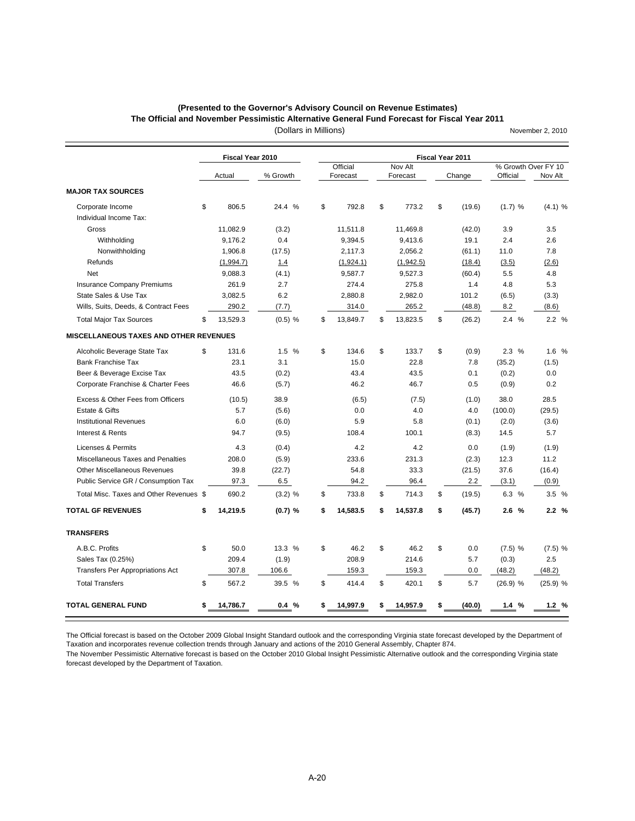#### **(Presented to the Governor's Advisory Council on Revenue Estimates)**

**The Official and November Pessimistic Alternative General Fund Forecast for Fiscal Year 2011**

November 2, 2010

(Dollars in Millions)

|                                               | Fiscal Year 2010 |           |    |           |               |           | Fiscal Year 2011 |                     |            |
|-----------------------------------------------|------------------|-----------|----|-----------|---------------|-----------|------------------|---------------------|------------|
|                                               |                  |           |    | Official  |               | Nov Alt   |                  | % Growth Over FY 10 |            |
|                                               | Actual           | % Growth  |    | Forecast  |               | Forecast  | Change           | Official            | Nov Alt    |
| <b>MAJOR TAX SOURCES</b>                      |                  |           |    |           |               |           |                  |                     |            |
| Corporate Income<br>Individual Income Tax:    | \$<br>806.5      | 24.4 %    | \$ | 792.8     | \$            | 773.2     | \$<br>(19.6)     | (1.7) %             | (4.1) %    |
| Gross                                         | 11,082.9         | (3.2)     |    | 11,511.8  |               | 11,469.8  | (42.0)           | 3.9                 | 3.5        |
| Withholding                                   | 9,176.2          | 0.4       |    | 9,394.5   |               | 9,413.6   | 19.1             | 2.4                 | 2.6        |
| Nonwithholding                                | 1,906.8          | (17.5)    |    | 2,117.3   |               | 2,056.2   | (61.1)           | 11.0                | 7.8        |
| Refunds                                       | (1,994.7)        | 1.4       |    | (1,924.1) |               | (1,942.5) | (18.4)           | (3.5)               | (2.6)      |
| Net                                           | 9,088.3          | (4.1)     |    | 9,587.7   |               | 9,527.3   | (60.4)           | 5.5                 | 4.8        |
| <b>Insurance Company Premiums</b>             | 261.9            | 2.7       |    | 274.4     |               | 275.8     | 1.4              | 4.8                 | 5.3        |
| State Sales & Use Tax                         | 3,082.5          | 6.2       |    | 2,880.8   |               | 2,982.0   | 101.2            | (6.5)               | (3.3)      |
| Wills, Suits, Deeds, & Contract Fees          | 290.2            | (7.7)     |    | 314.0     |               | 265.2     | (48.8)           | 8.2                 | (8.6)      |
| <b>Total Major Tax Sources</b>                | \$<br>13,529.3   | $(0.5)$ % | \$ | 13,849.7  | \$            | 13,823.5  | \$<br>(26.2)     | 2.4%                | 2.2%       |
| <b>MISCELLANEOUS TAXES AND OTHER REVENUES</b> |                  |           |    |           |               |           |                  |                     |            |
| Alcoholic Beverage State Tax                  | \$<br>131.6      | 1.5%      | \$ | 134.6     | $\mathbf{\$}$ | 133.7     | \$<br>(0.9)      | 2.3%                | 1.6 %      |
| <b>Bank Franchise Tax</b>                     | 23.1             | 3.1       |    | 15.0      |               | 22.8      | 7.8              | (35.2)              | (1.5)      |
| Beer & Beverage Excise Tax                    | 43.5             | (0.2)     |    | 43.4      |               | 43.5      | 0.1              | (0.2)               | 0.0        |
| Corporate Franchise & Charter Fees            | 46.6             | (5.7)     |    | 46.2      |               | 46.7      | 0.5              | (0.9)               | 0.2        |
| Excess & Other Fees from Officers             | (10.5)           | 38.9      |    | (6.5)     |               | (7.5)     | (1.0)            | 38.0                | 28.5       |
| Estate & Gifts                                | 5.7              | (5.6)     |    | 0.0       |               | 4.0       | 4.0              | (100.0)             | (29.5)     |
| <b>Institutional Revenues</b>                 | 6.0              | (6.0)     |    | 5.9       |               | 5.8       | (0.1)            | (2.0)               | (3.6)      |
| Interest & Rents                              | 94.7             | (9.5)     |    | 108.4     |               | 100.1     | (8.3)            | 14.5                | 5.7        |
| <b>Licenses &amp; Permits</b>                 | 4.3              | (0.4)     |    | 4.2       |               | 4.2       | 0.0              | (1.9)               | (1.9)      |
| Miscellaneous Taxes and Penalties             | 208.0            | (5.9)     |    | 233.6     |               | 231.3     | (2.3)            | 12.3                | 11.2       |
| <b>Other Miscellaneous Revenues</b>           | 39.8             | (22.7)    |    | 54.8      |               | 33.3      | (21.5)           | 37.6                | (16.4)     |
| Public Service GR / Consumption Tax           | 97.3             | 6.5       |    | 94.2      |               | 96.4      | 2.2              | (3.1)               | (0.9)      |
| Total Misc. Taxes and Other Revenues \$       | 690.2            | $(3.2)$ % | \$ | 733.8     | \$            | 714.3     | \$<br>(19.5)     | 6.3 %               | 3.5%       |
| <b>TOTAL GF REVENUES</b>                      | \$<br>14,219.5   | (0.7) %   | \$ | 14,583.5  | \$            | 14,537.8  | \$<br>(45.7)     | 2.6%                | 2.2%       |
| <b>TRANSFERS</b>                              |                  |           |    |           |               |           |                  |                     |            |
| A.B.C. Profits                                | \$<br>50.0       | 13.3 %    | \$ | 46.2      | \$            | 46.2      | \$<br>0.0        | $(7.5)$ %           | $(7.5)$ %  |
| Sales Tax (0.25%)                             | 209.4            | (1.9)     |    | 208.9     |               | 214.6     | 5.7              | (0.3)               | 2.5        |
| <b>Transfers Per Appropriations Act</b>       | 307.8            | 106.6     |    | 159.3     |               | 159.3     | 0.0              | (48.2)              | (48.2)     |
| <b>Total Transfers</b>                        | \$<br>567.2      | 39.5 %    | \$ | 414.4     | \$            | 420.1     | \$<br>5.7        | $(26.9)$ %          | $(25.9)$ % |
| <b>TOTAL GENERAL FUND</b>                     | \$<br>14,786.7   | 0.4%      | S  | 14,997.9  | \$            | 14,957.9  | \$<br>(40.0)     | 1.4%                | 1.2%       |

The Official forecast is based on the October 2009 Global Insight Standard outlook and the corresponding Virginia state forecast developed by the Department of Taxation and incorporates revenue collection trends through January and actions of the 2010 General Assembly, Chapter 874.

The November Pessimistic Alternative forecast is based on the October 2010 Global Insight Pessimistic Alternative outlook and the corresponding Virginia state forecast developed by the Department of Taxation.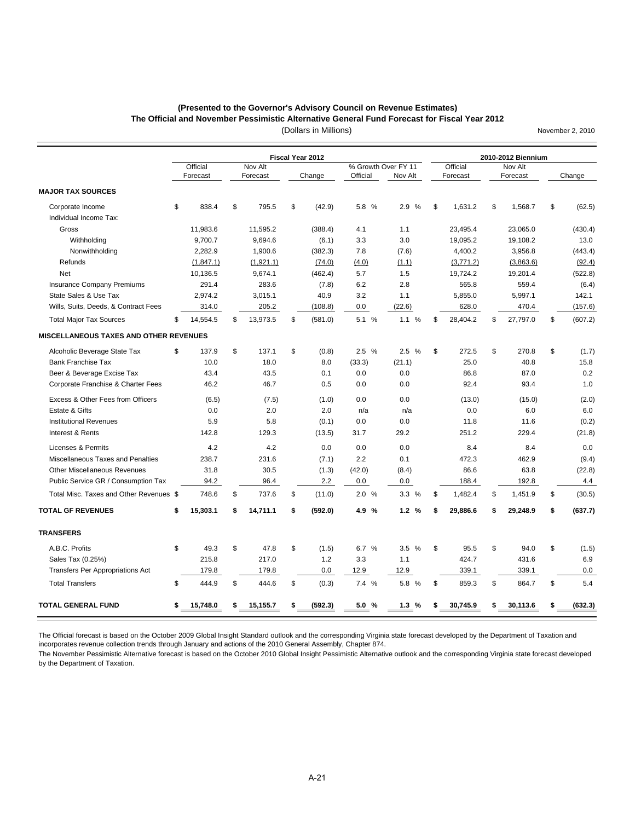# **(Presented to the Governor's Advisory Council on Revenue Estimates)**

**The Official and November Pessimistic Alternative General Fund Forecast for Fiscal Year 2012**

November 2, 2010

(Dollars in Millions)

|                                            |                      |                     | <b>Fiscal Year 2012</b> |                                 |         |                      | 2010-2012 Biennium  |               |
|--------------------------------------------|----------------------|---------------------|-------------------------|---------------------------------|---------|----------------------|---------------------|---------------|
|                                            | Official<br>Forecast | Nov Alt<br>Forecast | Change                  | % Growth Over FY 11<br>Official | Nov Alt | Official<br>Forecast | Nov Alt<br>Forecast | Change        |
| <b>MAJOR TAX SOURCES</b>                   |                      |                     |                         |                                 |         |                      |                     |               |
| Corporate Income<br>Individual Income Tax: | \$<br>838.4          | \$<br>795.5         | \$<br>(42.9)            | 5.8 %                           | 2.9 %   | \$<br>1,631.2        | \$<br>1,568.7       | \$<br>(62.5)  |
| Gross                                      | 11,983.6             | 11,595.2            | (388.4)                 | 4.1                             | 1.1     | 23,495.4             | 23,065.0            | (430.4)       |
| Withholding                                | 9,700.7              | 9,694.6             | (6.1)                   | 3.3                             | 3.0     | 19,095.2             | 19,108.2            | 13.0          |
| Nonwithholding                             | 2,282.9              | 1,900.6             | (382.3)                 | 7.8                             | (7.6)   | 4,400.2              | 3,956.8             | (443.4)       |
| Refunds                                    | (1,847.1)            | (1,921.1)           | (74.0)                  | (4.0)                           | (1.1)   | (3,771.2)            | (3,863.6)           | (92.4)        |
| Net                                        | 10,136.5             | 9,674.1             | (462.4)                 | 5.7                             | 1.5     | 19,724.2             | 19,201.4            | (522.8)       |
| Insurance Company Premiums                 | 291.4                | 283.6               | (7.8)                   | 6.2                             | 2.8     | 565.8                | 559.4               | (6.4)         |
| State Sales & Use Tax                      | 2.974.2              | 3.015.1             | 40.9                    | 3.2                             | 1.1     | 5,855.0              | 5,997.1             | 142.1         |
| Wills, Suits, Deeds, & Contract Fees       | 314.0                | 205.2               | (108.8)                 | 0.0                             | (22.6)  | 628.0                | 470.4               | (157.6)       |
| <b>Total Major Tax Sources</b>             | \$<br>14,554.5       | \$<br>13,973.5      | \$<br>(581.0)           | 5.1 %                           | 1.1 %   | \$<br>28,404.2       | \$<br>27,797.0      | \$<br>(607.2) |
| MISCELLANEOUS TAXES AND OTHER REVENUES     |                      |                     |                         |                                 |         |                      |                     |               |
| Alcoholic Beverage State Tax               | \$<br>137.9          | \$<br>137.1         | \$<br>(0.8)             | 2.5%                            | 2.5%    | \$<br>272.5          | \$<br>270.8         | \$<br>(1.7)   |
| <b>Bank Franchise Tax</b>                  | 10.0                 | 18.0                | 8.0                     | (33.3)                          | (21.1)  | 25.0                 | 40.8                | 15.8          |
| Beer & Beverage Excise Tax                 | 43.4                 | 43.5                | 0.1                     | 0.0                             | 0.0     | 86.8                 | 87.0                | 0.2           |
| Corporate Franchise & Charter Fees         | 46.2                 | 46.7                | 0.5                     | 0.0                             | 0.0     | 92.4                 | 93.4                | 1.0           |
| Excess & Other Fees from Officers          | (6.5)                | (7.5)               | (1.0)                   | 0.0                             | 0.0     | (13.0)               | (15.0)              | (2.0)         |
| Estate & Gifts                             | 0.0                  | 2.0                 | 2.0                     | n/a                             | n/a     | 0.0                  | 6.0                 | 6.0           |
| <b>Institutional Revenues</b>              | 5.9                  | 5.8                 | (0.1)                   | 0.0                             | 0.0     | 11.8                 | 11.6                | (0.2)         |
| Interest & Rents                           | 142.8                | 129.3               | (13.5)                  | 31.7                            | 29.2    | 251.2                | 229.4               | (21.8)        |
| Licenses & Permits                         | 4.2                  | 4.2                 | 0.0                     | 0.0                             | 0.0     | 8.4                  | 8.4                 | 0.0           |
| Miscellaneous Taxes and Penalties          | 238.7                | 231.6               | (7.1)                   | 2.2                             | 0.1     | 472.3                | 462.9               | (9.4)         |
| <b>Other Miscellaneous Revenues</b>        | 31.8                 | 30.5                | (1.3)                   | (42.0)                          | (8.4)   | 86.6                 | 63.8                | (22.8)        |
| Public Service GR / Consumption Tax        | 94.2                 | 96.4                | 2.2                     | 0.0                             | 0.0     | 188.4                | 192.8               | 4.4           |
| Total Misc. Taxes and Other Revenues \$    | 748.6                | \$<br>737.6         | \$<br>(11.0)            | 2.0 %                           | 3.3%    | \$<br>1,482.4        | \$<br>1,451.9       | \$<br>(30.5)  |
| <b>TOTAL GF REVENUES</b>                   | \$<br>15,303.1       | \$<br>14,711.1      | \$<br>(592.0)           | 4.9 %                           | 1.2%    | \$<br>29,886.6       | \$<br>29,248.9      | \$<br>(637.7) |
| <b>TRANSFERS</b>                           |                      |                     |                         |                                 |         |                      |                     |               |
| A.B.C. Profits                             | \$<br>49.3           | \$<br>47.8          | \$<br>(1.5)             | 6.7 %                           | 3.5%    | \$<br>95.5           | \$<br>94.0          | \$<br>(1.5)   |
| Sales Tax (0.25%)                          | 215.8                | 217.0               | 1.2                     | 3.3                             | 1.1     | 424.7                | 431.6               | 6.9           |
| Transfers Per Appropriations Act           | 179.8                | 179.8               | 0.0                     | 12.9                            | 12.9    | 339.1                | 339.1               | 0.0           |
| <b>Total Transfers</b>                     | \$<br>444.9          | \$<br>444.6         | \$<br>(0.3)             | 7.4 %                           | 5.8 %   | \$<br>859.3          | \$<br>864.7         | \$<br>5.4     |
| <b>TOTAL GENERAL FUND</b>                  | \$<br>15,748.0       | \$<br>15,155.7      | (592.3)                 | 5.0%                            | 1.3%    | \$<br>30,745.9       | 30,113.6            | (632.3)       |
|                                            |                      |                     |                         |                                 |         |                      |                     |               |

The Official forecast is based on the October 2009 Global Insight Standard outlook and the corresponding Virginia state forecast developed by the Department of Taxation and incorporates revenue collection trends through January and actions of the 2010 General Assembly, Chapter 874.

The November Pessimistic Alternative forecast is based on the October 2010 Global Insight Pessimistic Alternative outlook and the corresponding Virginia state forecast developed by the Department of Taxation.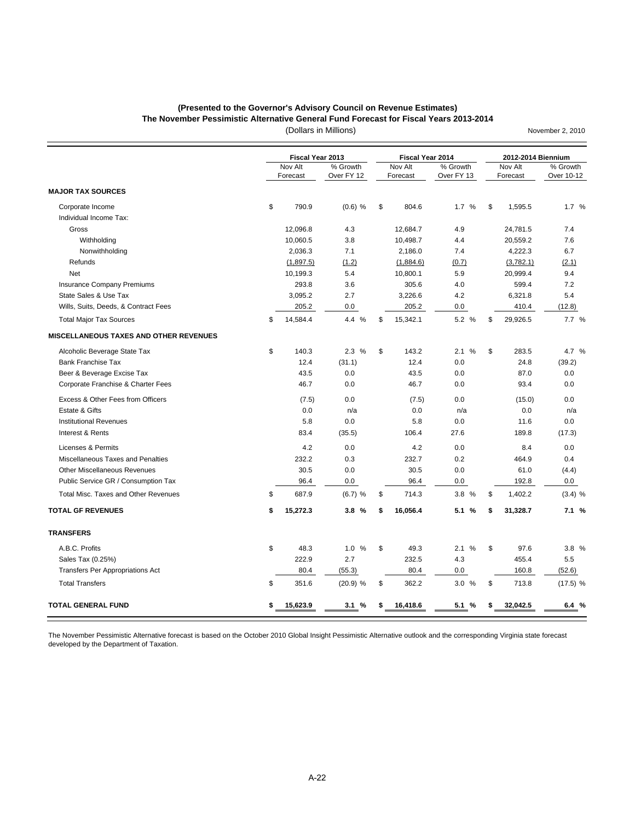### **(Presented to the Governor's Advisory Council on Revenue Estimates)**

**The November Pessimistic Alternative General Fund Forecast for Fiscal Years 2013-2014**

(Dollars in Millions)

November 2, 2010

|                                               |     | Fiscal Year 2013    |                        | Fiscal Year 2014    |                        | 2012-2014 Biennium  |                        |
|-----------------------------------------------|-----|---------------------|------------------------|---------------------|------------------------|---------------------|------------------------|
|                                               |     | Nov Alt<br>Forecast | % Growth<br>Over FY 12 | Nov Alt<br>Forecast | % Growth<br>Over FY 13 | Nov Alt<br>Forecast | % Growth<br>Over 10-12 |
| <b>MAJOR TAX SOURCES</b>                      |     |                     |                        |                     |                        |                     |                        |
| Corporate Income<br>Individual Income Tax:    | \$  | 790.9               | $(0.6)$ %              | \$<br>804.6         | 1.7%                   | \$<br>1,595.5       | 1.7%                   |
| Gross                                         |     | 12,096.8            | 4.3                    | 12,684.7            | 4.9                    | 24,781.5            | 7.4                    |
| Withholding                                   |     | 10,060.5            | 3.8                    | 10,498.7            | 4.4                    | 20,559.2            | 7.6                    |
| Nonwithholding                                |     | 2,036.3             | 7.1                    | 2,186.0             | 7.4                    | 4,222.3             | 6.7                    |
| Refunds                                       |     | (1,897.5)           | (1.2)                  | (1,884.6)           | (0.7)                  | (3,782.1)           | (2.1)                  |
| <b>Net</b>                                    |     | 10,199.3            | 5.4                    | 10,800.1            | 5.9                    | 20,999.4            | 9.4                    |
| <b>Insurance Company Premiums</b>             |     | 293.8               | 3.6                    | 305.6               | 4.0                    | 599.4               | 7.2                    |
| State Sales & Use Tax                         |     | 3,095.2             | 2.7                    | 3,226.6             | 4.2                    | 6,321.8             | 5.4                    |
| Wills, Suits, Deeds, & Contract Fees          |     | 205.2               | 0.0                    | 205.2               | 0.0                    | 410.4               | (12.8)                 |
| <b>Total Major Tax Sources</b>                | \$. | 14,584.4            | 4.4 %                  | \$<br>15,342.1      | 5.2 %                  | \$<br>29,926.5      | 7.7%                   |
| <b>MISCELLANEOUS TAXES AND OTHER REVENUES</b> |     |                     |                        |                     |                        |                     |                        |
| Alcoholic Beverage State Tax                  | \$  | 140.3               | 2.3%                   | \$<br>143.2         | %<br>2.1               | \$<br>283.5         | 4.7 %                  |
| <b>Bank Franchise Tax</b>                     |     | 12.4                | (31.1)                 | 12.4                | 0.0                    | 24.8                | (39.2)                 |
| Beer & Beverage Excise Tax                    |     | 43.5                | 0.0                    | 43.5                | 0.0                    | 87.0                | 0.0                    |
| Corporate Franchise & Charter Fees            |     | 46.7                | 0.0                    | 46.7                | 0.0                    | 93.4                | 0.0                    |
| Excess & Other Fees from Officers             |     | (7.5)               | 0.0                    | (7.5)               | 0.0                    | (15.0)              | 0.0                    |
| Estate & Gifts                                |     | 0.0                 | n/a                    | 0.0                 | n/a                    | 0.0                 | n/a                    |
| <b>Institutional Revenues</b>                 |     | 5.8                 | 0.0                    | 5.8                 | 0.0                    | 11.6                | 0.0                    |
| Interest & Rents                              |     | 83.4                | (35.5)                 | 106.4               | 27.6                   | 189.8               | (17.3)                 |
| Licenses & Permits                            |     | 4.2                 | 0.0                    | 4.2                 | 0.0                    | 8.4                 | 0.0                    |
| Miscellaneous Taxes and Penalties             |     | 232.2               | 0.3                    | 232.7               | 0.2                    | 464.9               | 0.4                    |
| <b>Other Miscellaneous Revenues</b>           |     | 30.5                | 0.0                    | 30.5                | 0.0                    | 61.0                | (4.4)                  |
| Public Service GR / Consumption Tax           |     | 96.4                | 0.0                    | 96.4                | 0.0                    | 192.8               | 0.0                    |
| Total Misc. Taxes and Other Revenues          | \$  | 687.9               | $(6.7)$ %              | \$<br>714.3         | 3.8 %                  | \$<br>1,402.2       | (3.4) %                |
| <b>TOTAL GF REVENUES</b>                      | \$  | 15,272.3            | 3.8%                   | \$<br>16,056.4      | 5.1%                   | \$<br>31,328.7      | 7.1%                   |
| <b>TRANSFERS</b>                              |     |                     |                        |                     |                        |                     |                        |
| A.B.C. Profits                                | \$  | 48.3                | 1.0%                   | \$<br>49.3          | 2.1%                   | \$<br>97.6          | 3.8%                   |
| Sales Tax (0.25%)                             |     | 222.9               | 2.7                    | 232.5               | 4.3                    | 455.4               | 5.5                    |
| Transfers Per Appropriations Act              |     | 80.4                | (55.3)                 | 80.4                | 0.0                    | 160.8               | (52.6)                 |
| <b>Total Transfers</b>                        | \$  | 351.6               | $(20.9)$ %             | \$<br>362.2         | 3.0%                   | \$<br>713.8         | $(17.5)$ %             |
| <b>TOTAL GENERAL FUND</b>                     | \$  | 15,623.9            | 3.1%                   | \$<br>16,418.6      | 5.1 %                  | \$<br>32,042.5      | 6.4 %                  |

The November Pessimistic Alternative forecast is based on the October 2010 Global Insight Pessimistic Alternative outlook and the corresponding Virginia state forecast developed by the Department of Taxation.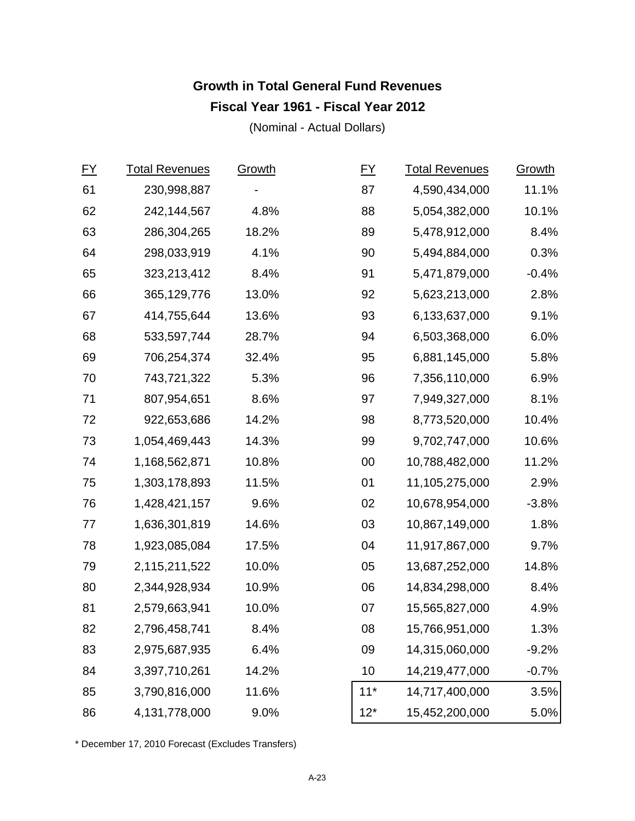# **Growth in Total General Fund Revenues Fiscal Year 1961 - Fiscal Year 2012**

(Nominal - Actual Dollars)

| $FY$ | <b>Total Revenues</b> | Growth | <u>FY</u> | <b>Total Revenues</b> | Growth  |
|------|-----------------------|--------|-----------|-----------------------|---------|
| 61   | 230,998,887           |        | 87        | 4,590,434,000         | 11.1%   |
| 62   | 242,144,567           | 4.8%   | 88        | 5,054,382,000         | 10.1%   |
| 63   | 286,304,265           | 18.2%  | 89        | 5,478,912,000         | 8.4%    |
| 64   | 298,033,919           | 4.1%   | 90        | 5,494,884,000         | 0.3%    |
| 65   | 323,213,412           | 8.4%   | 91        | 5,471,879,000         | $-0.4%$ |
| 66   | 365,129,776           | 13.0%  | 92        | 5,623,213,000         | 2.8%    |
| 67   | 414,755,644           | 13.6%  | 93        | 6,133,637,000         | 9.1%    |
| 68   | 533,597,744           | 28.7%  | 94        | 6,503,368,000         | 6.0%    |
| 69   | 706,254,374           | 32.4%  | 95        | 6,881,145,000         | 5.8%    |
| 70   | 743,721,322           | 5.3%   | 96        | 7,356,110,000         | 6.9%    |
| 71   | 807,954,651           | 8.6%   | 97        | 7,949,327,000         | 8.1%    |
| 72   | 922,653,686           | 14.2%  | 98        | 8,773,520,000         | 10.4%   |
| 73   | 1,054,469,443         | 14.3%  | 99        | 9,702,747,000         | 10.6%   |
| 74   | 1,168,562,871         | 10.8%  | 00        | 10,788,482,000        | 11.2%   |
| 75   | 1,303,178,893         | 11.5%  | 01        | 11,105,275,000        | 2.9%    |
| 76   | 1,428,421,157         | 9.6%   | 02        | 10,678,954,000        | $-3.8%$ |
| 77   | 1,636,301,819         | 14.6%  | 03        | 10,867,149,000        | 1.8%    |
| 78   | 1,923,085,084         | 17.5%  | 04        | 11,917,867,000        | 9.7%    |
| 79   | 2,115,211,522         | 10.0%  | 05        | 13,687,252,000        | 14.8%   |
| 80   | 2,344,928,934         | 10.9%  | 06        | 14,834,298,000        | 8.4%    |
| 81   | 2,579,663,941         | 10.0%  | 07        | 15,565,827,000        | 4.9%    |
| 82   | 2,796,458,741         | 8.4%   | 08        | 15,766,951,000        | 1.3%    |
| 83   | 2,975,687,935         | 6.4%   | 09        | 14,315,060,000        | $-9.2%$ |
| 84   | 3,397,710,261         | 14.2%  | 10        | 14,219,477,000        | $-0.7%$ |
| 85   | 3,790,816,000         | 11.6%  | $11*$     | 14,717,400,000        | 3.5%    |
| 86   | 4,131,778,000         | 9.0%   | $12*$     | 15,452,200,000        | 5.0%    |

\* December 17, 2010 Forecast (Excludes Transfers)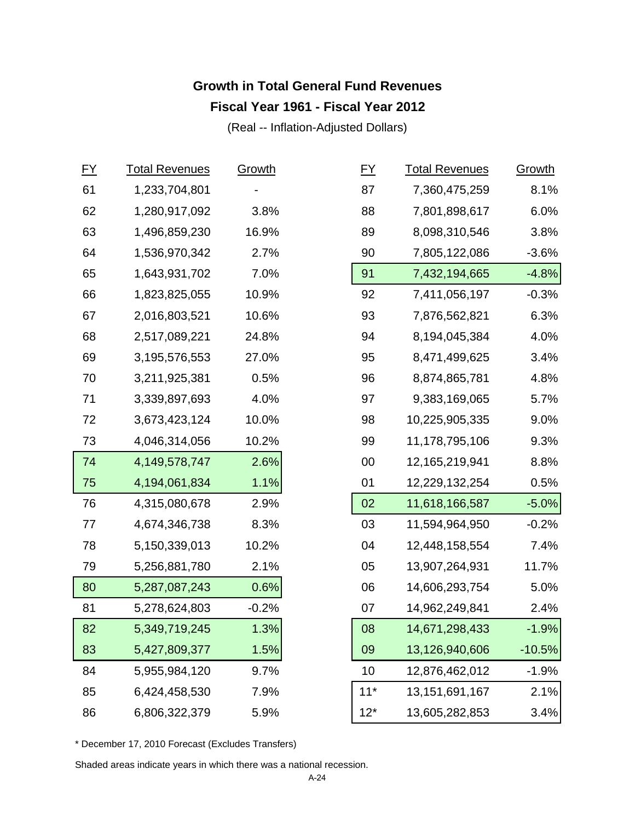# **Growth in Total General Fund Revenues Fiscal Year 1961 - Fiscal Year 2012**

(Real -- Inflation-Adjusted Dollars)

| $FY$ | <b>Total Revenues</b> | Growth  | $FY$  | <b>Total Revenues</b> | Growth   |
|------|-----------------------|---------|-------|-----------------------|----------|
| 61   | 1,233,704,801         |         | 87    | 7,360,475,259         | 8.1%     |
| 62   | 1,280,917,092         | 3.8%    | 88    | 7,801,898,617         | 6.0%     |
| 63   | 1,496,859,230         | 16.9%   | 89    | 8,098,310,546         | 3.8%     |
| 64   | 1,536,970,342         | 2.7%    | 90    | 7,805,122,086         | $-3.6%$  |
| 65   | 1,643,931,702         | 7.0%    | 91    | 7,432,194,665         | $-4.8%$  |
| 66   | 1,823,825,055         | 10.9%   | 92    | 7,411,056,197         | $-0.3%$  |
| 67   | 2,016,803,521         | 10.6%   | 93    | 7,876,562,821         | 6.3%     |
| 68   | 2,517,089,221         | 24.8%   | 94    | 8,194,045,384         | 4.0%     |
| 69   | 3,195,576,553         | 27.0%   | 95    | 8,471,499,625         | 3.4%     |
| 70   | 3,211,925,381         | 0.5%    | 96    | 8,874,865,781         | 4.8%     |
| 71   | 3,339,897,693         | 4.0%    | 97    | 9,383,169,065         | 5.7%     |
| 72   | 3,673,423,124         | 10.0%   | 98    | 10,225,905,335        | 9.0%     |
| 73   | 4,046,314,056         | 10.2%   | 99    | 11,178,795,106        | 9.3%     |
| 74   | 4,149,578,747         | 2.6%    | 00    | 12,165,219,941        | 8.8%     |
| 75   | 4,194,061,834         | 1.1%    | 01    | 12,229,132,254        | 0.5%     |
| 76   | 4,315,080,678         | 2.9%    | 02    | 11,618,166,587        | $-5.0%$  |
| 77   | 4,674,346,738         | 8.3%    | 03    | 11,594,964,950        | $-0.2%$  |
| 78   | 5,150,339,013         | 10.2%   | 04    | 12,448,158,554        | 7.4%     |
| 79   | 5,256,881,780         | 2.1%    | 05    | 13,907,264,931        | 11.7%    |
| 80   | 5,287,087,243         | 0.6%    | 06    | 14,606,293,754        | 5.0%     |
| 81   | 5,278,624,803         | $-0.2%$ | 07    | 14,962,249,841        | 2.4%     |
| 82   | 5,349,719,245         | 1.3%    | 08    | 14,671,298,433        | $-1.9%$  |
| 83   | 5,427,809,377         | 1.5%    | 09    | 13,126,940,606        | $-10.5%$ |
| 84   | 5,955,984,120         | 9.7%    | 10    | 12,876,462,012        | $-1.9%$  |
| 85   | 6,424,458,530         | 7.9%    | $11*$ | 13, 151, 691, 167     | 2.1%     |
| 86   | 6,806,322,379         | 5.9%    | $12*$ | 13,605,282,853        | 3.4%     |

\* December 17, 2010 Forecast (Excludes Transfers)

Shaded areas indicate years in which there was a national recession.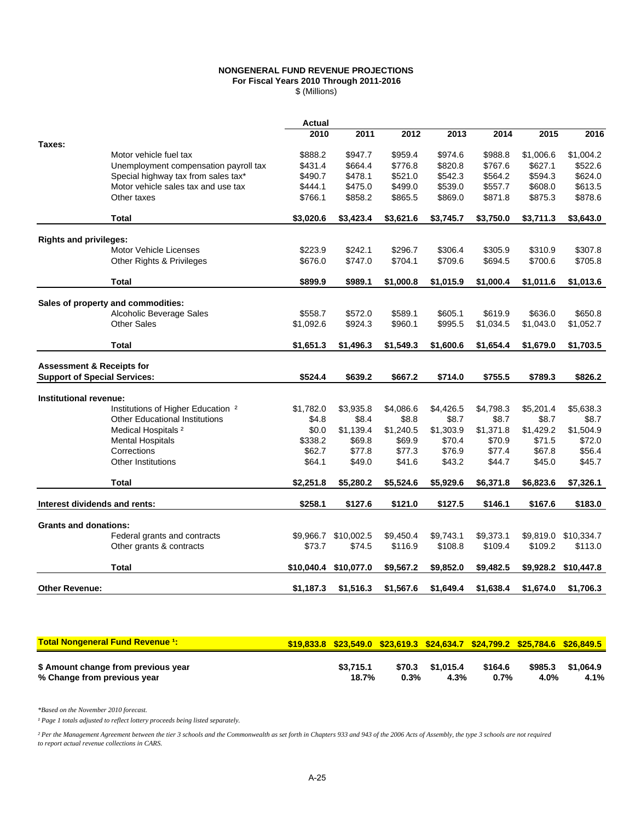#### **NONGENERAL FUND REVENUE PROJECTIONS For Fiscal Years 2010 Through 2011-2016**

\$ (Millions)

|                                      |                                               | Actual     |            |           |           |           |           |            |
|--------------------------------------|-----------------------------------------------|------------|------------|-----------|-----------|-----------|-----------|------------|
|                                      |                                               | 2010       | 2011       | 2012      | 2013      | 2014      | 2015      | 2016       |
| Taxes:                               |                                               |            |            |           |           |           |           |            |
|                                      | Motor vehicle fuel tax                        | \$888.2    | \$947.7    | \$959.4   | \$974.6   | \$988.8   | \$1,006.6 | \$1,004.2  |
|                                      | Unemployment compensation payroll tax         | \$431.4    | \$664.4    | \$776.8   | \$820.8   | \$767.6   | \$627.1   | \$522.6    |
|                                      | Special highway tax from sales tax*           | \$490.7    | \$478.1    | \$521.0   | \$542.3   | \$564.2   | \$594.3   | \$624.0    |
|                                      | Motor vehicle sales tax and use tax           | \$444.1    | \$475.0    | \$499.0   | \$539.0   | \$557.7   | \$608.0   | \$613.5    |
|                                      | Other taxes                                   | \$766.1    | \$858.2    | \$865.5   | \$869.0   | \$871.8   | \$875.3   | \$878.6    |
|                                      | <b>Total</b>                                  | \$3,020.6  | \$3,423.4  | \$3,621.6 | \$3,745.7 | \$3,750.0 | \$3,711.3 | \$3,643.0  |
| <b>Rights and privileges:</b>        |                                               |            |            |           |           |           |           |            |
|                                      | <b>Motor Vehicle Licenses</b>                 | \$223.9    | \$242.1    | \$296.7   | \$306.4   | \$305.9   | \$310.9   | \$307.8    |
|                                      | Other Rights & Privileges                     | \$676.0    | \$747.0    | \$704.1   | \$709.6   | \$694.5   | \$700.6   | \$705.8    |
|                                      |                                               |            |            |           |           |           |           |            |
|                                      | <b>Total</b>                                  | \$899.9    | \$989.1    | \$1,000.8 | \$1,015.9 | \$1,000.4 | \$1,011.6 | \$1,013.6  |
|                                      | Sales of property and commodities:            |            |            |           |           |           |           |            |
|                                      | Alcoholic Beverage Sales                      | \$558.7    | \$572.0    | \$589.1   | \$605.1   | \$619.9   | \$636.0   | \$650.8    |
|                                      | Other Sales                                   | \$1,092.6  | \$924.3    | \$960.1   | \$995.5   | \$1,034.5 | \$1,043.0 | \$1,052.7  |
|                                      | <b>Total</b>                                  | \$1,651.3  | \$1,496.3  | \$1,549.3 | \$1,600.6 | \$1,654.4 | \$1,679.0 | \$1,703.5  |
| <b>Assessment &amp; Receipts for</b> |                                               |            |            |           |           |           |           |            |
| <b>Support of Special Services:</b>  |                                               | \$524.4    | \$639.2    | \$667.2   | \$714.0   | \$755.5   | \$789.3   | \$826.2    |
|                                      |                                               |            |            |           |           |           |           |            |
| Institutional revenue:               |                                               |            |            |           |           |           |           |            |
|                                      | Institutions of Higher Education <sup>2</sup> | \$1,782.0  | \$3,935.8  | \$4,086.6 | \$4,426.5 | \$4,798.3 | \$5,201.4 | \$5,638.3  |
|                                      | <b>Other Educational Institutions</b>         | \$4.8      | \$8.4      | \$8.8     | \$8.7     | \$8.7     | \$8.7     | \$8.7      |
|                                      | Medical Hospitals <sup>2</sup>                | \$0.0      | \$1,139.4  | \$1,240.5 | \$1,303.9 | \$1,371.8 | \$1,429.2 | \$1,504.9  |
|                                      | <b>Mental Hospitals</b>                       | \$338.2    | \$69.8     | \$69.9    | \$70.4    | \$70.9    | \$71.5    | \$72.0     |
|                                      | Corrections                                   | \$62.7     | \$77.8     | \$77.3    | \$76.9    | \$77.4    | \$67.8    | \$56.4     |
|                                      | <b>Other Institutions</b>                     | \$64.1     | \$49.0     | \$41.6    | \$43.2    | \$44.7    | \$45.0    | \$45.7     |
|                                      | <b>Total</b>                                  | \$2,251.8  | \$5,280.2  | \$5,524.6 | \$5,929.6 | \$6,371.8 | \$6,823.6 | \$7,326.1  |
|                                      |                                               |            |            |           |           |           |           |            |
| Interest dividends and rents:        |                                               | \$258.1    | \$127.6    | \$121.0   | \$127.5   | \$146.1   | \$167.6   | \$183.0    |
| <b>Grants and donations:</b>         |                                               |            |            |           |           |           |           |            |
|                                      | Federal grants and contracts                  | \$9,966.7  | \$10,002.5 | \$9,450.4 | \$9,743.1 | \$9,373.1 | \$9,819.0 | \$10,334.7 |
|                                      | Other grants & contracts                      | \$73.7     | \$74.5     | \$116.9   | \$108.8   | \$109.4   | \$109.2   | \$113.0    |
|                                      | <b>Total</b>                                  | \$10,040.4 | \$10,077.0 | \$9,567.2 | \$9,852.0 | \$9,482.5 | \$9,928.2 | \$10,447.8 |
| <b>Other Revenue:</b>                |                                               | \$1,187.3  | \$1,516.3  | \$1,567.6 | \$1,649.4 | \$1,638.4 | \$1,674.0 | \$1,706.3  |
|                                      |                                               |            |            |           |           |           |           |            |

| <b>Total Nongeneral Fund Revenue 1:</b>                            |                    |      |                          |                    |                 | \$19,833.8 \$23,549.0 \$23,619.3 \$24,634.7 \$24,799.2 \$25,784.6 \$26,849.5 |
|--------------------------------------------------------------------|--------------------|------|--------------------------|--------------------|-----------------|------------------------------------------------------------------------------|
| \$ Amount change from previous year<br>% Change from previous year | \$3.715.1<br>18.7% | 0.3% | \$70.3 \$1.015.4<br>4.3% | \$164.6<br>$0.7\%$ | \$985.3<br>4.0% | \$1.064.9<br>4.1%                                                            |

*\*Based on the November 2010 forecast.*

*¹ Page 1 totals adjusted to reflect lottery proceeds being listed separately.*

*² Per the Management Agreement between the tier 3 schools and the Commonwealth as set forth in Chapters 933 and 943 of the 2006 Acts of Assembly, the type 3 schools are not required to report actual revenue collections in CARS.*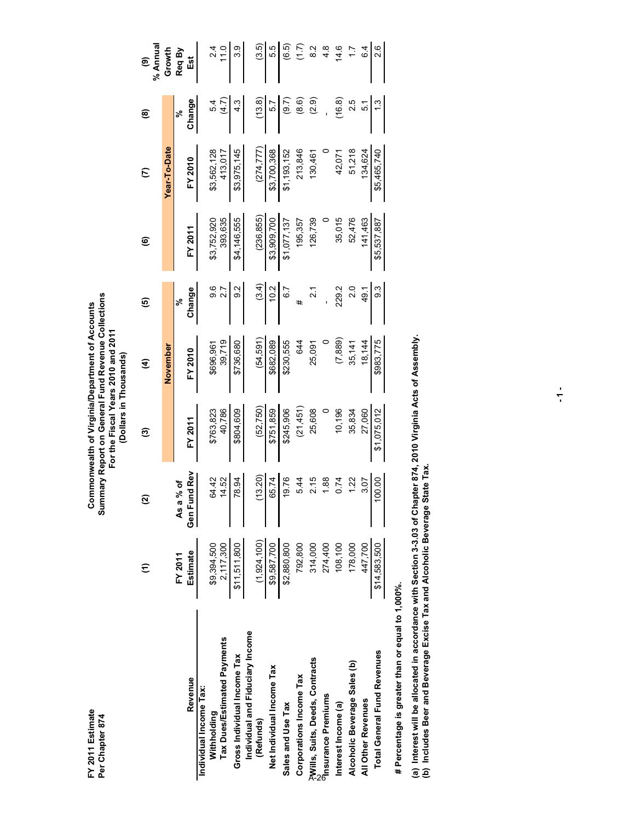| 11.0<br>5.5<br>ζĹ,<br>8.2<br>14.6<br>6.4<br>17<br>Growth<br>Req By<br>Est<br>$\widehat{\mathbf{e}}$<br>Change<br>(13.8)<br>(2.9)<br>(16.8)<br>(8.6)<br>2.5<br>(9.7)<br>5.4<br>(4.7)<br>ن<br>4<br>ن<br>ب<br>5.1<br>ю,<br>ಸಿ<br>ම<br>Year-To-Date<br>(274, 777)<br>\$3,975,145<br>51,218<br>\$3,562,128<br>\$3,700,368<br>213,846<br>\$5,465,740<br>\$1,193,152<br>134,624<br>413,017<br>130,461<br>42,071<br>FY 2010<br>$\epsilon$<br>(236, 855)<br>393,635<br>\$4,146,555<br>52,476<br>126,739<br>35,015<br>\$3,752,920<br>\$3,909,700<br>141,463<br>\$5,537,887<br>\$1,077,137<br>195,357<br>FY 2011<br>ම<br>9.6<br>(3.4)<br>10.2<br>$\overline{6}$ .7<br>9.3<br>2.7<br>9.2<br>229.2<br>2.0<br>Change<br>21<br>21<br>49.1<br>ම<br>వ్<br>#<br>(7, 889)<br>39,719<br>(54, 591)<br>\$682,089<br>\$230,555<br>\$983,775<br>\$736,680<br>644<br>18,144<br>25,091<br>35,141<br>\$696,961<br>November<br>FY 2010<br>€<br>40,786<br>(21, 451)<br>25,608<br>(52, 750)<br>\$245,906<br>10,196<br>35,834<br>27,060<br>\$1,075,012<br>\$763,823<br>\$804,609<br>\$751,859<br>FY 2011<br>ම<br>Gen Fund Rev<br>(13.20)<br>19.76<br>64.42<br>100.00<br>14.52<br>78.94<br>65.74<br>2.15<br>1.88<br>0.74<br>1.22<br>5.44<br>3.07<br>Asa% of<br><u>ର</u><br>(1,924,100)<br>\$2,880,800<br>\$14,583,500<br>\$11,511,800<br>\$9,587,700<br>792,800<br>314,000<br>274,400<br>108,100<br>178,000<br>447,700<br>\$9,394,500<br>2,117,300<br>Estimate<br>FY 2011<br>$\widehat{\tau}$<br>Individual and Fiduciary Income<br>Tax Dues/Estimated Payments<br><b>Total General Fund Revenues</b><br>Gross Individual Income Tax<br>PWills, Suits, Deeds, Contracts<br>Alcoholic Beverage Sales (b)<br>Net Individual Income Tax<br>Corporations Income Tax<br>Revenue<br>Individual Income Tax:<br><b>Premiums</b><br>All Other Revenues<br>Interest Income (a)<br>Sales and Use Tax<br>Withholding<br>(Refunds) | FY 2011 Estimate<br>Per Chapter 874 |  | Summary Report on General Fund Revenue Collections<br>Commonwealth of Virginia/Department of Accounts<br>For the Fiscal Years 2010 and 2011<br>(Dollars in Thousands) |  |  |               |
|---------------------------------------------------------------------------------------------------------------------------------------------------------------------------------------------------------------------------------------------------------------------------------------------------------------------------------------------------------------------------------------------------------------------------------------------------------------------------------------------------------------------------------------------------------------------------------------------------------------------------------------------------------------------------------------------------------------------------------------------------------------------------------------------------------------------------------------------------------------------------------------------------------------------------------------------------------------------------------------------------------------------------------------------------------------------------------------------------------------------------------------------------------------------------------------------------------------------------------------------------------------------------------------------------------------------------------------------------------------------------------------------------------------------------------------------------------------------------------------------------------------------------------------------------------------------------------------------------------------------------------------------------------------------------------------------------------------------------------------------------------------------------------------------------------------------------------------------------------------------------------------|-------------------------------------|--|-----------------------------------------------------------------------------------------------------------------------------------------------------------------------|--|--|---------------|
|                                                                                                                                                                                                                                                                                                                                                                                                                                                                                                                                                                                                                                                                                                                                                                                                                                                                                                                                                                                                                                                                                                                                                                                                                                                                                                                                                                                                                                                                                                                                                                                                                                                                                                                                                                                                                                                                                       |                                     |  |                                                                                                                                                                       |  |  | % Annua       |
|                                                                                                                                                                                                                                                                                                                                                                                                                                                                                                                                                                                                                                                                                                                                                                                                                                                                                                                                                                                                                                                                                                                                                                                                                                                                                                                                                                                                                                                                                                                                                                                                                                                                                                                                                                                                                                                                                       |                                     |  |                                                                                                                                                                       |  |  |               |
|                                                                                                                                                                                                                                                                                                                                                                                                                                                                                                                                                                                                                                                                                                                                                                                                                                                                                                                                                                                                                                                                                                                                                                                                                                                                                                                                                                                                                                                                                                                                                                                                                                                                                                                                                                                                                                                                                       |                                     |  |                                                                                                                                                                       |  |  |               |
|                                                                                                                                                                                                                                                                                                                                                                                                                                                                                                                                                                                                                                                                                                                                                                                                                                                                                                                                                                                                                                                                                                                                                                                                                                                                                                                                                                                                                                                                                                                                                                                                                                                                                                                                                                                                                                                                                       |                                     |  |                                                                                                                                                                       |  |  |               |
|                                                                                                                                                                                                                                                                                                                                                                                                                                                                                                                                                                                                                                                                                                                                                                                                                                                                                                                                                                                                                                                                                                                                                                                                                                                                                                                                                                                                                                                                                                                                                                                                                                                                                                                                                                                                                                                                                       |                                     |  |                                                                                                                                                                       |  |  |               |
|                                                                                                                                                                                                                                                                                                                                                                                                                                                                                                                                                                                                                                                                                                                                                                                                                                                                                                                                                                                                                                                                                                                                                                                                                                                                                                                                                                                                                                                                                                                                                                                                                                                                                                                                                                                                                                                                                       |                                     |  |                                                                                                                                                                       |  |  |               |
|                                                                                                                                                                                                                                                                                                                                                                                                                                                                                                                                                                                                                                                                                                                                                                                                                                                                                                                                                                                                                                                                                                                                                                                                                                                                                                                                                                                                                                                                                                                                                                                                                                                                                                                                                                                                                                                                                       |                                     |  |                                                                                                                                                                       |  |  |               |
|                                                                                                                                                                                                                                                                                                                                                                                                                                                                                                                                                                                                                                                                                                                                                                                                                                                                                                                                                                                                                                                                                                                                                                                                                                                                                                                                                                                                                                                                                                                                                                                                                                                                                                                                                                                                                                                                                       |                                     |  |                                                                                                                                                                       |  |  | 3.9           |
|                                                                                                                                                                                                                                                                                                                                                                                                                                                                                                                                                                                                                                                                                                                                                                                                                                                                                                                                                                                                                                                                                                                                                                                                                                                                                                                                                                                                                                                                                                                                                                                                                                                                                                                                                                                                                                                                                       |                                     |  |                                                                                                                                                                       |  |  |               |
|                                                                                                                                                                                                                                                                                                                                                                                                                                                                                                                                                                                                                                                                                                                                                                                                                                                                                                                                                                                                                                                                                                                                                                                                                                                                                                                                                                                                                                                                                                                                                                                                                                                                                                                                                                                                                                                                                       |                                     |  |                                                                                                                                                                       |  |  | (3.5)         |
|                                                                                                                                                                                                                                                                                                                                                                                                                                                                                                                                                                                                                                                                                                                                                                                                                                                                                                                                                                                                                                                                                                                                                                                                                                                                                                                                                                                                                                                                                                                                                                                                                                                                                                                                                                                                                                                                                       |                                     |  |                                                                                                                                                                       |  |  |               |
|                                                                                                                                                                                                                                                                                                                                                                                                                                                                                                                                                                                                                                                                                                                                                                                                                                                                                                                                                                                                                                                                                                                                                                                                                                                                                                                                                                                                                                                                                                                                                                                                                                                                                                                                                                                                                                                                                       |                                     |  |                                                                                                                                                                       |  |  | (6.5)<br>ا    |
|                                                                                                                                                                                                                                                                                                                                                                                                                                                                                                                                                                                                                                                                                                                                                                                                                                                                                                                                                                                                                                                                                                                                                                                                                                                                                                                                                                                                                                                                                                                                                                                                                                                                                                                                                                                                                                                                                       |                                     |  |                                                                                                                                                                       |  |  |               |
|                                                                                                                                                                                                                                                                                                                                                                                                                                                                                                                                                                                                                                                                                                                                                                                                                                                                                                                                                                                                                                                                                                                                                                                                                                                                                                                                                                                                                                                                                                                                                                                                                                                                                                                                                                                                                                                                                       |                                     |  |                                                                                                                                                                       |  |  |               |
|                                                                                                                                                                                                                                                                                                                                                                                                                                                                                                                                                                                                                                                                                                                                                                                                                                                                                                                                                                                                                                                                                                                                                                                                                                                                                                                                                                                                                                                                                                                                                                                                                                                                                                                                                                                                                                                                                       |                                     |  |                                                                                                                                                                       |  |  | $\frac{8}{4}$ |
|                                                                                                                                                                                                                                                                                                                                                                                                                                                                                                                                                                                                                                                                                                                                                                                                                                                                                                                                                                                                                                                                                                                                                                                                                                                                                                                                                                                                                                                                                                                                                                                                                                                                                                                                                                                                                                                                                       |                                     |  |                                                                                                                                                                       |  |  |               |
|                                                                                                                                                                                                                                                                                                                                                                                                                                                                                                                                                                                                                                                                                                                                                                                                                                                                                                                                                                                                                                                                                                                                                                                                                                                                                                                                                                                                                                                                                                                                                                                                                                                                                                                                                                                                                                                                                       |                                     |  |                                                                                                                                                                       |  |  |               |
|                                                                                                                                                                                                                                                                                                                                                                                                                                                                                                                                                                                                                                                                                                                                                                                                                                                                                                                                                                                                                                                                                                                                                                                                                                                                                                                                                                                                                                                                                                                                                                                                                                                                                                                                                                                                                                                                                       |                                     |  |                                                                                                                                                                       |  |  |               |
|                                                                                                                                                                                                                                                                                                                                                                                                                                                                                                                                                                                                                                                                                                                                                                                                                                                                                                                                                                                                                                                                                                                                                                                                                                                                                                                                                                                                                                                                                                                                                                                                                                                                                                                                                                                                                                                                                       |                                     |  |                                                                                                                                                                       |  |  | 2.6           |

# Percentage is greater than or equal to 1,000%.  **# Percentage is greater than or equal to 1,000%.**

(a) Interest will be allocated in accordance with Section 3-3.03 of Chapter 874, 2010 Virginia Acts of Assembly.<br>(b) Includes Beer and Beverage Excise Tax and Alcoholic Beverage State Tax. **(a) Interest will be allocated in accordance with Section 3-3.03 of Chapter 874, 2010 Virginia Acts of Assembly. (b) Includes Beer and Beverage Excise Tax and Alcoholic Beverage State Tax.**

**- 1 -**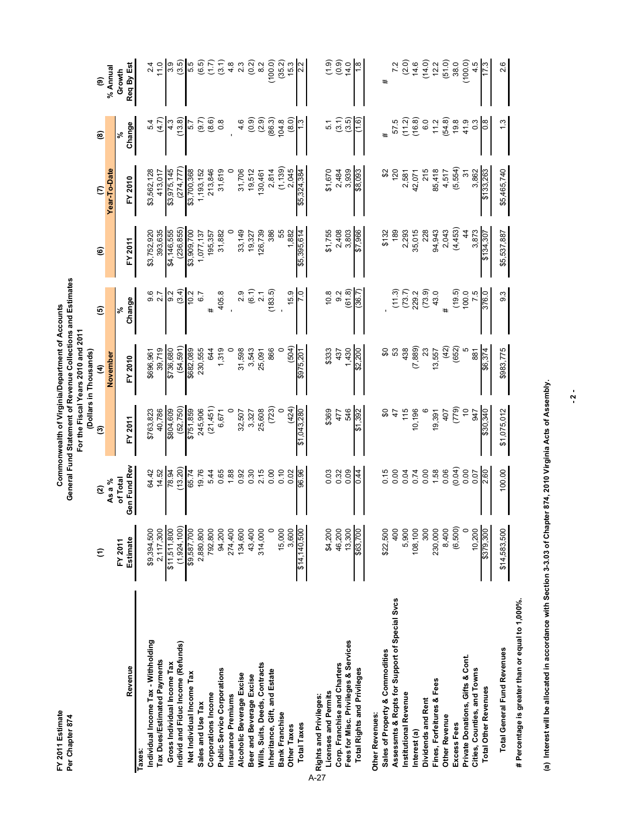FY 2011 Estimate<br>Per Chapter 874

| FY 2011 Estimate                              |                                 |                          |             | Commonwealth of Virginia/Department of Accounts                                                   |                   |               |                       |                  |                      |
|-----------------------------------------------|---------------------------------|--------------------------|-------------|---------------------------------------------------------------------------------------------------|-------------------|---------------|-----------------------|------------------|----------------------|
| Per Chapter 874                               |                                 |                          |             | General Fund Statement of Revenue Collections and Estimates<br>For the Fiscal Years 2010 and 2011 |                   |               |                       |                  |                      |
|                                               |                                 |                          |             | (Dollars in Thousands)                                                                            |                   |               |                       |                  |                      |
|                                               | $\widehat{\tau}$                | ପ୍ର                      | ම           | E                                                                                                 | ම                 | ම             | $\epsilon$            | ම                | ම                    |
|                                               |                                 | As a %                   |             | November                                                                                          |                   |               | Year-To-Date          |                  | % Annual             |
| Revenue                                       | Estimate<br>FY 2011             | Gen Fund Rev<br>of Total | FY 2011     | FY 2010                                                                                           | Change<br>৯ং      | FY 2011       | FY 2010               | Change<br>৯ং     | Req By Est<br>Growth |
| axes                                          |                                 |                          |             |                                                                                                   |                   |               |                       |                  |                      |
| Individual Income Tax - Withholding           | \$9,394,500                     | 64.42                    | \$763,823   | \$696,961                                                                                         | 9.6               | \$3,752,920   | \$3,562,128           | 5.4              | 2.4                  |
| Tax Dues/Estimated Payments                   | 2,117,300                       | 14.52                    | 40,786      | 39,719                                                                                            | 2.7               | 393,635       | 413,017               | $\overline{4.7}$ | 11.0                 |
| Gross Individual Income Tax                   |                                 |                          | \$804,609   | \$736,680                                                                                         | 9.2               | \$4,146,555   | \$3,975,145           | 4.3              | 3.9                  |
| Individ and Fiduc Income (Refunds)            | $\frac{$1,511,800}{$1,924,100}$ | $\frac{78.94}{(13.20)}$  | (52, 750)   | (54,591)                                                                                          | (3.4)             | (236, 855)    | (274, 777)            | (13.8)           | (3.5)                |
| Net Individual Income Tax                     | \$9,587,700                     | 65.74                    | \$751,859   | \$682,089                                                                                         | 10.2              | \$3,909,700   | \$3,700,368           | .<br>თ           | 5.5                  |
| Sales and Use Tax                             | 2,880,800                       | 19.76                    | 245,906     | 230,555                                                                                           | 6.7               | 1,077,137     | 1,193,152             | (9.7)            | (6.5)                |
| Corporations Income                           | 792,800                         | 5.44                     | (21,451)    | 644                                                                                               | #                 | 195,357       | 213,846               | (8.6)            | (7.7)                |
| Public Service Corporations                   | 94,200                          | 0.65                     | 6,671       | 1,319                                                                                             | 405.8             | 31,882        | 31,619                | $\ddot{\circ}$   | (3.1)                |
| Insurance Premiums                            | 274,400                         | 1.88                     |             |                                                                                                   |                   |               |                       |                  | 4.8                  |
| Alcoholic Beverage Excise                     | 134,600                         | 0.92                     | 32,507      | 31,598                                                                                            | 2.9               | 33,149        | 31,706                | 4.6              | $2.\overline{3}$     |
| Beer and Beverage Excise                      | 43,400                          | 0.30                     | 3,327       | 3,543                                                                                             | (6.1)             | 19,327        | 19,512                | (0.9)            | (0.2)                |
| Wills, Suits, Deeds, Contracts                | 314,000                         | 2.15                     | 25,608      | 25,091                                                                                            | 2.1               | 126,739       | 130,461               | (2.9)            | 8.2                  |
| Inheritance, Gift, and Estate                 | $\circ$                         | 0.00                     | (723)       | 866                                                                                               | (183.5)           | 386           | 2,814                 | (86.3)           | (100.0)              |
| <b>Bank Franchise</b>                         | 15,000                          | 0.10                     |             |                                                                                                   |                   | 55            |                       | 104.8            | (35.2)               |
| Other Taxes                                   | 3,600                           | 0.02                     | (424)       | (504)                                                                                             | 15.9              | 1,882         | $(1, 139)$<br>2,045   | (8.0)            | 15.3                 |
| <b>Total Taxes</b>                            | \$14,140.500                    | 96.96                    | \$1,043,280 | \$975,201                                                                                         |                   | \$5,395,614   | \$5,324,384           |                  |                      |
| Rights and Privileges:                        |                                 |                          |             |                                                                                                   |                   |               |                       |                  |                      |
| Licenses and Permits                          | \$4,200                         | 0.03                     | \$369       | \$333                                                                                             | 10.8              | \$1,755       | \$1,670               | 5.1              | (1.9)                |
| Corp. Franchise and Charters                  | 46,200                          | 0.32                     | 477         | 437                                                                                               | 9.2               | 2,408         | 2,484                 | (3.1)            | (0.9)                |
| Fees for Misc. Privileges & Services          | 13,300                          | 0.09                     | 546         | 1,430                                                                                             | (61.8)            | 3,803         | 3,939                 | (3.5)            | 14.0                 |
| Total Rights and Privileges                   | \$63,700                        | 0.44                     | \$1,392     | \$2,200                                                                                           | (36.7)            | \$7,966       | \$8,093               | $\frac{6}{10}$   |                      |
| Other Revenues:                               |                                 |                          |             |                                                                                                   |                   |               |                       |                  |                      |
| Sales of Property & Commodities               | \$22,500                        | 0.15                     |             |                                                                                                   |                   | \$132         |                       | #                | #                    |
| Assessmts & Ropts for Support of Special Svcs | 400                             | 0.00                     | 47          | 53                                                                                                | (11.3)            | 189           | 120                   | 57.5             | 7.2                  |
| Institutional Revenue                         | 5,900                           | 0.04                     | 115         | 438                                                                                               |                   | 2,293         | 2,581                 | (11.2)           | (2.0)                |
| Interest (a)                                  | 108,100                         | 0.74                     | 10,196      | (7, 889)                                                                                          | $(73.7)$<br>229.2 | 35,015        | 42,071                | (16.8)           | 14.6                 |
| Dividends and Rent                            | 300                             | 0.00                     |             | 23                                                                                                | (73.9)            | 228           | 215                   | 6.0              | (14.0)               |
| Fines, Forfeitures & Fees                     | 230,000                         | 1.58                     | 19,391      | 13,557                                                                                            | 43.0              | 94,943        | 85,418                | 11.2             | 12.2                 |
| Other Revenue                                 | 8,400                           | 0.06                     | 407         | (42)                                                                                              |                   | 2,043         | 4,517                 | (54.8)           | (51.0)               |
| Excess Fees                                   | (6,500)                         | (0.04)                   | (779)       | (652)                                                                                             | (19.5)            | (4,453)       | (5,554)               | 19.8             | 38.0                 |
| Private Donations, Gifts & Cont.              | $\circ$                         | 0.00                     | $\tilde{0}$ |                                                                                                   | 100.0             | $\frac{4}{3}$ | $\tilde{\mathcal{E}}$ | 41.9             | (100.0)              |
| Cities, Counties, and Towns                   | 10,200                          | 0.07                     | 947         | 881                                                                                               | 7.5               | 3,873         | 3,862                 | $0.\overline{3}$ | 4.5                  |
| <b>Total Other Revenues</b>                   | \$379,300                       | 2.60                     | \$30,340    | \$6,374                                                                                           | 376.0             | \$134,307     | \$133,263             | 8.0              | 5.1                  |
| <b>Total General Fund Revenues</b>            | \$14,583,500                    | 100.00                   | \$1,075,012 | \$983,775                                                                                         | $9.\overline{3}$  | \$5,537,887   | \$5,465,740           |                  | 2.6                  |

A-27

# Percentage is greater than or equal to 1,000%.  **# Percentage is greater than or equal to 1,000%.**

(a) Interest will be allocated in accordance with Section 3-3.03 of Chapter 874, 2010 Virginia Acts of Assembly. **(a) Interest will be allocated in accordance with Section 3-3.03 of Chapter 874, 2010 Virginia Acts of Assembly.**

**- 2 -**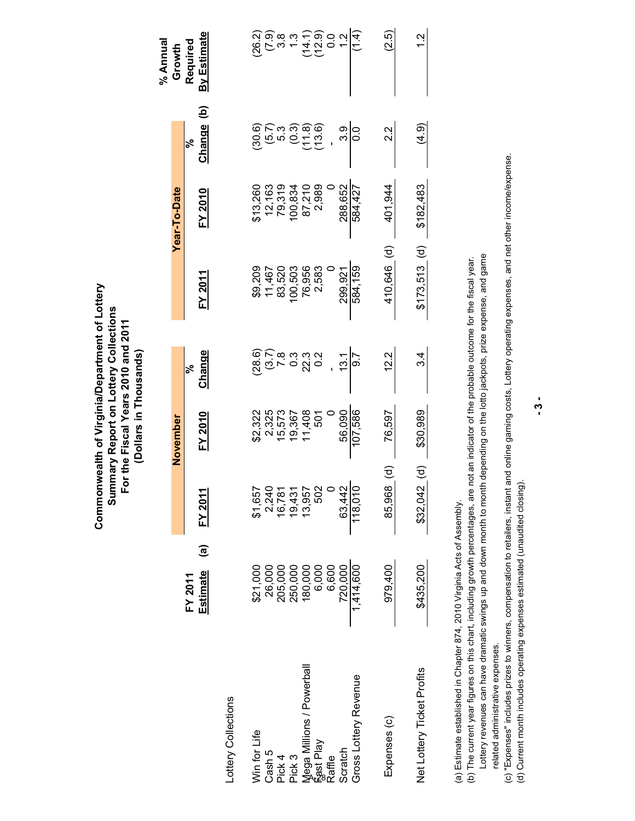|                                                                                |                                                                  |                                                   | (Dollars in Thousands)                         |                |                                                 |                                                                      |                   |                         |
|--------------------------------------------------------------------------------|------------------------------------------------------------------|---------------------------------------------------|------------------------------------------------|----------------|-------------------------------------------------|----------------------------------------------------------------------|-------------------|-------------------------|
|                                                                                |                                                                  |                                                   | November                                       |                |                                                 | <b>Year-To-Date</b>                                                  |                   | % Annual<br>Growth      |
|                                                                                | $\widehat{\mathbf{e}}$<br>Estimate<br>FY 2011                    | FY 201                                            | <b>FY 2010</b>                                 | Change<br>ಸ್   | FY 2011                                         | FY 2010                                                              | ව<br>Change<br>ಸ್ | By Estimate<br>Required |
| -ottery Collections                                                            |                                                                  |                                                   |                                                |                |                                                 |                                                                      |                   |                         |
| Win for Life                                                                   | \$21,000                                                         |                                                   |                                                |                |                                                 | \$13,260<br>12,163<br>12,319<br>100,210<br>87,210<br>87,210<br>2,989 |                   |                         |
|                                                                                |                                                                  |                                                   |                                                |                |                                                 |                                                                      |                   |                         |
|                                                                                |                                                                  |                                                   |                                                |                |                                                 |                                                                      |                   |                         |
|                                                                                |                                                                  |                                                   |                                                |                |                                                 |                                                                      |                   |                         |
|                                                                                |                                                                  | 81,657<br>0,024357<br>0,03157<br>81,087<br>81,087 | 82,322<br>83,573<br>83,573<br>83,736<br>82,736 |                | 89<br>1467<br>146703<br>89703<br>89703<br>89703 |                                                                      |                   |                         |
| Cash 5<br>Pick 4<br>Pick 3<br>Mega Millions / Powerball<br>fast Play<br>Raffle | 26,000<br>205,000 000<br>205,000 000<br>120,000 000<br>720,000 7 |                                                   |                                                |                |                                                 |                                                                      |                   |                         |
|                                                                                |                                                                  |                                                   | $\circ$                                        |                |                                                 |                                                                      |                   |                         |
| Scratch                                                                        |                                                                  | 63,442                                            | 56,090                                         | 13.1           | 299,921                                         | 288,652                                                              | 3.9               |                         |
| Gross Lottery Revenue                                                          | 1,414,600                                                        |                                                   | 107,586                                        | $\overline{9}$ | 584,159                                         | 584,427                                                              | $\overline{0}$ .  | (1.4)                   |
| Expenses (c)                                                                   | 979,400                                                          | 85,968 (d)                                        | 76,597                                         | 12.2           | 410,646 (d)                                     | 401,944                                                              | 2.2               | (2.5)                   |
| Net Lottery Ticket Profits                                                     | \$435,200                                                        | $$32,042$ (d)                                     | \$30,989                                       | 34             | $$173,513$ (d)                                  | \$182,483                                                            | (4.9)             | $\frac{2}{3}$           |
|                                                                                |                                                                  |                                                   |                                                |                |                                                 |                                                                      |                   |                         |

**Commonwealth of Virginia/Department of Lottery Summary Report on Lottery Collections For the Fiscal Years 2010 and 2011** 

Commonwealth of Virginia/Department of Lottery Summary Report on Lottery Collections For the Fiscal Years 2010 and 2011

(a) Estimate established in Chapter 874, 2010 Virginia Acts of Assembly. (a) Estimate established in Chapter 874, 2010 Virginia Acts of Assembly.

Lottery revenues can have dramatic swings up and down month to month depending on the lotto jackpots, prize expense, and game (b) The current year figures on this chart, including growth percentages, are not an indicator of the probable outcome for the fiscal year. Lottery revenues can have dramatic swings up and down month to month depending on the lotto jackpots, prize expense, and game (b) The current year figures on this chart, including growth percentages, are not an indicator of the probable outcome for the fiscal year.

related administrative expenses. related administrative expenses.

(c) "Expenses" includes prizes to winners, compensation to retailers, instant and online gaming costs, Lottery operating expenses, and net other income/expense. (c) "Expenses" includes prizes to winners, compensation to retailers, instant and online gaming costs, Lottery operating expenses, and net other income/expense. (d) Current month includes operating expenses estimated (unaudited closing). (d) Current month includes operating expenses estimated (unaudited closing).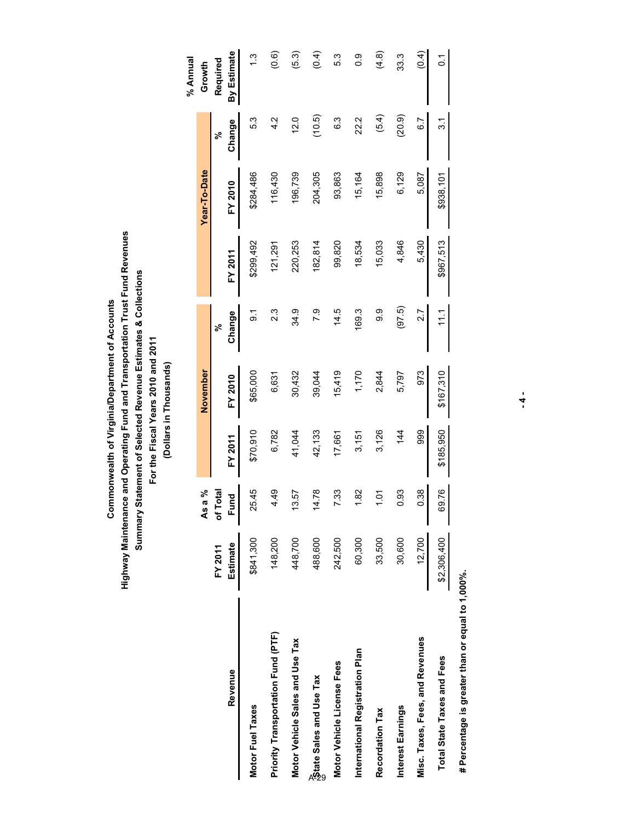# Highway Maintenance and Operating Fund and Transportation Trust Fund Revenues **Highway Maintenance and Operating Fund and Transportation Trust Fund Revenues** Summary Statement of Selected Revenue Estimates & Collections **Summary Statement of Selected Revenue Estimates & Collections** Commonwealth of Virginia/Department of Accounts  **Commonwealth of Virginia/Department of Accounts**

For the Fiscal Years 2010 and 2011  **For the Fiscal Years 2010 and 2011** 

(Dollars in Thousands) **(Dollars in Thousands)**

|                                    |             |                         |                |           |                  |                |              |                  | % Annual       |
|------------------------------------|-------------|-------------------------|----------------|-----------|------------------|----------------|--------------|------------------|----------------|
|                                    |             | As a %                  |                | November  |                  |                | Year-To-Date |                  | Growth         |
|                                    | FY 2011     | <b>Total</b><br>5<br>10 |                |           | వ్               |                |              | వ్               | Required       |
| Revenue                            | Estimate    | <b>Fund</b>             | <b>FY 2011</b> | FY 2010   | Change           | <b>FY 2011</b> | FY 2010      | Change           | By Estimate    |
| Motor Fuel Taxes                   | \$841,300   | 25.45                   | \$70,910       | \$65,000  | _<br>თ           | \$299,492      | \$284,486    | 5.3              |                |
| Priority Transportation Fund (PTF) | 148,200     | 4.49                    | 6,782          | 6,631     | $2.\overline{3}$ | 121,291        | 116,430      | 4.2              | (0.6)          |
| Motor Vehicle Sales and Use Tax    | 448,700     | 13.57                   | 41,044         | 30,432    | 34.9             | 220,253        | 196,739      | 12.0             | (5.3)          |
| <b>Patate Sales and Use Tax</b>    | 488,600     | 14.78                   | 42,133         | 39,044    | 7.9              | 82,814         | 204,305      | (10.5)           | (0.4)          |
| Motor Vehicle License Fees         | 242,500     | 7.33                    | 17,661         | 15,419    | 14.5             | 99,820         | 93,863       | 6.3              | 5.3            |
| International Registration Plan    | 60,300      | 1.82                    | 3,151          | 1,170     | 169.3            | 18,534         | 15,164       | 22.2             | 0.0            |
| Recordation Tax                    | 33,500      | 1.01                    | 3,126          | 2,844     | თ<br>თ           | 15,033         | 15,898       | (5.4)            | (4.8)          |
| Interest Earnings                  | 30,600      | 0.93                    | 144            | 5,797     | (97.5)           | 4,846          | 6,129        | (20.9)           | 33.3           |
| Misc. Taxes, Fees, and Revenues    | 12,700      | 0.38                    | 999            | 973       | $\overline{2.7}$ | 5,430          | 5,087        | $\overline{6.7}$ | $\overline{6}$ |
| <b>Total State Taxes and Fees</b>  | \$2,306,400 | 69.76                   | \$185,950      | \$167,310 | 111              | \$967,513      | \$938,101    | $\overline{3}$ . | $\overline{C}$ |
|                                    |             |                         |                |           |                  |                |              |                  |                |

# Percentage is greater than or equal to 1,000%.  **# Percentage is greater than or equal to 1,000%.**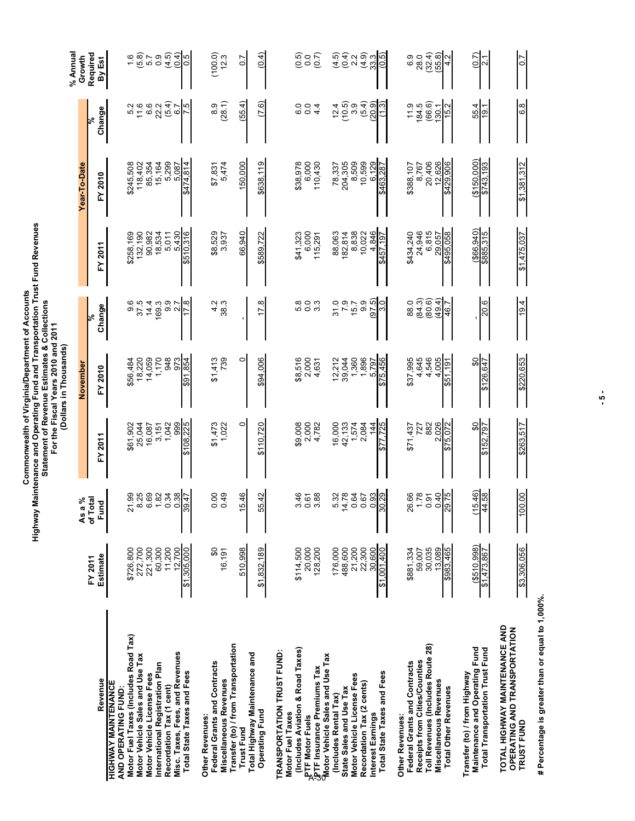Commonwealth of Virginia/Department of Accounts<br>Highway Maintenance and Operating Fund and Transportation Trust Fund Revenues<br>Statement of Revenue Estimates & Collections<br>For the Fiscal Years 2010 and 2011<br>(Dollars in Thou **Highway Maintenance and Operating Fund and Transportation Trust Fund Revenues Commonwealth of Virginia/Department of Accounts Statement of Revenue Estimates & Collections** 

 **For the Fiscal Years 2010 and 2011 (Dollars in Thousands)** 

|                                                                                                   |                             |                                                        |                               |                         |                               |                         |                               |                                         | % Annua                     |
|---------------------------------------------------------------------------------------------------|-----------------------------|--------------------------------------------------------|-------------------------------|-------------------------|-------------------------------|-------------------------|-------------------------------|-----------------------------------------|-----------------------------|
|                                                                                                   | FY 2011                     | a %<br><b>Tal</b><br>$\overline{\mathbf{A}}$<br>7<br>b |                               | November                | ৯ং                            |                         | Year-To-Date                  | ৯ং                                      | Growth                      |
| Revenue                                                                                           | Estimate                    | <b>Pu</b><br>Ē                                         | FY 2011                       | FY 2010                 | Change                        | 2011<br>ř               | FY 2010                       | Change                                  | Required<br>By Est          |
| HIGHWAY MAINTENANCE<br>AND OPERATING FUND:                                                        |                             |                                                        |                               |                         |                               |                         |                               |                                         |                             |
| Motor Fuel Taxes (Includes Road Tax)<br>Motor Vehicle Sales and Use Tax                           | 272,700<br>\$726,800        | 21.99                                                  | 25,044<br>\$61,902            | 18,220<br>\$56,484      | 9 5 4 6<br>9 7 4 6<br>9 7 4 6 | \$258,169<br>132,190    | \$245,508                     | $\frac{5}{16}$                          | 1.6                         |
| Motor Vehicle License Fees                                                                        | 221,300                     | 825<br>6.69                                            | 16,087                        | 14,059                  |                               | 90,982                  | 118,402<br>85,354             | 6.6                                     | (5.8)                       |
| International Registration Plan<br>Recordation Tax (1 cent)                                       | 60,300<br>11,200            | 1.82<br>0.34                                           | 1,042<br>3,151                | 948<br>1,170            | 9.9<br>᠇                      | 18,534<br>5,011         | 15,164<br>5,299               | (5.4)<br>22.2                           | (4.5)<br>$\overline{0}$ .   |
| Misc. Taxes, Fees, and Revenues                                                                   | 12,700                      | 0.38                                                   | 999                           | 973                     | 2.7                           | 5,430                   | 5,087                         | 6.7                                     | (0.4)                       |
| Total State Taxes and Fees                                                                        | \$1,305,000                 | 39.47                                                  | \$108,225                     | 854<br>$\overline{591}$ | œ                             | \$510,316               | \$474,814                     | rö.                                     | 5.O                         |
| Federal Grants and Contracts<br>Other Revenues:                                                   | SO                          | 0.00                                                   | \$1,473                       | \$1,413                 | Ņ<br>4                        | \$8,529                 |                               | 8.9                                     | (100.0)                     |
| <b>Miscellaneous Revenues</b>                                                                     | 16,191                      | 49<br>$\circ$                                          | 1,022                         | 739                     | 38.3                          | 3,937                   | $$7,831$<br>5,474             | (28.1)                                  | 12.3                        |
| Transfer (to) / from Transportation<br><b>Trust Fund</b>                                          | 510,998                     | 15.46                                                  | 0                             | 0                       |                               | 940<br>66,              | 150,000                       | (55.4)                                  | 0.7                         |
| Total Highway Maintenance and<br>Operating Fund                                                   | \$1,832,189                 | 55.42                                                  | \$110,720                     | \$94,006                | œ<br>F.                       | \$589,722               | \$638,119                     | (7.6)                                   | (0.4)                       |
| TRANSPORTATION TRUST FUND:                                                                        |                             |                                                        |                               |                         |                               |                         |                               |                                         |                             |
| (Includes Aviation & Road Taxes)<br>Motor Fuel Taxes                                              | \$114,500                   | $\frac{4}{6}$<br>ω                                     | \$9,008                       | \$8,516                 |                               | \$41,323                | \$38,978                      | Q<br>ق                                  | 6.0<br>0.0                  |
| <sub>y</sub> P⊺F Motor Fuels<br>./PTF Insurance Premiums Tax<br>എotor Vehicle Sales and Use Tax   | 20,000<br>128,200           | 88<br>0.61                                             | 2,000<br>4,782                | 2,000<br>4,631          | 8<br>8 0 0<br>9 0             | 6,000<br>115,291        | 6,000<br>110,430              | $\overline{0}$ .<br>4<br>$\overline{4}$ | (0.7)                       |
|                                                                                                   |                             |                                                        |                               |                         |                               |                         |                               |                                         |                             |
| State Sales and Use Tax<br>(Includes Rental Tax)                                                  | 176,000<br>488,600          | 5.32<br>14.78                                          | 16,000                        | 2,212<br>39,044         | $31.0$<br>$7.9$<br>$15.7$     | 88,063<br>82,814        | 78,337<br>204,305<br>8,509    | 12.4                                    | (4.5)                       |
| Motor Vehicle License Fees                                                                        | 21,200                      | 0.64                                                   | 42,133<br>1,574               | 1,360                   |                               | 8,838                   |                               | $(10.5)$<br>$3.9$                       | $(0.4)$<br>$2.2$            |
| Recordation Tax (2 cents)<br>Interest Earnings                                                    | 22,300<br>30,600            | 0.93<br>0.67                                           | 2,084<br>$\frac{4}{4}$        | 1,896<br>5,797          | (6.76)<br>9.9                 | 10,022<br>846           | 10,599<br>6,129               | $(5.4)$<br>(20.9)                       | ာ<br>မြို့ပါ<br>မြို့       |
| Total State Taxes and Fees                                                                        | \$1,001,400                 | $\frac{82.08}{5}$                                      | 725<br>ِص                     | \$75,456                | ი<br>ო                        | \$457,197               | \$463,287                     | $\omega$                                |                             |
| Federal Grants and Contracts<br>Other Revenues:                                                   | \$881,334                   | 26.66                                                  | \$71,437                      | \$37,995                | 88.0                          | \$434,240               |                               | 11.9                                    | 6.9                         |
| Toll Revenues (Includes Route 28)<br>Receipts from Cities/Counties                                | 30,035<br>59,007            | 1.78<br>0.91                                           | 882<br>727                    | 4,645<br>4,546          | $(84.3)$<br>$(80.6)$          | 6,815<br>24,946         | \$388,107<br>8,767            | (66.6)<br>84.5                          | 28.0                        |
| <b>Miscellaneous Revenues</b><br><b>Total Other Revenues</b>                                      | \$983,465<br>13,089         | 975<br>0.40                                            | 026<br>072<br>\$75.<br>$\sim$ | 005<br>191<br>4<br>\$51 | (49.4)<br>46.7                | \$495,058<br>29,057     | 20,406<br>12,626<br>\$429,906 | 130.1<br>15.2                           | $(32.4)$<br>$(55.8)$<br>4.2 |
|                                                                                                   |                             |                                                        |                               |                         |                               |                         |                               |                                         |                             |
| Maintenance and Operating Fund<br>Total Transportation Trust Fund<br>Transfer (to) / from Highway | ( \$510.998)<br>\$1,473,867 | 15.46<br>44.58                                         | SO<br>79ī<br>52,<br>5         | င္တ<br>647<br>\$126,    | 20.6                          | (\$66.940)<br>\$885,315 | (150,000)<br>\$743,193        | 4<br>55<br>$\overline{9}$               | (0.7)<br>N                  |
| TOTAL HIGHWAY MAINTENANCE AND<br>OPERATING AND TRANSPORTATION<br>TRUST FUND                       | \$3,306,056                 | 00.00                                                  | \$263,517                     | \$220,653               | 19.4                          | \$1,475,037             | \$1,381,312                   | 6.8                                     | $\overline{0}$              |

# Percentage is greater than or equal to 1,000%.  **# Percentage is greater than or equal to 1,000%.**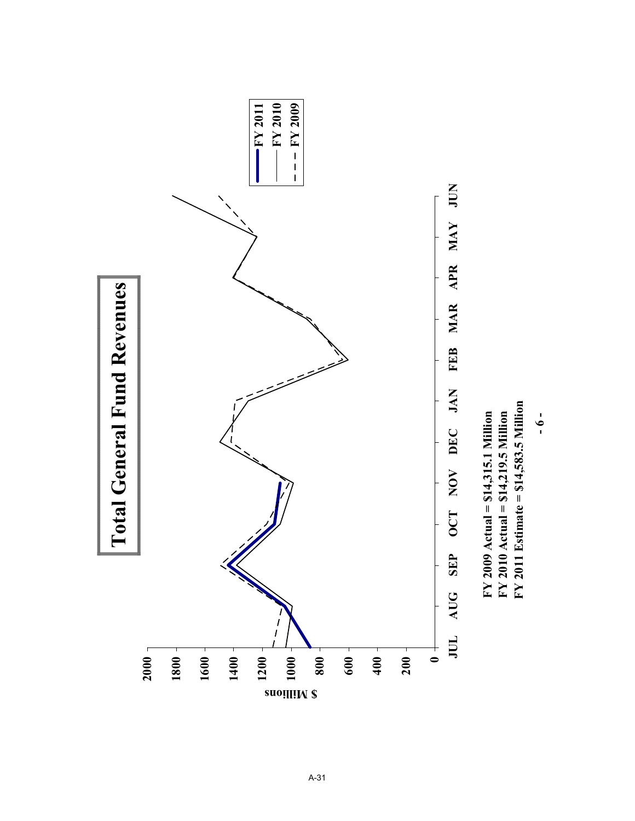

A-31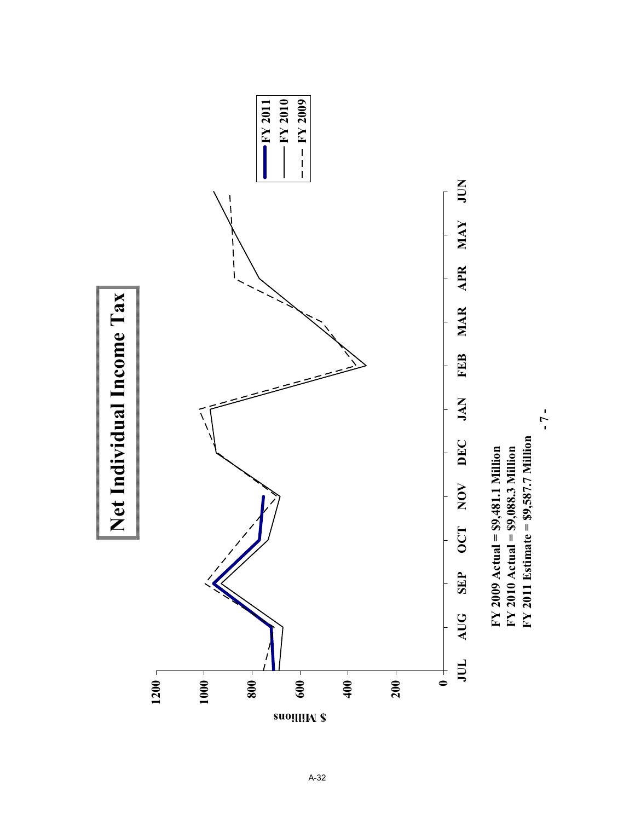

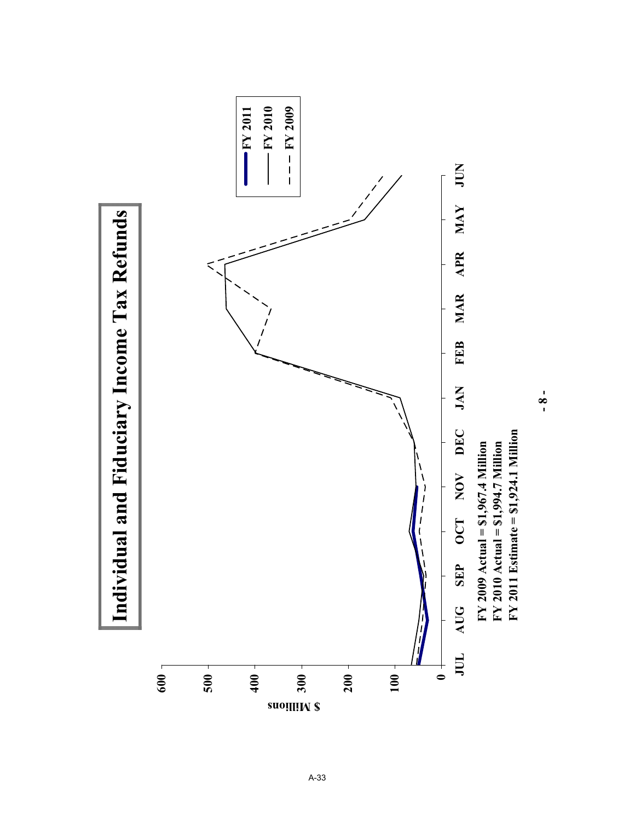

**- 8 -**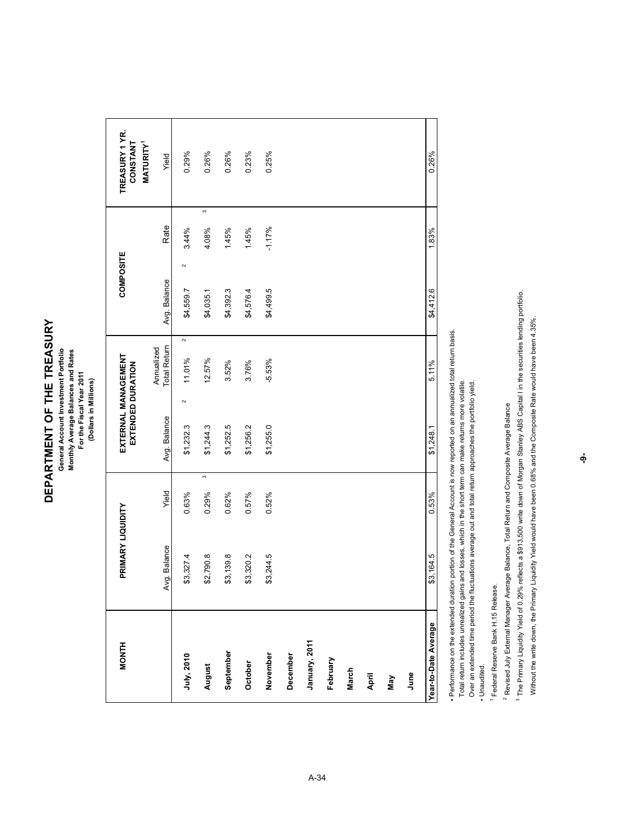# **DEPARTMENT OF THE TREASURY**  DEPARTMENT OF THE TREASURY

General Account Investment Portfolio Monthly Average Balances and Rates<br>For the Fiscal Year 2011 **General Account Investment Portfolio Monthly Average Balances and Rates For the Fiscal Year 2011**

**(Dollars in Millions)**

(Dollars in Millions)

| <b>MONTH</b>         | PRIMARY LIQUIDITY |             | EXTERNAL MANAGEMENT<br>EXTENDED DURATION |                                  | COMPOSITE           |            | TREASURY 1 YR.<br><b>CONSTANT</b> |
|----------------------|-------------------|-------------|------------------------------------------|----------------------------------|---------------------|------------|-----------------------------------|
|                      | Avg. Balance      | Yield       | Avg. Balance                             | <b>Total Retum</b><br>Annualized | Avg. Balance        | Rate       | <b>MATURITY</b><br>Yield          |
| July, 2010           | \$3,327.4         | 0.63%       | $\sim$<br>\$1,232.3                      | $\sim$<br>11.01%                 | $\sim$<br>\$4,559.7 | 3.44%      | $0.29\%$                          |
| August               | \$2,790.8         | co<br>0.29% | \$1,244.3                                | 12.57%                           | \$4,035.1           | S<br>4.08% | $0.26\%$                          |
| September            | \$3,139.8         | 0.62%       | \$1,252.5                                | 3.52%                            | \$4,392.3           | 1.45%      | 0.26%                             |
| October              | \$3,320.2         | 0.57%       | \$1,256.2                                | 3.76%                            | \$4,576.4           | 1.45%      | 0.23%                             |
| November             | \$3,244.5         | $0.52\%$    | \$1,255.0                                | $-5.53%$                         | \$4,499.5           | $-1.17%$   | $0.25\%$                          |
| December             |                   |             |                                          |                                  |                     |            |                                   |
| January, 2011        |                   |             |                                          |                                  |                     |            |                                   |
| February             |                   |             |                                          |                                  |                     |            |                                   |
| March                |                   |             |                                          |                                  |                     |            |                                   |
| April                |                   |             |                                          |                                  |                     |            |                                   |
| Nay                  |                   |             |                                          |                                  |                     |            |                                   |
| June                 |                   |             |                                          |                                  |                     |            |                                   |
| Year-to-Date Average | \$3,164.5         | 0.53%       | \$1,248.1                                | 5.11%                            | \$4,412.6           | 1.83%      | 0.26%                             |

· Performance on the extended duration portion of the General Account is now reported on an annualized total return basis. ƒ Performance on the extended duration portion of the General Account is now reported on an annualized total return basis.

Total return includes unrealized gains and losses, which in the short term can make returns more volatile. Total return includes unrealized gains and losses, which in the short term can make returns more volatile.

Over an extended time period the fluctuations average out and total return approaches the portfolio yield. Over an extended time period the fluctuations average out and total return approaches the portfolio yield.

- Unaudited. ƒ Unaudited.

<sup>1</sup> Federal Reserve Bank H.15 Release. 1 Federal Reserve Bank H.15 Release.

<sup>2</sup> Revised July External Manager Average Balance, Total Return and Composite Average Balance 2 Revised July External Manager Average Balance, Total Return and Composite Average Balance

<sup>3</sup> The Primary Liquidity Yield of 0.29% reflects a \$913,500 write down of Morgan Stanley ABS Capital I in the securities lending portfolio. The Primary Liquidity Yield of 0.29% reflects a \$913,500 write down of Morgan Stanley ABS Capital I in the securities lending portfolio.

Without the write down, the Primary Liquidity Yield would have been 0.68% and the Composite Rate would have been 4.35%. Without the write down, the Primary Liquidity Yield would have been 0.68% and the Composite Rate would have been 4.35%.